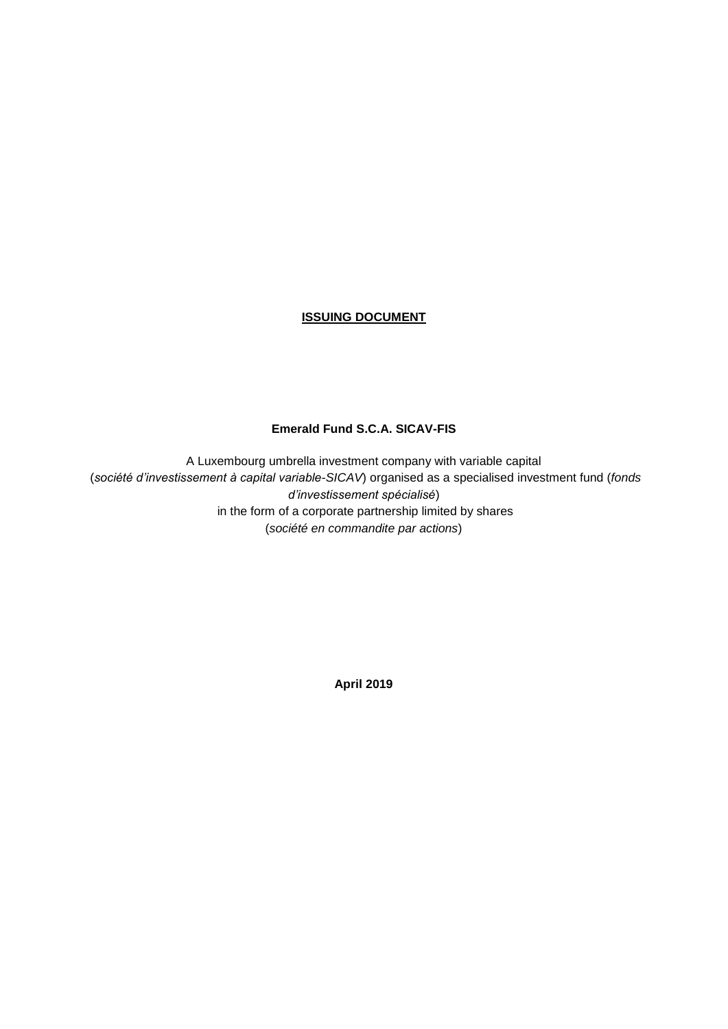# **ISSUING DOCUMENT**

# **Emerald Fund S.C.A. SICAV-FIS**

A Luxembourg umbrella investment company with variable capital (*société d'investissement à capital variable-SICAV*) organised as a specialised investment fund (*fonds d'investissement spécialisé*) in the form of a corporate partnership limited by shares (*société en commandite par actions*)

**April 2019**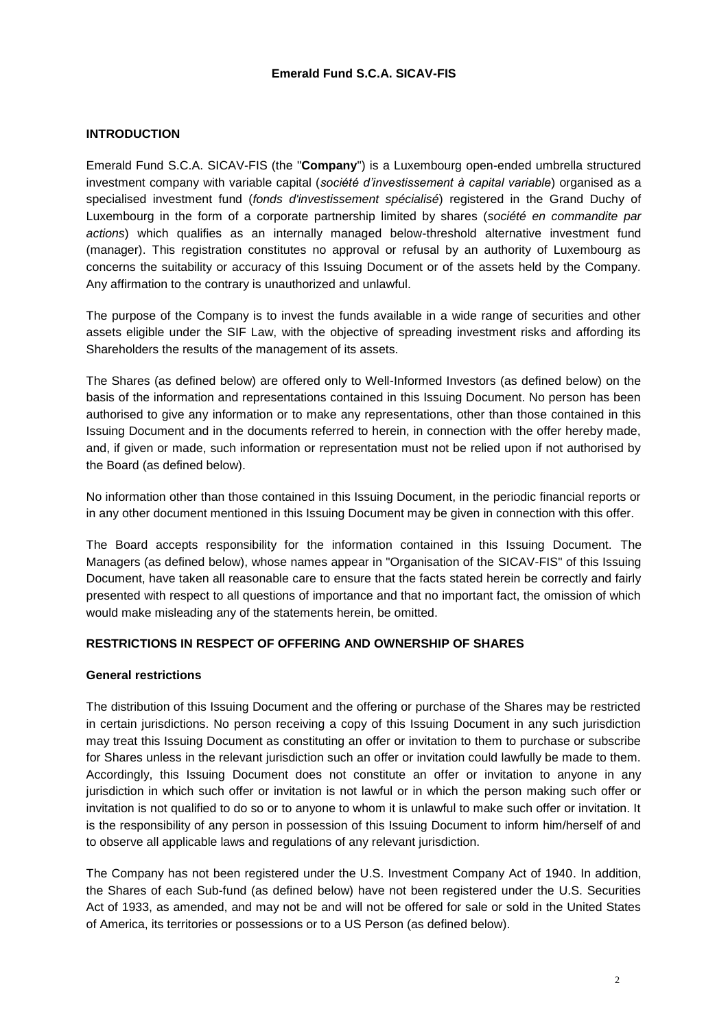# **INTRODUCTION**

Emerald Fund S.C.A. SICAV-FIS (the "**Company**") is a Luxembourg open-ended umbrella structured investment company with variable capital (*société d'investissement à capital variable*) organised as a specialised investment fund (*fonds d'investissement spécialisé*) registered in the Grand Duchy of Luxembourg in the form of a corporate partnership limited by shares (*société en commandite par actions*) which qualifies as an internally managed below-threshold alternative investment fund (manager). This registration constitutes no approval or refusal by an authority of Luxembourg as concerns the suitability or accuracy of this Issuing Document or of the assets held by the Company. Any affirmation to the contrary is unauthorized and unlawful.

The purpose of the Company is to invest the funds available in a wide range of securities and other assets eligible under the SIF Law, with the objective of spreading investment risks and affording its Shareholders the results of the management of its assets.

The Shares (as defined below) are offered only to Well-Informed Investors (as defined below) on the basis of the information and representations contained in this Issuing Document. No person has been authorised to give any information or to make any representations, other than those contained in this Issuing Document and in the documents referred to herein, in connection with the offer hereby made, and, if given or made, such information or representation must not be relied upon if not authorised by the Board (as defined below).

No information other than those contained in this Issuing Document, in the periodic financial reports or in any other document mentioned in this Issuing Document may be given in connection with this offer.

The Board accepts responsibility for the information contained in this Issuing Document. The Managers (as defined below), whose names appear in "Organisation of the SICAV-FIS" of this Issuing Document, have taken all reasonable care to ensure that the facts stated herein be correctly and fairly presented with respect to all questions of importance and that no important fact, the omission of which would make misleading any of the statements herein, be omitted.

# **RESTRICTIONS IN RESPECT OF OFFERING AND OWNERSHIP OF SHARES**

### **General restrictions**

The distribution of this Issuing Document and the offering or purchase of the Shares may be restricted in certain jurisdictions. No person receiving a copy of this Issuing Document in any such jurisdiction may treat this Issuing Document as constituting an offer or invitation to them to purchase or subscribe for Shares unless in the relevant jurisdiction such an offer or invitation could lawfully be made to them. Accordingly, this Issuing Document does not constitute an offer or invitation to anyone in any jurisdiction in which such offer or invitation is not lawful or in which the person making such offer or invitation is not qualified to do so or to anyone to whom it is unlawful to make such offer or invitation. It is the responsibility of any person in possession of this Issuing Document to inform him/herself of and to observe all applicable laws and regulations of any relevant jurisdiction.

The Company has not been registered under the U.S. Investment Company Act of 1940. In addition, the Shares of each Sub-fund (as defined below) have not been registered under the U.S. Securities Act of 1933, as amended, and may not be and will not be offered for sale or sold in the United States of America, its territories or possessions or to a US Person (as defined below).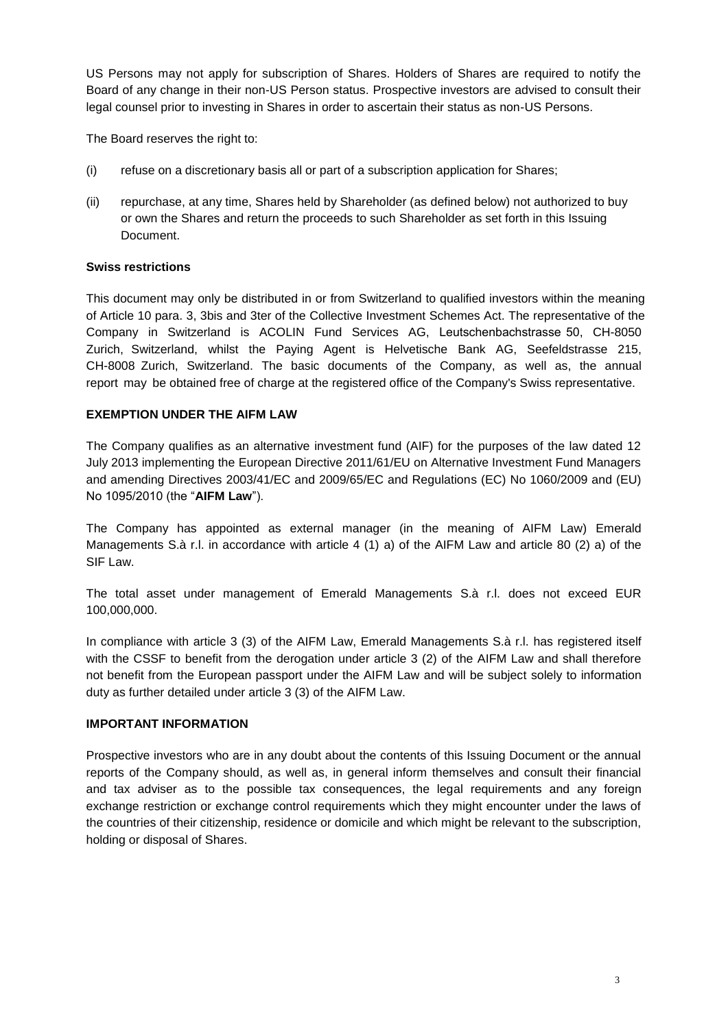US Persons may not apply for subscription of Shares. Holders of Shares are required to notify the Board of any change in their non-US Person status. Prospective investors are advised to consult their legal counsel prior to investing in Shares in order to ascertain their status as non-US Persons.

The Board reserves the right to:

- (i) refuse on a discretionary basis all or part of a subscription application for Shares;
- (ii) repurchase, at any time, Shares held by Shareholder (as defined below) not authorized to buy or own the Shares and return the proceeds to such Shareholder as set forth in this Issuing Document.

# **Swiss restrictions**

This document may only be distributed in or from Switzerland to qualified investors within the meaning of Article 10 para. 3, 3bis and 3ter of the Collective Investment Schemes Act. The representative of the Company in Switzerland is ACOLIN Fund Services AG, Leutschenbachstrasse 50, CH-8050 Zurich, Switzerland, whilst the Paying Agent is Helvetische Bank AG, Seefeldstrasse 215, CH-8008 Zurich, Switzerland. The basic documents of the Company, as well as, the annual report may be obtained free of charge at the registered office of the Company's Swiss representative.

# **EXEMPTION UNDER THE AIFM LAW**

The Company qualifies as an alternative investment fund (AIF) for the purposes of the law dated 12 July 2013 implementing the European Directive 2011/61/EU on Alternative Investment Fund Managers and amending Directives 2003/41/EC and 2009/65/EC and Regulations (EC) No 1060/2009 and (EU) No 1095/2010 (the "**AIFM Law**").

The Company has appointed as external manager (in the meaning of AIFM Law) Emerald Managements S.à r.l. in accordance with article 4 (1) a) of the AIFM Law and article 80 (2) a) of the SIF Law.

The total asset under management of Emerald Managements S.à r.l. does not exceed EUR 100,000,000.

In compliance with article 3 (3) of the AIFM Law, Emerald Managements S.à r.l. has registered itself with the CSSF to benefit from the derogation under article 3 (2) of the AIFM Law and shall therefore not benefit from the European passport under the AIFM Law and will be subject solely to information duty as further detailed under article 3 (3) of the AIFM Law.

### **IMPORTANT INFORMATION**

Prospective investors who are in any doubt about the contents of this Issuing Document or the annual reports of the Company should, as well as, in general inform themselves and consult their financial and tax adviser as to the possible tax consequences, the legal requirements and any foreign exchange restriction or exchange control requirements which they might encounter under the laws of the countries of their citizenship, residence or domicile and which might be relevant to the subscription, holding or disposal of Shares.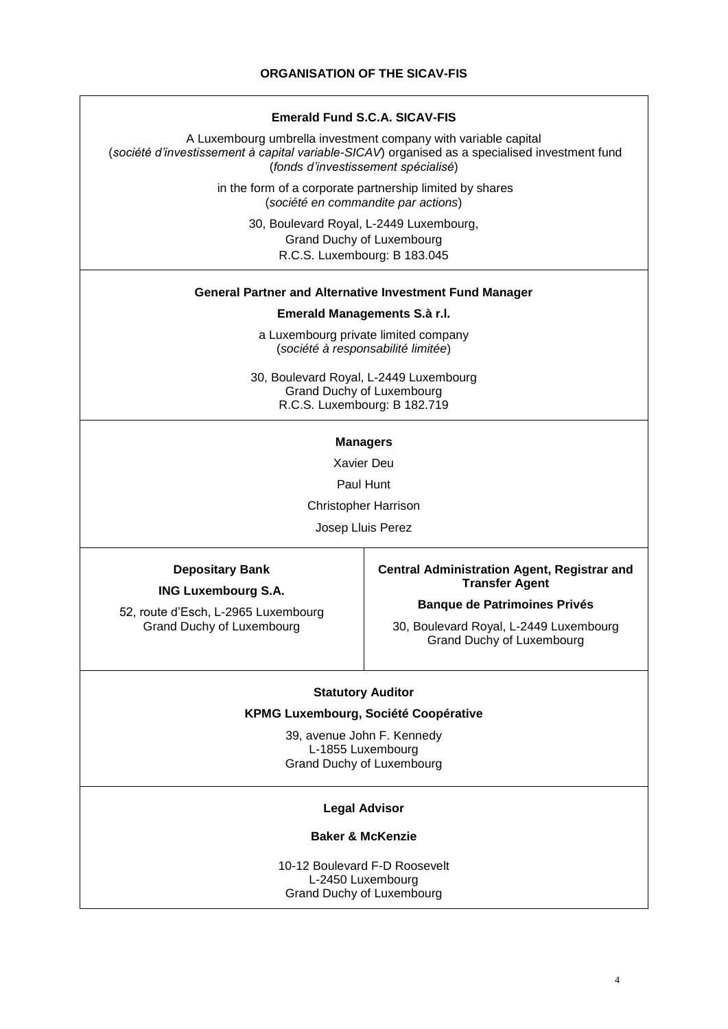#### **Emerald Fund S.C.A. SICAV-FIS**

A Luxembourg umbrella investment company with variable capital (*société d'investissement à capital variable-SICAV*) organised as a specialised investment fund (*fonds d'investissement spécialisé*)

> in the form of a corporate partnership limited by shares (*société en commandite par actions*)

> > 30, Boulevard Royal, L-2449 Luxembourg, Grand Duchy of Luxembourg R.C.S. Luxembourg: B 183.045

#### **General Partner and Alternative Investment Fund Manager**

#### **Emerald Managements S.à r.l.**

a Luxembourg private limited company (*société à responsabilité limitée*)

30, Boulevard Royal, L-2449 Luxembourg Grand Duchy of Luxembourg R.C.S. Luxembourg: B 182.719

#### **Managers**

Xavier Deu

Paul Hunt

Christopher Harrison

Josep Lluis Perez

#### **Depositary Bank**

**ING Luxembourg S.A.**

52, route d'Esch, L-2965 Luxembourg Grand Duchy of Luxembourg

#### **Central Administration Agent, Registrar and Transfer Agent**

#### **Banque de Patrimoines Privés**

30, Boulevard Royal, L-2449 Luxembourg Grand Duchy of Luxembourg

#### **Statutory Auditor**

#### **KPMG Luxembourg, Société Coopérative**

39, avenue John F. Kennedy L-1855 Luxembourg Grand Duchy of Luxembourg

#### **Legal Advisor**

#### **Baker & McKenzie**

10-12 Boulevard F-D Roosevelt L-2450 Luxembourg Grand Duchy of Luxembourg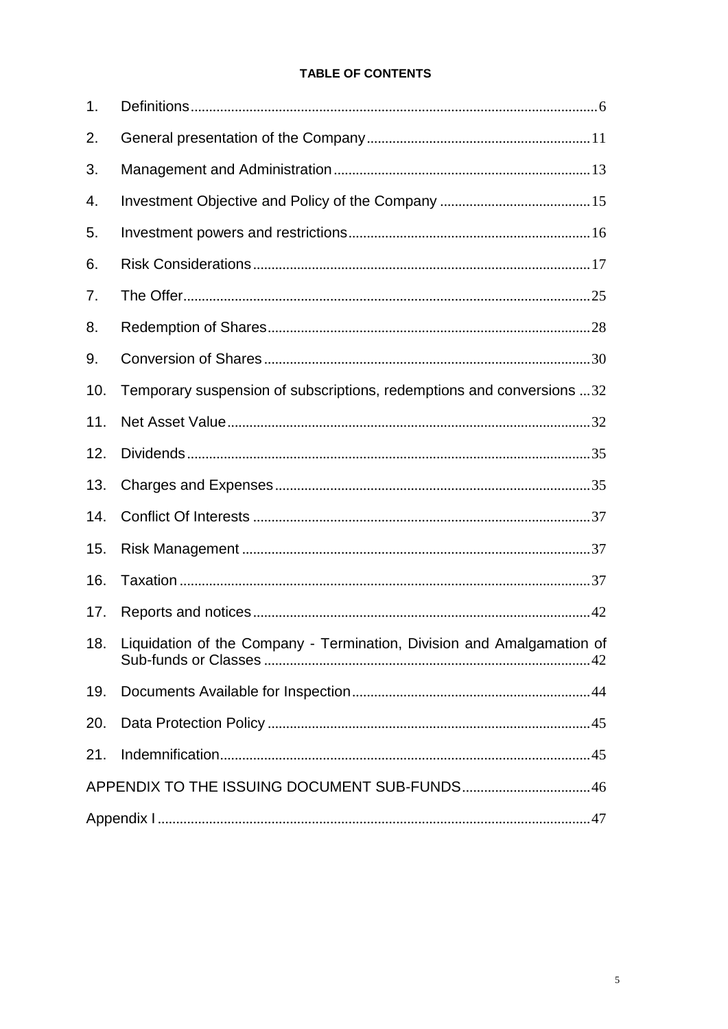# **TABLE OF CONTENTS**

| 1.  |                                                                        |  |
|-----|------------------------------------------------------------------------|--|
| 2.  |                                                                        |  |
| 3.  |                                                                        |  |
| 4.  |                                                                        |  |
| 5.  |                                                                        |  |
| 6.  |                                                                        |  |
| 7.  |                                                                        |  |
| 8.  |                                                                        |  |
| 9.  |                                                                        |  |
| 10. | Temporary suspension of subscriptions, redemptions and conversions 32  |  |
| 11. |                                                                        |  |
| 12. |                                                                        |  |
| 13. |                                                                        |  |
| 14. |                                                                        |  |
| 15. |                                                                        |  |
| 16. |                                                                        |  |
| 17. |                                                                        |  |
| 18. | Liquidation of the Company - Termination, Division and Amalgamation of |  |
| 19. |                                                                        |  |
| 20. |                                                                        |  |
| 21. |                                                                        |  |
|     | APPENDIX TO THE ISSUING DOCUMENT SUB-FUNDS46                           |  |
|     |                                                                        |  |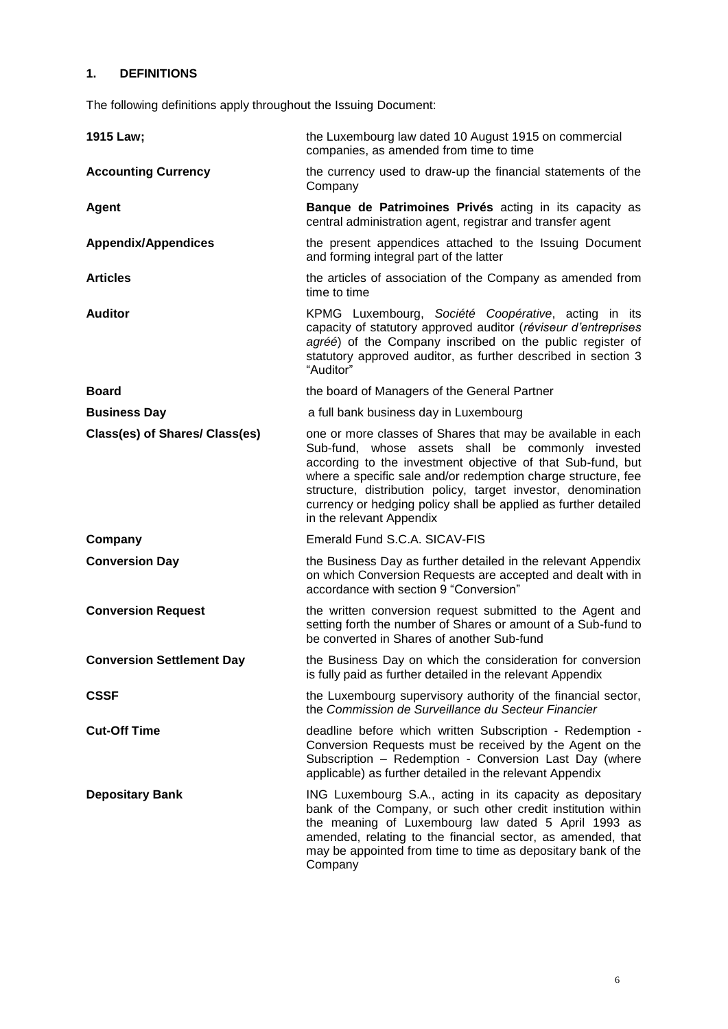# <span id="page-5-0"></span>**1. DEFINITIONS**

The following definitions apply throughout the Issuing Document:

| 1915 Law;                        | the Luxembourg law dated 10 August 1915 on commercial<br>companies, as amended from time to time                                                                                                                                                                                                                                                                                                                 |  |  |  |  |
|----------------------------------|------------------------------------------------------------------------------------------------------------------------------------------------------------------------------------------------------------------------------------------------------------------------------------------------------------------------------------------------------------------------------------------------------------------|--|--|--|--|
| <b>Accounting Currency</b>       | the currency used to draw-up the financial statements of the<br>Company                                                                                                                                                                                                                                                                                                                                          |  |  |  |  |
| <b>Agent</b>                     | Banque de Patrimoines Privés acting in its capacity as<br>central administration agent, registrar and transfer agent                                                                                                                                                                                                                                                                                             |  |  |  |  |
| <b>Appendix/Appendices</b>       | the present appendices attached to the Issuing Document<br>and forming integral part of the latter                                                                                                                                                                                                                                                                                                               |  |  |  |  |
| <b>Articles</b>                  | the articles of association of the Company as amended from<br>time to time                                                                                                                                                                                                                                                                                                                                       |  |  |  |  |
| <b>Auditor</b>                   | KPMG Luxembourg, Société Coopérative, acting in its<br>capacity of statutory approved auditor (réviseur d'entreprises<br>agréé) of the Company inscribed on the public register of<br>statutory approved auditor, as further described in section 3<br>"Auditor"                                                                                                                                                 |  |  |  |  |
| <b>Board</b>                     | the board of Managers of the General Partner                                                                                                                                                                                                                                                                                                                                                                     |  |  |  |  |
| <b>Business Day</b>              | a full bank business day in Luxembourg                                                                                                                                                                                                                                                                                                                                                                           |  |  |  |  |
| Class(es) of Shares/ Class(es)   | one or more classes of Shares that may be available in each<br>Sub-fund, whose assets shall be commonly invested<br>according to the investment objective of that Sub-fund, but<br>where a specific sale and/or redemption charge structure, fee<br>structure, distribution policy, target investor, denomination<br>currency or hedging policy shall be applied as further detailed<br>in the relevant Appendix |  |  |  |  |
| Company                          | Emerald Fund S.C.A. SICAV-FIS                                                                                                                                                                                                                                                                                                                                                                                    |  |  |  |  |
| <b>Conversion Day</b>            | the Business Day as further detailed in the relevant Appendix<br>on which Conversion Requests are accepted and dealt with in<br>accordance with section 9 "Conversion"                                                                                                                                                                                                                                           |  |  |  |  |
| <b>Conversion Request</b>        | the written conversion request submitted to the Agent and<br>setting forth the number of Shares or amount of a Sub-fund to<br>be converted in Shares of another Sub-fund                                                                                                                                                                                                                                         |  |  |  |  |
| <b>Conversion Settlement Day</b> | the Business Day on which the consideration for conversion<br>is fully paid as further detailed in the relevant Appendix                                                                                                                                                                                                                                                                                         |  |  |  |  |
| <b>CSSF</b>                      | the Luxembourg supervisory authority of the financial sector,<br>the Commission de Surveillance du Secteur Financier                                                                                                                                                                                                                                                                                             |  |  |  |  |
| <b>Cut-Off Time</b>              | deadline before which written Subscription - Redemption -<br>Conversion Requests must be received by the Agent on the<br>Subscription - Redemption - Conversion Last Day (where<br>applicable) as further detailed in the relevant Appendix                                                                                                                                                                      |  |  |  |  |
| <b>Depositary Bank</b>           | ING Luxembourg S.A., acting in its capacity as depositary<br>bank of the Company, or such other credit institution within<br>the meaning of Luxembourg law dated 5 April 1993 as<br>amended, relating to the financial sector, as amended, that<br>may be appointed from time to time as depositary bank of the<br>Company                                                                                       |  |  |  |  |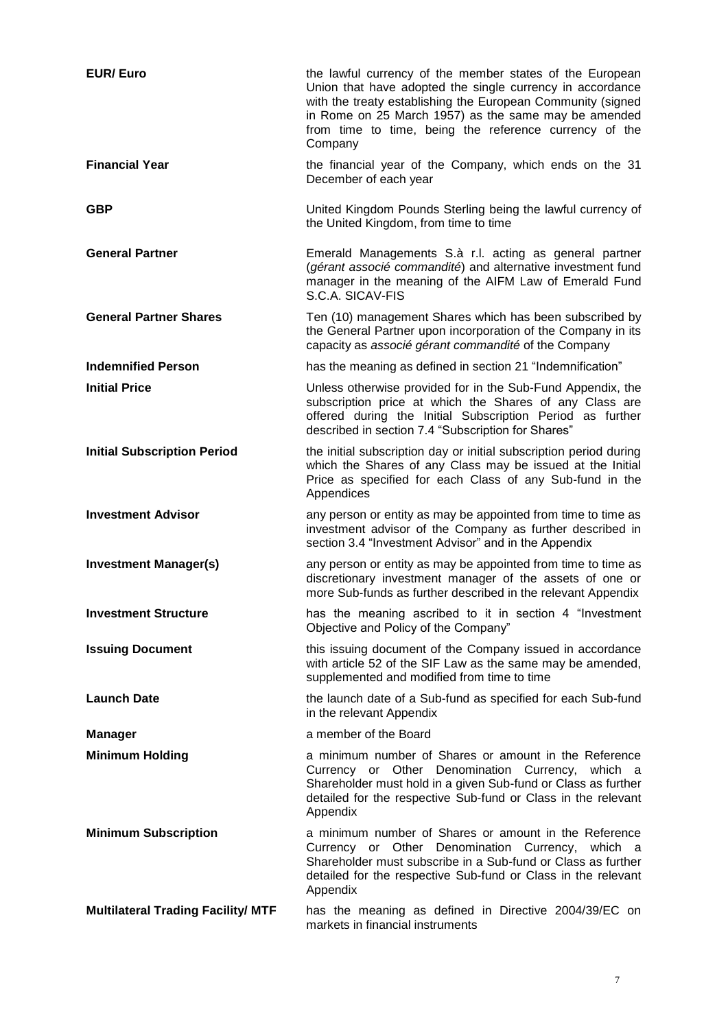| <b>EUR/Euro</b>                           | the lawful currency of the member states of the European<br>Union that have adopted the single currency in accordance<br>with the treaty establishing the European Community (signed<br>in Rome on 25 March 1957) as the same may be amended<br>from time to time, being the reference currency of the<br>Company |
|-------------------------------------------|-------------------------------------------------------------------------------------------------------------------------------------------------------------------------------------------------------------------------------------------------------------------------------------------------------------------|
| <b>Financial Year</b>                     | the financial year of the Company, which ends on the 31<br>December of each year                                                                                                                                                                                                                                  |
| <b>GBP</b>                                | United Kingdom Pounds Sterling being the lawful currency of<br>the United Kingdom, from time to time                                                                                                                                                                                                              |
| <b>General Partner</b>                    | Emerald Managements S.à r.l. acting as general partner<br>(gérant associé commandité) and alternative investment fund<br>manager in the meaning of the AIFM Law of Emerald Fund<br>S.C.A. SICAV-FIS                                                                                                               |
| <b>General Partner Shares</b>             | Ten (10) management Shares which has been subscribed by<br>the General Partner upon incorporation of the Company in its<br>capacity as associé gérant commandité of the Company                                                                                                                                   |
| <b>Indemnified Person</b>                 | has the meaning as defined in section 21 "Indemnification"                                                                                                                                                                                                                                                        |
| <b>Initial Price</b>                      | Unless otherwise provided for in the Sub-Fund Appendix, the<br>subscription price at which the Shares of any Class are<br>offered during the Initial Subscription Period as further<br>described in section 7.4 "Subscription for Shares"                                                                         |
| <b>Initial Subscription Period</b>        | the initial subscription day or initial subscription period during<br>which the Shares of any Class may be issued at the Initial<br>Price as specified for each Class of any Sub-fund in the<br>Appendices                                                                                                        |
| <b>Investment Advisor</b>                 | any person or entity as may be appointed from time to time as<br>investment advisor of the Company as further described in<br>section 3.4 "Investment Advisor" and in the Appendix                                                                                                                                |
| <b>Investment Manager(s)</b>              | any person or entity as may be appointed from time to time as<br>discretionary investment manager of the assets of one or<br>more Sub-funds as further described in the relevant Appendix                                                                                                                         |
| <b>Investment Structure</b>               | has the meaning ascribed to it in section 4 "Investment<br>Objective and Policy of the Company"                                                                                                                                                                                                                   |
| <b>Issuing Document</b>                   | this issuing document of the Company issued in accordance<br>with article 52 of the SIF Law as the same may be amended,<br>supplemented and modified from time to time                                                                                                                                            |
| <b>Launch Date</b>                        | the launch date of a Sub-fund as specified for each Sub-fund<br>in the relevant Appendix                                                                                                                                                                                                                          |
| <b>Manager</b>                            | a member of the Board                                                                                                                                                                                                                                                                                             |
| <b>Minimum Holding</b>                    | a minimum number of Shares or amount in the Reference<br>Currency or Other Denomination Currency, which a<br>Shareholder must hold in a given Sub-fund or Class as further<br>detailed for the respective Sub-fund or Class in the relevant<br>Appendix                                                           |
| <b>Minimum Subscription</b>               | a minimum number of Shares or amount in the Reference<br>Currency or Other Denomination Currency, which a<br>Shareholder must subscribe in a Sub-fund or Class as further<br>detailed for the respective Sub-fund or Class in the relevant<br>Appendix                                                            |
| <b>Multilateral Trading Facility/ MTF</b> | has the meaning as defined in Directive 2004/39/EC on<br>markets in financial instruments                                                                                                                                                                                                                         |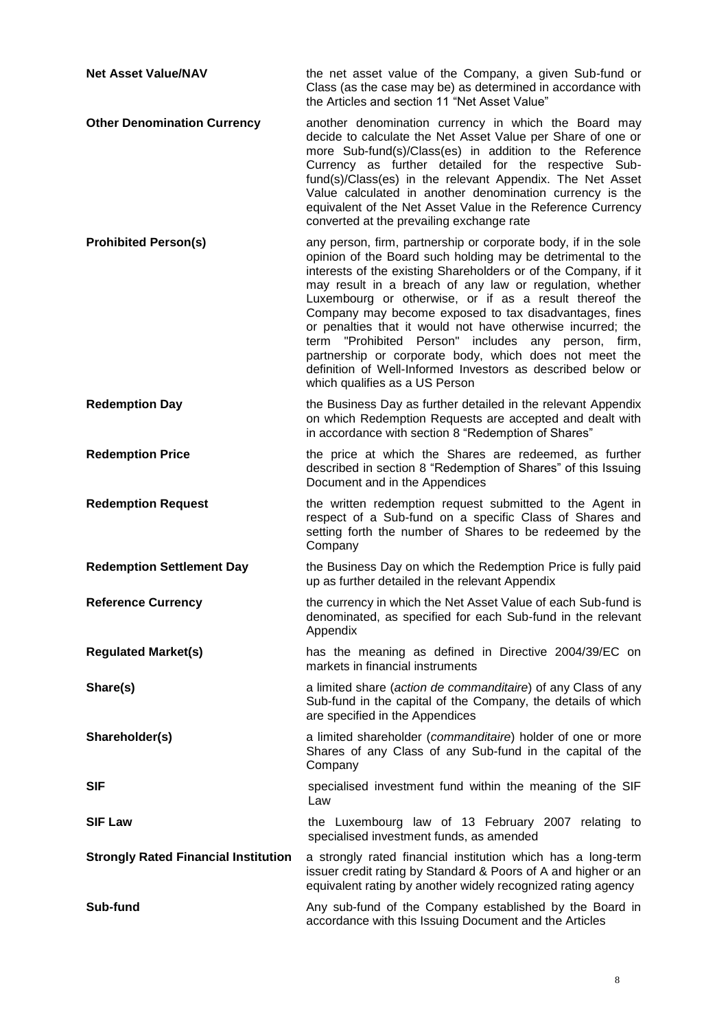| <b>Net Asset Value/NAV</b>                  | the net asset value of the Company, a given Sub-fund or<br>Class (as the case may be) as determined in accordance with<br>the Articles and section 11 "Net Asset Value"                                                                                                                                                                                                                                                                                                                                                                                                                                                                                               |  |  |  |  |
|---------------------------------------------|-----------------------------------------------------------------------------------------------------------------------------------------------------------------------------------------------------------------------------------------------------------------------------------------------------------------------------------------------------------------------------------------------------------------------------------------------------------------------------------------------------------------------------------------------------------------------------------------------------------------------------------------------------------------------|--|--|--|--|
| <b>Other Denomination Currency</b>          | another denomination currency in which the Board may<br>decide to calculate the Net Asset Value per Share of one or<br>more Sub-fund(s)/Class(es) in addition to the Reference<br>Currency as further detailed for the respective Sub-<br>fund(s)/Class(es) in the relevant Appendix. The Net Asset<br>Value calculated in another denomination currency is the<br>equivalent of the Net Asset Value in the Reference Currency<br>converted at the prevailing exchange rate                                                                                                                                                                                           |  |  |  |  |
| <b>Prohibited Person(s)</b>                 | any person, firm, partnership or corporate body, if in the sole<br>opinion of the Board such holding may be detrimental to the<br>interests of the existing Shareholders or of the Company, if it<br>may result in a breach of any law or regulation, whether<br>Luxembourg or otherwise, or if as a result thereof the<br>Company may become exposed to tax disadvantages, fines<br>or penalties that it would not have otherwise incurred; the<br>"Prohibited Person" includes any person, firm,<br>term<br>partnership or corporate body, which does not meet the<br>definition of Well-Informed Investors as described below or<br>which qualifies as a US Person |  |  |  |  |
| <b>Redemption Day</b>                       | the Business Day as further detailed in the relevant Appendix<br>on which Redemption Requests are accepted and dealt with<br>in accordance with section 8 "Redemption of Shares"                                                                                                                                                                                                                                                                                                                                                                                                                                                                                      |  |  |  |  |
| <b>Redemption Price</b>                     | the price at which the Shares are redeemed, as further<br>described in section 8 "Redemption of Shares" of this Issuing<br>Document and in the Appendices                                                                                                                                                                                                                                                                                                                                                                                                                                                                                                             |  |  |  |  |
|                                             |                                                                                                                                                                                                                                                                                                                                                                                                                                                                                                                                                                                                                                                                       |  |  |  |  |
| <b>Redemption Request</b>                   | the written redemption request submitted to the Agent in<br>respect of a Sub-fund on a specific Class of Shares and<br>setting forth the number of Shares to be redeemed by the<br>Company                                                                                                                                                                                                                                                                                                                                                                                                                                                                            |  |  |  |  |
| <b>Redemption Settlement Day</b>            | the Business Day on which the Redemption Price is fully paid<br>up as further detailed in the relevant Appendix                                                                                                                                                                                                                                                                                                                                                                                                                                                                                                                                                       |  |  |  |  |
| <b>Reference Currency</b>                   | the currency in which the Net Asset Value of each Sub-fund is<br>denominated, as specified for each Sub-fund in the relevant<br>Appendix                                                                                                                                                                                                                                                                                                                                                                                                                                                                                                                              |  |  |  |  |
| <b>Regulated Market(s)</b>                  | has the meaning as defined in Directive 2004/39/EC on<br>markets in financial instruments                                                                                                                                                                                                                                                                                                                                                                                                                                                                                                                                                                             |  |  |  |  |
| Share(s)                                    | a limited share (action de commanditaire) of any Class of any<br>Sub-fund in the capital of the Company, the details of which<br>are specified in the Appendices                                                                                                                                                                                                                                                                                                                                                                                                                                                                                                      |  |  |  |  |
| Shareholder(s)                              | a limited shareholder (commanditaire) holder of one or more<br>Shares of any Class of any Sub-fund in the capital of the<br>Company                                                                                                                                                                                                                                                                                                                                                                                                                                                                                                                                   |  |  |  |  |
| <b>SIF</b>                                  | specialised investment fund within the meaning of the SIF<br>Law                                                                                                                                                                                                                                                                                                                                                                                                                                                                                                                                                                                                      |  |  |  |  |
| <b>SIF Law</b>                              | the Luxembourg law of 13 February 2007 relating to<br>specialised investment funds, as amended                                                                                                                                                                                                                                                                                                                                                                                                                                                                                                                                                                        |  |  |  |  |
| <b>Strongly Rated Financial Institution</b> | a strongly rated financial institution which has a long-term<br>issuer credit rating by Standard & Poors of A and higher or an<br>equivalent rating by another widely recognized rating agency                                                                                                                                                                                                                                                                                                                                                                                                                                                                        |  |  |  |  |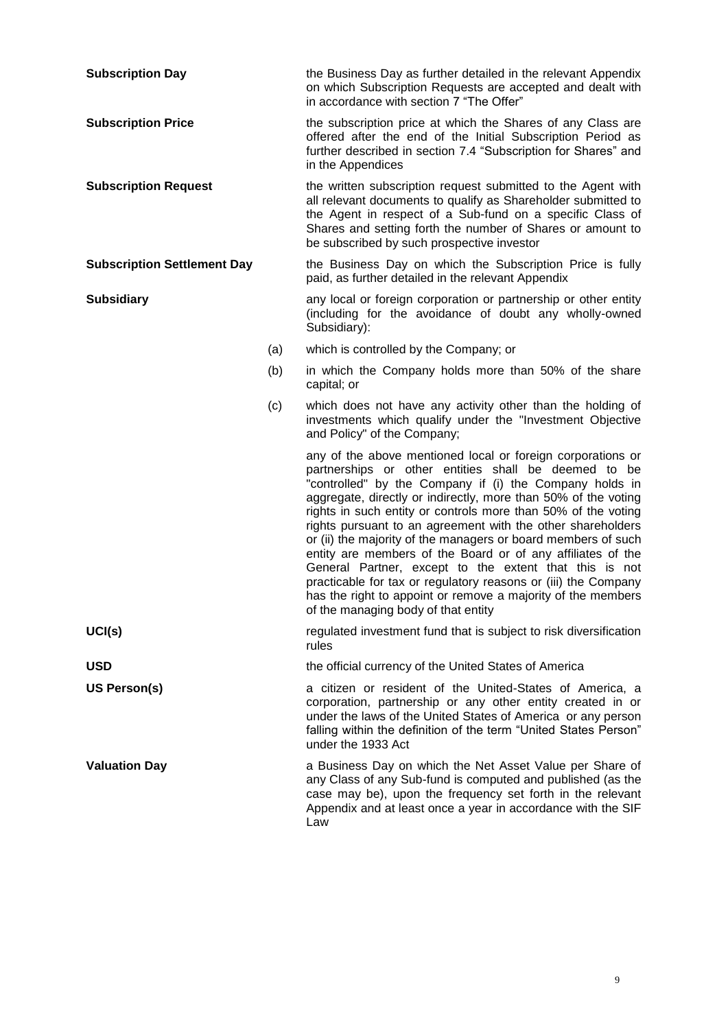| <b>Subscription Day</b>            |     | the Business Day as further detailed in the relevant Appendix<br>on which Subscription Requests are accepted and dealt with<br>in accordance with section 7 "The Offer"                                                                                                                                                                                                                                                                                                                                                                                                                                                                                                                                                                             |  |  |  |  |
|------------------------------------|-----|-----------------------------------------------------------------------------------------------------------------------------------------------------------------------------------------------------------------------------------------------------------------------------------------------------------------------------------------------------------------------------------------------------------------------------------------------------------------------------------------------------------------------------------------------------------------------------------------------------------------------------------------------------------------------------------------------------------------------------------------------------|--|--|--|--|
| <b>Subscription Price</b>          |     | the subscription price at which the Shares of any Class are<br>offered after the end of the Initial Subscription Period as<br>further described in section 7.4 "Subscription for Shares" and<br>in the Appendices                                                                                                                                                                                                                                                                                                                                                                                                                                                                                                                                   |  |  |  |  |
| <b>Subscription Request</b>        |     | the written subscription request submitted to the Agent with<br>all relevant documents to qualify as Shareholder submitted to<br>the Agent in respect of a Sub-fund on a specific Class of<br>Shares and setting forth the number of Shares or amount to<br>be subscribed by such prospective investor                                                                                                                                                                                                                                                                                                                                                                                                                                              |  |  |  |  |
| <b>Subscription Settlement Day</b> |     | the Business Day on which the Subscription Price is fully<br>paid, as further detailed in the relevant Appendix                                                                                                                                                                                                                                                                                                                                                                                                                                                                                                                                                                                                                                     |  |  |  |  |
| <b>Subsidiary</b>                  |     | any local or foreign corporation or partnership or other entity<br>(including for the avoidance of doubt any wholly-owned<br>Subsidiary):                                                                                                                                                                                                                                                                                                                                                                                                                                                                                                                                                                                                           |  |  |  |  |
|                                    | (a) | which is controlled by the Company; or                                                                                                                                                                                                                                                                                                                                                                                                                                                                                                                                                                                                                                                                                                              |  |  |  |  |
|                                    | (b) | in which the Company holds more than 50% of the share<br>capital; or                                                                                                                                                                                                                                                                                                                                                                                                                                                                                                                                                                                                                                                                                |  |  |  |  |
|                                    | (c) | which does not have any activity other than the holding of<br>investments which qualify under the "Investment Objective<br>and Policy" of the Company;                                                                                                                                                                                                                                                                                                                                                                                                                                                                                                                                                                                              |  |  |  |  |
|                                    |     | any of the above mentioned local or foreign corporations or<br>partnerships or other entities shall be deemed to be<br>"controlled" by the Company if (i) the Company holds in<br>aggregate, directly or indirectly, more than 50% of the voting<br>rights in such entity or controls more than 50% of the voting<br>rights pursuant to an agreement with the other shareholders<br>or (ii) the majority of the managers or board members of such<br>entity are members of the Board or of any affiliates of the<br>General Partner, except to the extent that this is not<br>practicable for tax or regulatory reasons or (iii) the Company<br>has the right to appoint or remove a majority of the members<br>of the managing body of that entity |  |  |  |  |
| UCI(s)                             |     | regulated investment fund that is subject to risk diversification<br>rules                                                                                                                                                                                                                                                                                                                                                                                                                                                                                                                                                                                                                                                                          |  |  |  |  |
| <b>USD</b>                         |     | the official currency of the United States of America                                                                                                                                                                                                                                                                                                                                                                                                                                                                                                                                                                                                                                                                                               |  |  |  |  |
| US Person(s)                       |     | a citizen or resident of the United-States of America, a<br>corporation, partnership or any other entity created in or<br>under the laws of the United States of America or any person<br>falling within the definition of the term "United States Person"<br>under the 1933 Act                                                                                                                                                                                                                                                                                                                                                                                                                                                                    |  |  |  |  |
| <b>Valuation Day</b>               |     | a Business Day on which the Net Asset Value per Share of<br>any Class of any Sub-fund is computed and published (as the<br>case may be), upon the frequency set forth in the relevant<br>Appendix and at least once a year in accordance with the SIF<br>Law                                                                                                                                                                                                                                                                                                                                                                                                                                                                                        |  |  |  |  |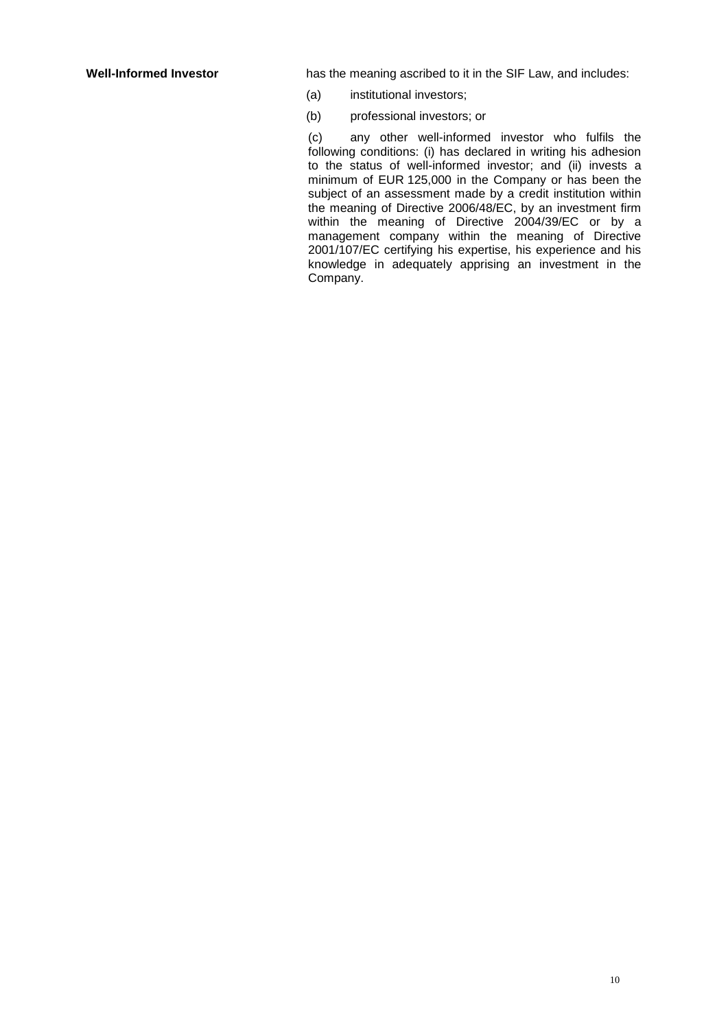**Well-Informed Investor** has the meaning ascribed to it in the SIF Law, and includes:

- (a) institutional investors;
- (b) professional investors; or

(c) any other well-informed investor who fulfils the following conditions: (i) has declared in writing his adhesion to the status of well-informed investor; and (ii) invests a minimum of EUR 125,000 in the Company or has been the subject of an assessment made by a credit institution within the meaning of Directive 2006/48/EC, by an investment firm within the meaning of Directive 2004/39/EC or by a management company within the meaning of Directive 2001/107/EC certifying his expertise, his experience and his knowledge in adequately apprising an investment in the Company.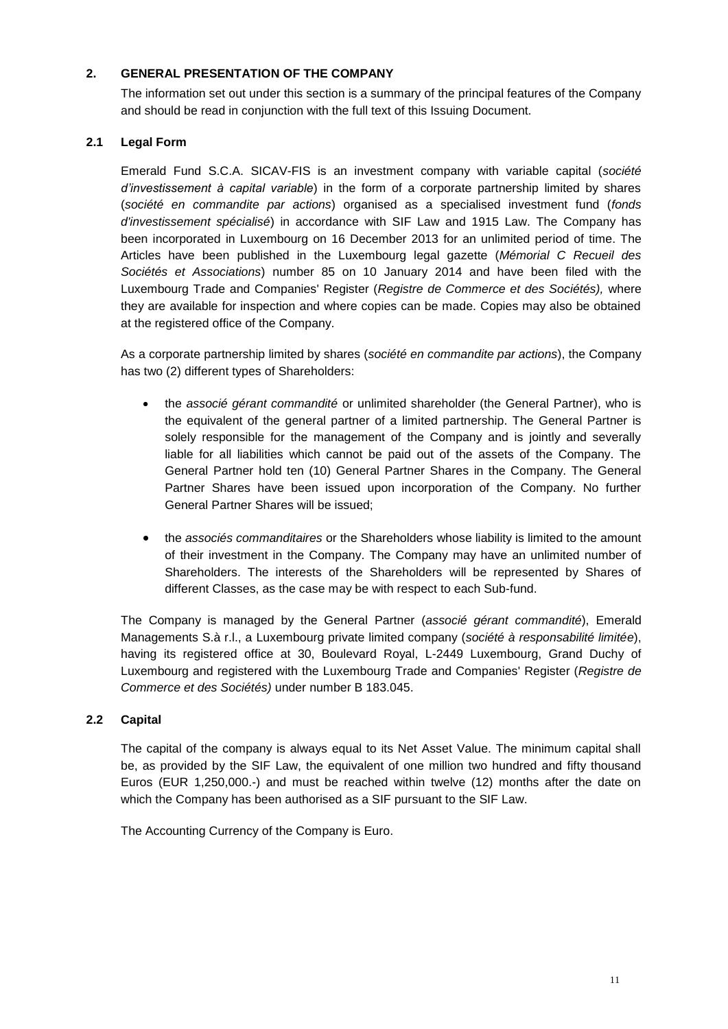# <span id="page-10-0"></span>**2. GENERAL PRESENTATION OF THE COMPANY**

The information set out under this section is a summary of the principal features of the Company and should be read in conjunction with the full text of this Issuing Document.

# **2.1 Legal Form**

Emerald Fund S.C.A. SICAV-FIS is an investment company with variable capital (*société d'investissement à capital variable*) in the form of a corporate partnership limited by shares (*société en commandite par actions*) organised as a specialised investment fund (*fonds d'investissement spécialisé*) in accordance with SIF Law and 1915 Law. The Company has been incorporated in Luxembourg on 16 December 2013 for an unlimited period of time. The Articles have been published in the Luxembourg legal gazette (*Mémorial C Recueil des Sociétés et Associations*) number 85 on 10 January 2014 and have been filed with the Luxembourg Trade and Companies' Register (*Registre de Commerce et des Sociétés),* where they are available for inspection and where copies can be made. Copies may also be obtained at the registered office of the Company.

As a corporate partnership limited by shares (*société en commandite par actions*), the Company has two (2) different types of Shareholders:

- the *associé gérant commandité* or unlimited shareholder (the General Partner), who is the equivalent of the general partner of a limited partnership. The General Partner is solely responsible for the management of the Company and is jointly and severally liable for all liabilities which cannot be paid out of the assets of the Company. The General Partner hold ten (10) General Partner Shares in the Company. The General Partner Shares have been issued upon incorporation of the Company. No further General Partner Shares will be issued;
- the *associés commanditaires* or the Shareholders whose liability is limited to the amount of their investment in the Company. The Company may have an unlimited number of Shareholders. The interests of the Shareholders will be represented by Shares of different Classes, as the case may be with respect to each Sub-fund.

The Company is managed by the General Partner (*associé gérant commandité*), Emerald Managements S.à r.l., a Luxembourg private limited company (*société à responsabilité limitée*), having its registered office at 30, Boulevard Royal, L-2449 Luxembourg, Grand Duchy of Luxembourg and registered with the Luxembourg Trade and Companies' Register (*Registre de Commerce et des Sociétés)* under number B 183.045.

### **2.2 Capital**

The capital of the company is always equal to its Net Asset Value. The minimum capital shall be, as provided by the SIF Law, the equivalent of one million two hundred and fifty thousand Euros (EUR 1,250,000.-) and must be reached within twelve (12) months after the date on which the Company has been authorised as a SIF pursuant to the SIF Law.

The Accounting Currency of the Company is Euro.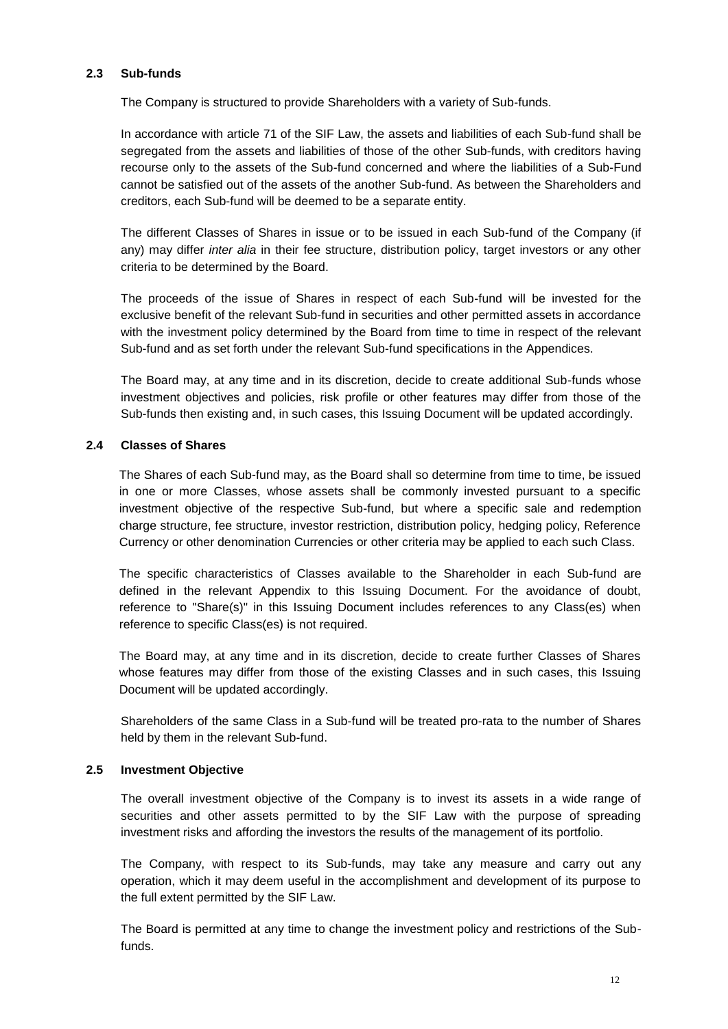#### **2.3 Sub-funds**

The Company is structured to provide Shareholders with a variety of Sub-funds.

In accordance with article 71 of the SIF Law, the assets and liabilities of each Sub-fund shall be segregated from the assets and liabilities of those of the other Sub-funds, with creditors having recourse only to the assets of the Sub-fund concerned and where the liabilities of a Sub-Fund cannot be satisfied out of the assets of the another Sub-fund. As between the Shareholders and creditors, each Sub-fund will be deemed to be a separate entity.

The different Classes of Shares in issue or to be issued in each Sub-fund of the Company (if any) may differ *inter alia* in their fee structure, distribution policy, target investors or any other criteria to be determined by the Board.

The proceeds of the issue of Shares in respect of each Sub-fund will be invested for the exclusive benefit of the relevant Sub-fund in securities and other permitted assets in accordance with the investment policy determined by the Board from time to time in respect of the relevant Sub-fund and as set forth under the relevant Sub-fund specifications in the Appendices.

The Board may, at any time and in its discretion, decide to create additional Sub-funds whose investment objectives and policies, risk profile or other features may differ from those of the Sub-funds then existing and, in such cases, this Issuing Document will be updated accordingly.

### **2.4 Classes of Shares**

The Shares of each Sub-fund may, as the Board shall so determine from time to time, be issued in one or more Classes, whose assets shall be commonly invested pursuant to a specific investment objective of the respective Sub-fund, but where a specific sale and redemption charge structure, fee structure, investor restriction, distribution policy, hedging policy, Reference Currency or other denomination Currencies or other criteria may be applied to each such Class.

The specific characteristics of Classes available to the Shareholder in each Sub-fund are defined in the relevant Appendix to this Issuing Document. For the avoidance of doubt, reference to "Share(s)" in this Issuing Document includes references to any Class(es) when reference to specific Class(es) is not required.

The Board may, at any time and in its discretion, decide to create further Classes of Shares whose features may differ from those of the existing Classes and in such cases, this Issuing Document will be updated accordingly.

Shareholders of the same Class in a Sub-fund will be treated pro-rata to the number of Shares held by them in the relevant Sub-fund.

# **2.5 Investment Objective**

The overall investment objective of the Company is to invest its assets in a wide range of securities and other assets permitted to by the SIF Law with the purpose of spreading investment risks and affording the investors the results of the management of its portfolio.

The Company, with respect to its Sub-funds, may take any measure and carry out any operation, which it may deem useful in the accomplishment and development of its purpose to the full extent permitted by the SIF Law.

The Board is permitted at any time to change the investment policy and restrictions of the Subfunds.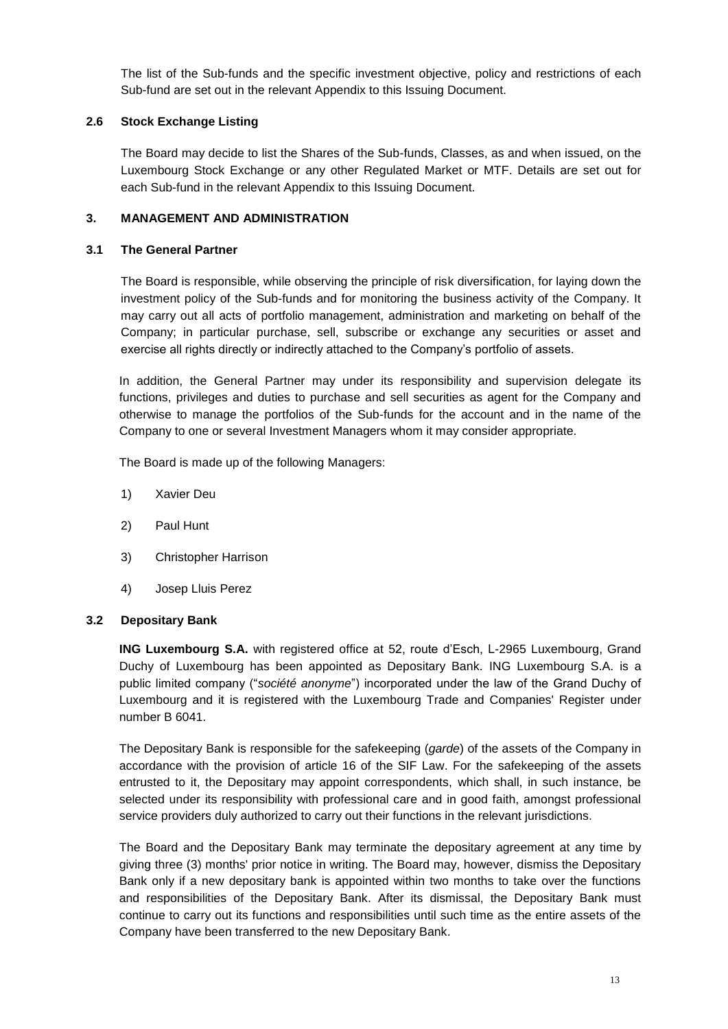The list of the Sub-funds and the specific investment objective, policy and restrictions of each Sub-fund are set out in the relevant Appendix to this Issuing Document.

# **2.6 Stock Exchange Listing**

The Board may decide to list the Shares of the Sub-funds, Classes, as and when issued, on the Luxembourg Stock Exchange or any other Regulated Market or MTF. Details are set out for each Sub-fund in the relevant Appendix to this Issuing Document.

# <span id="page-12-0"></span>**3. MANAGEMENT AND ADMINISTRATION**

# **3.1 The General Partner**

The Board is responsible, while observing the principle of risk diversification, for laying down the investment policy of the Sub-funds and for monitoring the business activity of the Company. It may carry out all acts of portfolio management, administration and marketing on behalf of the Company; in particular purchase, sell, subscribe or exchange any securities or asset and exercise all rights directly or indirectly attached to the Company's portfolio of assets.

In addition, the General Partner may under its responsibility and supervision delegate its functions, privileges and duties to purchase and sell securities as agent for the Company and otherwise to manage the portfolios of the Sub-funds for the account and in the name of the Company to one or several Investment Managers whom it may consider appropriate.

The Board is made up of the following Managers:

- 1) Xavier Deu
- 2) Paul Hunt
- 3) Christopher Harrison
- 4) Josep Lluis Perez

### **3.2 Depositary Bank**

**ING Luxembourg S.A.** with registered office at 52, route d'Esch, L-2965 Luxembourg, Grand Duchy of Luxembourg has been appointed as Depositary Bank. ING Luxembourg S.A. is a public limited company ("*société anonyme*") incorporated under the law of the Grand Duchy of Luxembourg and it is registered with the Luxembourg Trade and Companies' Register under number B 6041.

The Depositary Bank is responsible for the safekeeping (*garde*) of the assets of the Company in accordance with the provision of article 16 of the SIF Law. For the safekeeping of the assets entrusted to it, the Depositary may appoint correspondents, which shall, in such instance, be selected under its responsibility with professional care and in good faith, amongst professional service providers duly authorized to carry out their functions in the relevant jurisdictions.

The Board and the Depositary Bank may terminate the depositary agreement at any time by giving three (3) months' prior notice in writing. The Board may, however, dismiss the Depositary Bank only if a new depositary bank is appointed within two months to take over the functions and responsibilities of the Depositary Bank. After its dismissal, the Depositary Bank must continue to carry out its functions and responsibilities until such time as the entire assets of the Company have been transferred to the new Depositary Bank.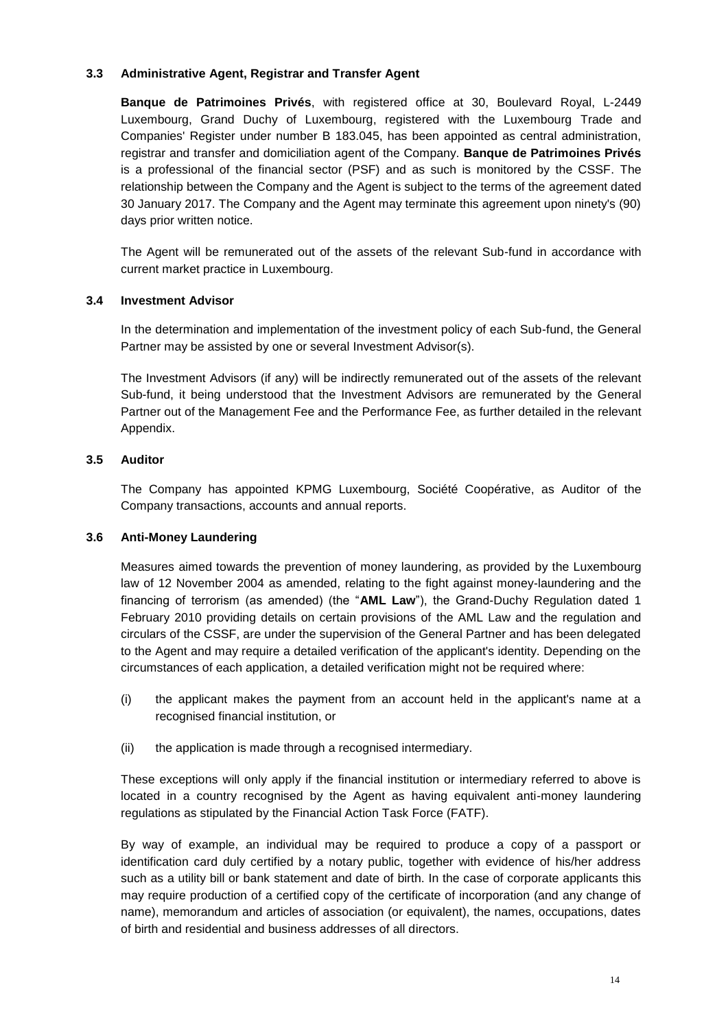# **3.3 Administrative Agent, Registrar and Transfer Agent**

**Banque de Patrimoines Privés**, with registered office at 30, Boulevard Royal, L-2449 Luxembourg, Grand Duchy of Luxembourg, registered with the Luxembourg Trade and Companies' Register under number B 183.045, has been appointed as central administration, registrar and transfer and domiciliation agent of the Company. **Banque de Patrimoines Privés** is a professional of the financial sector (PSF) and as such is monitored by the CSSF. The relationship between the Company and the Agent is subject to the terms of the agreement dated 30 January 2017. The Company and the Agent may terminate this agreement upon ninety's (90) days prior written notice.

The Agent will be remunerated out of the assets of the relevant Sub-fund in accordance with current market practice in Luxembourg.

# **3.4 Investment Advisor**

In the determination and implementation of the investment policy of each Sub-fund, the General Partner may be assisted by one or several Investment Advisor(s).

The Investment Advisors (if any) will be indirectly remunerated out of the assets of the relevant Sub-fund, it being understood that the Investment Advisors are remunerated by the General Partner out of the Management Fee and the Performance Fee, as further detailed in the relevant Appendix.

# **3.5 Auditor**

The Company has appointed KPMG Luxembourg, Société Coopérative, as Auditor of the Company transactions, accounts and annual reports.

### **3.6 Anti-Money Laundering**

Measures aimed towards the prevention of money laundering, as provided by the Luxembourg law of 12 November 2004 as amended, relating to the fight against money-laundering and the financing of terrorism (as amended) (the "**AML Law**"), the Grand-Duchy Regulation dated 1 February 2010 providing details on certain provisions of the AML Law and the regulation and circulars of the CSSF, are under the supervision of the General Partner and has been delegated to the Agent and may require a detailed verification of the applicant's identity. Depending on the circumstances of each application, a detailed verification might not be required where:

- (i) the applicant makes the payment from an account held in the applicant's name at a recognised financial institution, or
- (ii) the application is made through a recognised intermediary.

These exceptions will only apply if the financial institution or intermediary referred to above is located in a country recognised by the Agent as having equivalent anti-money laundering regulations as stipulated by the Financial Action Task Force (FATF).

By way of example, an individual may be required to produce a copy of a passport or identification card duly certified by a notary public, together with evidence of his/her address such as a utility bill or bank statement and date of birth. In the case of corporate applicants this may require production of a certified copy of the certificate of incorporation (and any change of name), memorandum and articles of association (or equivalent), the names, occupations, dates of birth and residential and business addresses of all directors.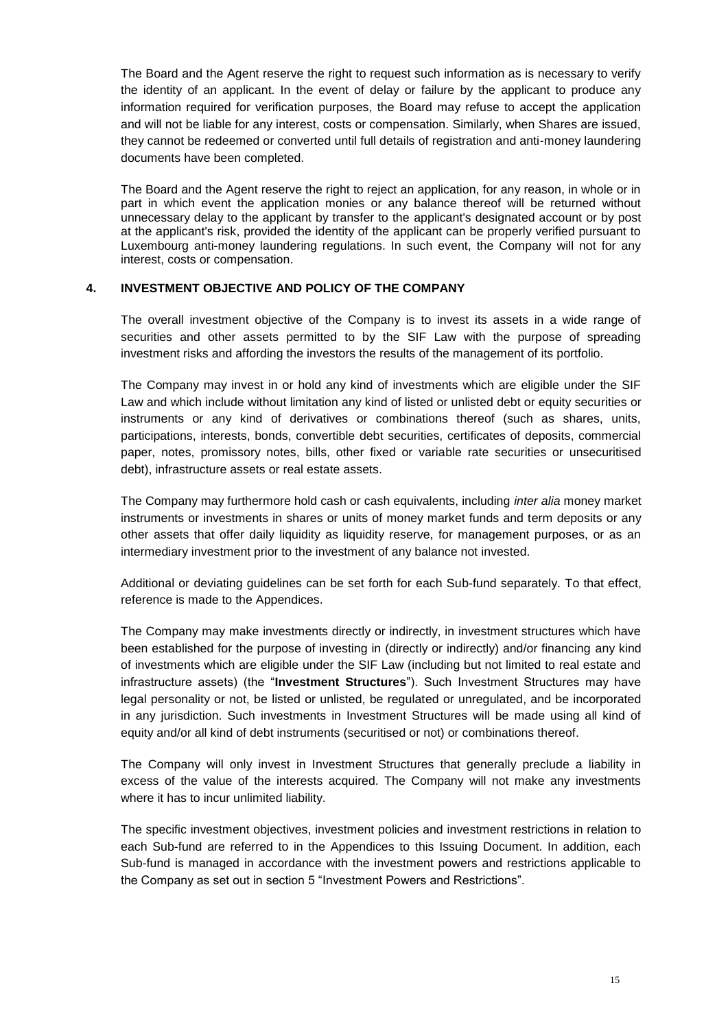The Board and the Agent reserve the right to request such information as is necessary to verify the identity of an applicant. In the event of delay or failure by the applicant to produce any information required for verification purposes, the Board may refuse to accept the application and will not be liable for any interest, costs or compensation. Similarly, when Shares are issued, they cannot be redeemed or converted until full details of registration and anti-money laundering documents have been completed.

The Board and the Agent reserve the right to reject an application, for any reason, in whole or in part in which event the application monies or any balance thereof will be returned without unnecessary delay to the applicant by transfer to the applicant's designated account or by post at the applicant's risk, provided the identity of the applicant can be properly verified pursuant to Luxembourg anti-money laundering regulations. In such event, the Company will not for any interest, costs or compensation.

# <span id="page-14-0"></span>**4. INVESTMENT OBJECTIVE AND POLICY OF THE COMPANY**

The overall investment objective of the Company is to invest its assets in a wide range of securities and other assets permitted to by the SIF Law with the purpose of spreading investment risks and affording the investors the results of the management of its portfolio.

The Company may invest in or hold any kind of investments which are eligible under the SIF Law and which include without limitation any kind of listed or unlisted debt or equity securities or instruments or any kind of derivatives or combinations thereof (such as shares, units, participations, interests, bonds, convertible debt securities, certificates of deposits, commercial paper, notes, promissory notes, bills, other fixed or variable rate securities or unsecuritised debt), infrastructure assets or real estate assets.

The Company may furthermore hold cash or cash equivalents, including *inter alia* money market instruments or investments in shares or units of money market funds and term deposits or any other assets that offer daily liquidity as liquidity reserve, for management purposes, or as an intermediary investment prior to the investment of any balance not invested.

Additional or deviating guidelines can be set forth for each Sub-fund separately. To that effect, reference is made to the Appendices.

The Company may make investments directly or indirectly, in investment structures which have been established for the purpose of investing in (directly or indirectly) and/or financing any kind of investments which are eligible under the SIF Law (including but not limited to real estate and infrastructure assets) (the "**Investment Structures**"). Such Investment Structures may have legal personality or not, be listed or unlisted, be regulated or unregulated, and be incorporated in any jurisdiction. Such investments in Investment Structures will be made using all kind of equity and/or all kind of debt instruments (securitised or not) or combinations thereof.

The Company will only invest in Investment Structures that generally preclude a liability in excess of the value of the interests acquired. The Company will not make any investments where it has to incur unlimited liability.

The specific investment objectives, investment policies and investment restrictions in relation to each Sub-fund are referred to in the Appendices to this Issuing Document. In addition, each Sub-fund is managed in accordance with the investment powers and restrictions applicable to the Company as set out in section 5 "Investment Powers and Restrictions".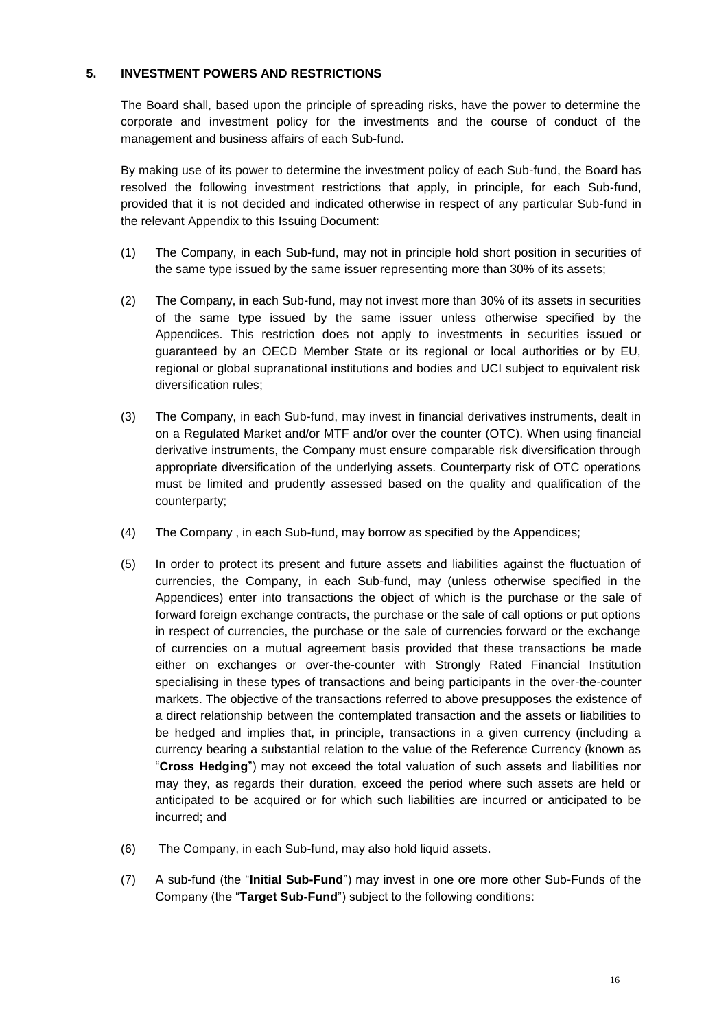# <span id="page-15-0"></span>**5. INVESTMENT POWERS AND RESTRICTIONS**

The Board shall, based upon the principle of spreading risks, have the power to determine the corporate and investment policy for the investments and the course of conduct of the management and business affairs of each Sub-fund.

By making use of its power to determine the investment policy of each Sub-fund, the Board has resolved the following investment restrictions that apply, in principle, for each Sub-fund, provided that it is not decided and indicated otherwise in respect of any particular Sub-fund in the relevant Appendix to this Issuing Document:

- (1) The Company, in each Sub-fund, may not in principle hold short position in securities of the same type issued by the same issuer representing more than 30% of its assets;
- (2) The Company, in each Sub-fund, may not invest more than 30% of its assets in securities of the same type issued by the same issuer unless otherwise specified by the Appendices. This restriction does not apply to investments in securities issued or guaranteed by an OECD Member State or its regional or local authorities or by EU, regional or global supranational institutions and bodies and UCI subject to equivalent risk diversification rules;
- (3) The Company, in each Sub-fund, may invest in financial derivatives instruments, dealt in on a Regulated Market and/or MTF and/or over the counter (OTC). When using financial derivative instruments, the Company must ensure comparable risk diversification through appropriate diversification of the underlying assets. Counterparty risk of OTC operations must be limited and prudently assessed based on the quality and qualification of the counterparty;
- (4) The Company , in each Sub-fund, may borrow as specified by the Appendices;
- (5) In order to protect its present and future assets and liabilities against the fluctuation of currencies, the Company, in each Sub-fund, may (unless otherwise specified in the Appendices) enter into transactions the object of which is the purchase or the sale of forward foreign exchange contracts, the purchase or the sale of call options or put options in respect of currencies, the purchase or the sale of currencies forward or the exchange of currencies on a mutual agreement basis provided that these transactions be made either on exchanges or over-the-counter with Strongly Rated Financial Institution specialising in these types of transactions and being participants in the over-the-counter markets. The objective of the transactions referred to above presupposes the existence of a direct relationship between the contemplated transaction and the assets or liabilities to be hedged and implies that, in principle, transactions in a given currency (including a currency bearing a substantial relation to the value of the Reference Currency (known as "**Cross Hedging**") may not exceed the total valuation of such assets and liabilities nor may they, as regards their duration, exceed the period where such assets are held or anticipated to be acquired or for which such liabilities are incurred or anticipated to be incurred; and
- (6) The Company, in each Sub-fund, may also hold liquid assets.
- (7) A sub-fund (the "**Initial Sub-Fund**") may invest in one ore more other Sub-Funds of the Company (the "**Target Sub-Fund**") subject to the following conditions: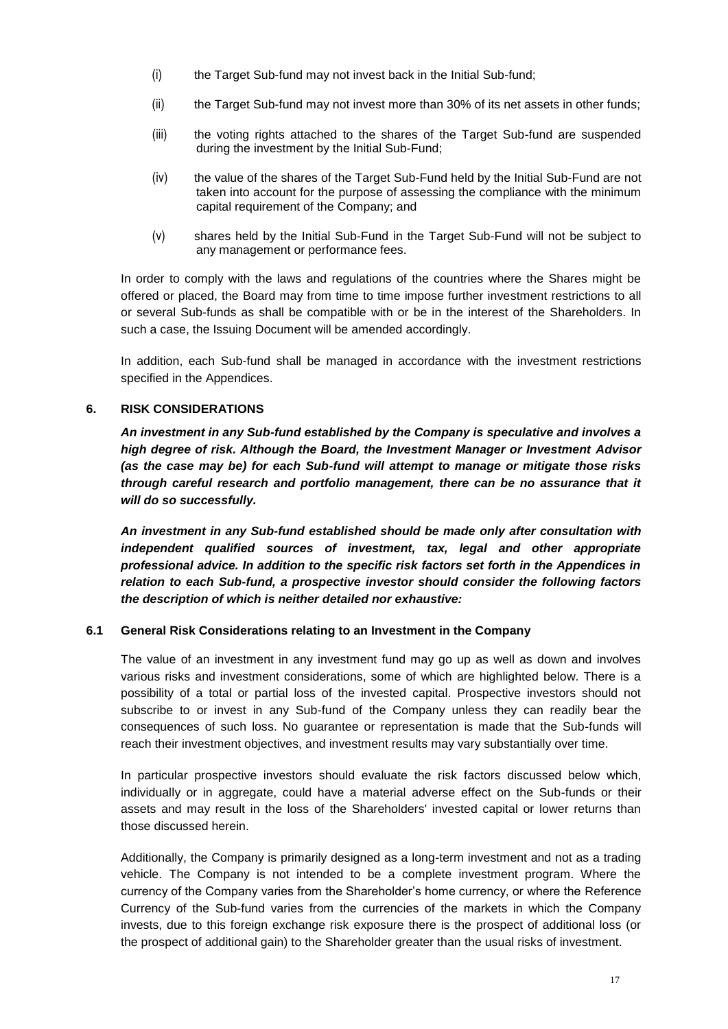- (i) the Target Sub-fund may not invest back in the Initial Sub-fund;
- (ii) the Target Sub-fund may not invest more than 30% of its net assets in other funds;
- (iii) the voting rights attached to the shares of the Target Sub-fund are suspended during the investment by the Initial Sub-Fund;
- (iv) the value of the shares of the Target Sub-Fund held by the Initial Sub-Fund are not taken into account for the purpose of assessing the compliance with the minimum capital requirement of the Company; and
- (v) shares held by the Initial Sub-Fund in the Target Sub-Fund will not be subject to any management or performance fees.

In order to comply with the laws and regulations of the countries where the Shares might be offered or placed, the Board may from time to time impose further investment restrictions to all or several Sub-funds as shall be compatible with or be in the interest of the Shareholders. In such a case, the Issuing Document will be amended accordingly.

In addition, each Sub-fund shall be managed in accordance with the investment restrictions specified in the Appendices.

#### <span id="page-16-0"></span>**6. RISK CONSIDERATIONS**

*An investment in any Sub-fund established by the Company is speculative and involves a high degree of risk. Although the Board, the Investment Manager or Investment Advisor (as the case may be) for each Sub-fund will attempt to manage or mitigate those risks through careful research and portfolio management, there can be no assurance that it will do so successfully.* 

*An investment in any Sub-fund established should be made only after consultation with independent qualified sources of investment, tax, legal and other appropriate professional advice. In addition to the specific risk factors set forth in the Appendices in relation to each Sub-fund, a prospective investor should consider the following factors the description of which is neither detailed nor exhaustive:*

#### **6.1 General Risk Considerations relating to an Investment in the Company**

The value of an investment in any investment fund may go up as well as down and involves various risks and investment considerations, some of which are highlighted below. There is a possibility of a total or partial loss of the invested capital. Prospective investors should not subscribe to or invest in any Sub-fund of the Company unless they can readily bear the consequences of such loss. No guarantee or representation is made that the Sub-funds will reach their investment objectives, and investment results may vary substantially over time.

In particular prospective investors should evaluate the risk factors discussed below which, individually or in aggregate, could have a material adverse effect on the Sub-funds or their assets and may result in the loss of the Shareholders' invested capital or lower returns than those discussed herein.

Additionally, the Company is primarily designed as a long-term investment and not as a trading vehicle. The Company is not intended to be a complete investment program. Where the currency of the Company varies from the Shareholder's home currency, or where the Reference Currency of the Sub-fund varies from the currencies of the markets in which the Company invests, due to this foreign exchange risk exposure there is the prospect of additional loss (or the prospect of additional gain) to the Shareholder greater than the usual risks of investment.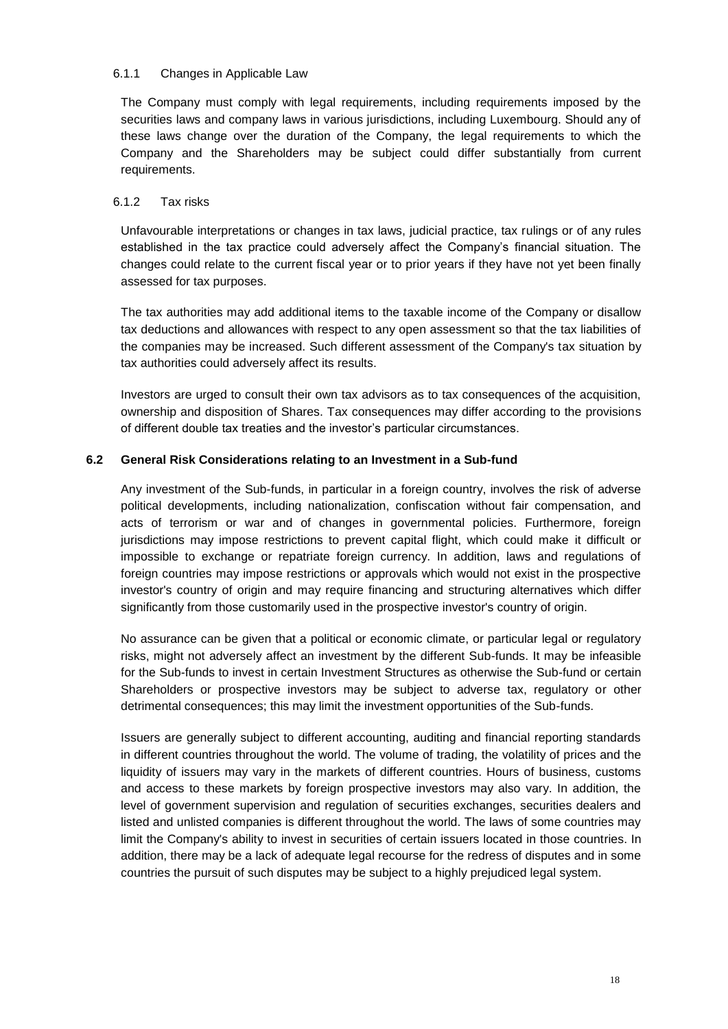#### 6.1.1 Changes in Applicable Law

The Company must comply with legal requirements, including requirements imposed by the securities laws and company laws in various jurisdictions, including Luxembourg. Should any of these laws change over the duration of the Company, the legal requirements to which the Company and the Shareholders may be subject could differ substantially from current requirements.

### 6.1.2 Tax risks

Unfavourable interpretations or changes in tax laws, judicial practice, tax rulings or of any rules established in the tax practice could adversely affect the Company's financial situation. The changes could relate to the current fiscal year or to prior years if they have not yet been finally assessed for tax purposes.

The tax authorities may add additional items to the taxable income of the Company or disallow tax deductions and allowances with respect to any open assessment so that the tax liabilities of the companies may be increased. Such different assessment of the Company's tax situation by tax authorities could adversely affect its results.

Investors are urged to consult their own tax advisors as to tax consequences of the acquisition, ownership and disposition of Shares. Tax consequences may differ according to the provisions of different double tax treaties and the investor's particular circumstances.

# **6.2 General Risk Considerations relating to an Investment in a Sub-fund**

Any investment of the Sub-funds, in particular in a foreign country, involves the risk of adverse political developments, including nationalization, confiscation without fair compensation, and acts of terrorism or war and of changes in governmental policies. Furthermore, foreign jurisdictions may impose restrictions to prevent capital flight, which could make it difficult or impossible to exchange or repatriate foreign currency. In addition, laws and regulations of foreign countries may impose restrictions or approvals which would not exist in the prospective investor's country of origin and may require financing and structuring alternatives which differ significantly from those customarily used in the prospective investor's country of origin.

No assurance can be given that a political or economic climate, or particular legal or regulatory risks, might not adversely affect an investment by the different Sub-funds. It may be infeasible for the Sub-funds to invest in certain Investment Structures as otherwise the Sub-fund or certain Shareholders or prospective investors may be subject to adverse tax, regulatory or other detrimental consequences; this may limit the investment opportunities of the Sub-funds.

Issuers are generally subject to different accounting, auditing and financial reporting standards in different countries throughout the world. The volume of trading, the volatility of prices and the liquidity of issuers may vary in the markets of different countries. Hours of business, customs and access to these markets by foreign prospective investors may also vary. In addition, the level of government supervision and regulation of securities exchanges, securities dealers and listed and unlisted companies is different throughout the world. The laws of some countries may limit the Company's ability to invest in securities of certain issuers located in those countries. In addition, there may be a lack of adequate legal recourse for the redress of disputes and in some countries the pursuit of such disputes may be subject to a highly prejudiced legal system.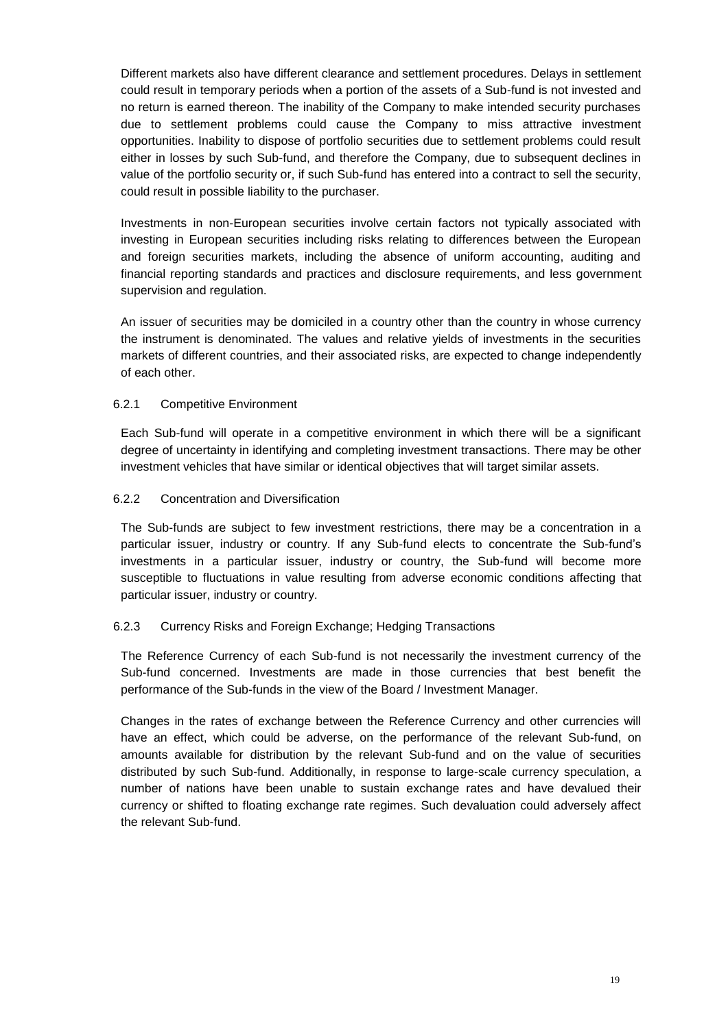Different markets also have different clearance and settlement procedures. Delays in settlement could result in temporary periods when a portion of the assets of a Sub-fund is not invested and no return is earned thereon. The inability of the Company to make intended security purchases due to settlement problems could cause the Company to miss attractive investment opportunities. Inability to dispose of portfolio securities due to settlement problems could result either in losses by such Sub-fund, and therefore the Company, due to subsequent declines in value of the portfolio security or, if such Sub-fund has entered into a contract to sell the security, could result in possible liability to the purchaser.

Investments in non-European securities involve certain factors not typically associated with investing in European securities including risks relating to differences between the European and foreign securities markets, including the absence of uniform accounting, auditing and financial reporting standards and practices and disclosure requirements, and less government supervision and regulation.

An issuer of securities may be domiciled in a country other than the country in whose currency the instrument is denominated. The values and relative yields of investments in the securities markets of different countries, and their associated risks, are expected to change independently of each other.

### 6.2.1 Competitive Environment

Each Sub-fund will operate in a competitive environment in which there will be a significant degree of uncertainty in identifying and completing investment transactions. There may be other investment vehicles that have similar or identical objectives that will target similar assets.

### 6.2.2 Concentration and Diversification

The Sub-funds are subject to few investment restrictions, there may be a concentration in a particular issuer, industry or country. If any Sub-fund elects to concentrate the Sub-fund's investments in a particular issuer, industry or country, the Sub-fund will become more susceptible to fluctuations in value resulting from adverse economic conditions affecting that particular issuer, industry or country.

### 6.2.3 Currency Risks and Foreign Exchange; Hedging Transactions

The Reference Currency of each Sub-fund is not necessarily the investment currency of the Sub-fund concerned. Investments are made in those currencies that best benefit the performance of the Sub-funds in the view of the Board / Investment Manager.

Changes in the rates of exchange between the Reference Currency and other currencies will have an effect, which could be adverse, on the performance of the relevant Sub-fund, on amounts available for distribution by the relevant Sub-fund and on the value of securities distributed by such Sub-fund. Additionally, in response to large-scale currency speculation, a number of nations have been unable to sustain exchange rates and have devalued their currency or shifted to floating exchange rate regimes. Such devaluation could adversely affect the relevant Sub-fund.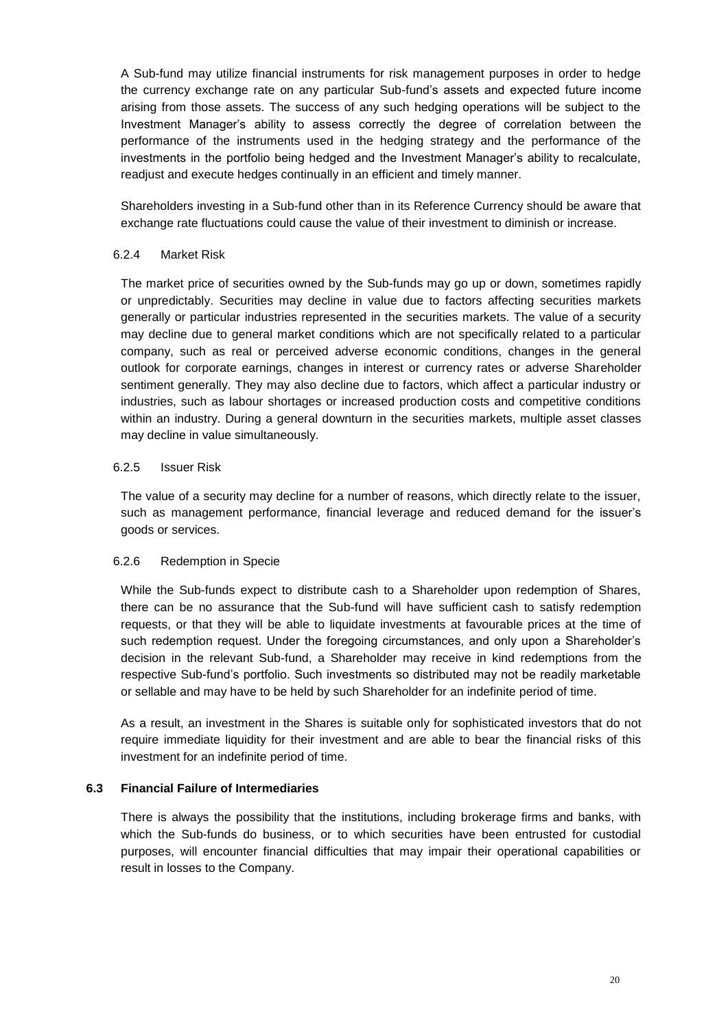A Sub-fund may utilize financial instruments for risk management purposes in order to hedge the currency exchange rate on any particular Sub-fund's assets and expected future income arising from those assets. The success of any such hedging operations will be subject to the Investment Manager's ability to assess correctly the degree of correlation between the performance of the instruments used in the hedging strategy and the performance of the investments in the portfolio being hedged and the Investment Manager's ability to recalculate, readjust and execute hedges continually in an efficient and timely manner.

Shareholders investing in a Sub-fund other than in its Reference Currency should be aware that exchange rate fluctuations could cause the value of their investment to diminish or increase.

#### 6.2.4 Market Risk

The market price of securities owned by the Sub-funds may go up or down, sometimes rapidly or unpredictably. Securities may decline in value due to factors affecting securities markets generally or particular industries represented in the securities markets. The value of a security may decline due to general market conditions which are not specifically related to a particular company, such as real or perceived adverse economic conditions, changes in the general outlook for corporate earnings, changes in interest or currency rates or adverse Shareholder sentiment generally. They may also decline due to factors, which affect a particular industry or industries, such as labour shortages or increased production costs and competitive conditions within an industry. During a general downturn in the securities markets, multiple asset classes may decline in value simultaneously.

#### 6.2.5 Issuer Risk

The value of a security may decline for a number of reasons, which directly relate to the issuer, such as management performance, financial leverage and reduced demand for the issuer's goods or services.

### 6.2.6 Redemption in Specie

While the Sub-funds expect to distribute cash to a Shareholder upon redemption of Shares, there can be no assurance that the Sub-fund will have sufficient cash to satisfy redemption requests, or that they will be able to liquidate investments at favourable prices at the time of such redemption request. Under the foregoing circumstances, and only upon a Shareholder's decision in the relevant Sub-fund, a Shareholder may receive in kind redemptions from the respective Sub-fund's portfolio. Such investments so distributed may not be readily marketable or sellable and may have to be held by such Shareholder for an indefinite period of time.

As a result, an investment in the Shares is suitable only for sophisticated investors that do not require immediate liquidity for their investment and are able to bear the financial risks of this investment for an indefinite period of time.

### **6.3 Financial Failure of Intermediaries**

There is always the possibility that the institutions, including brokerage firms and banks, with which the Sub-funds do business, or to which securities have been entrusted for custodial purposes, will encounter financial difficulties that may impair their operational capabilities or result in losses to the Company.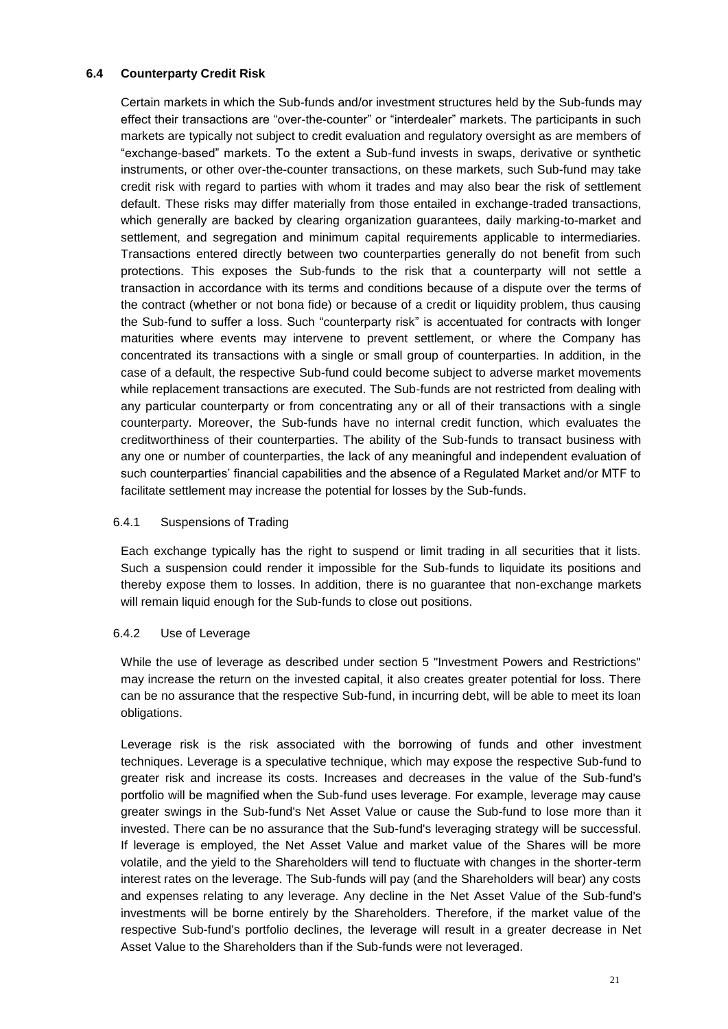# **6.4 Counterparty Credit Risk**

Certain markets in which the Sub-funds and/or investment structures held by the Sub-funds may effect their transactions are "over-the-counter" or "interdealer" markets. The participants in such markets are typically not subject to credit evaluation and regulatory oversight as are members of "exchange-based" markets. To the extent a Sub-fund invests in swaps, derivative or synthetic instruments, or other over-the-counter transactions, on these markets, such Sub-fund may take credit risk with regard to parties with whom it trades and may also bear the risk of settlement default. These risks may differ materially from those entailed in exchange-traded transactions, which generally are backed by clearing organization guarantees, daily marking-to-market and settlement, and segregation and minimum capital requirements applicable to intermediaries. Transactions entered directly between two counterparties generally do not benefit from such protections. This exposes the Sub-funds to the risk that a counterparty will not settle a transaction in accordance with its terms and conditions because of a dispute over the terms of the contract (whether or not bona fide) or because of a credit or liquidity problem, thus causing the Sub-fund to suffer a loss. Such "counterparty risk" is accentuated for contracts with longer maturities where events may intervene to prevent settlement, or where the Company has concentrated its transactions with a single or small group of counterparties. In addition, in the case of a default, the respective Sub-fund could become subject to adverse market movements while replacement transactions are executed. The Sub-funds are not restricted from dealing with any particular counterparty or from concentrating any or all of their transactions with a single counterparty. Moreover, the Sub-funds have no internal credit function, which evaluates the creditworthiness of their counterparties. The ability of the Sub-funds to transact business with any one or number of counterparties, the lack of any meaningful and independent evaluation of such counterparties' financial capabilities and the absence of a Regulated Market and/or MTF to facilitate settlement may increase the potential for losses by the Sub-funds.

### 6.4.1 Suspensions of Trading

Each exchange typically has the right to suspend or limit trading in all securities that it lists. Such a suspension could render it impossible for the Sub-funds to liquidate its positions and thereby expose them to losses. In addition, there is no guarantee that non-exchange markets will remain liquid enough for the Sub-funds to close out positions.

#### 6.4.2 Use of Leverage

While the use of leverage as described under section 5 "Investment Powers and Restrictions" may increase the return on the invested capital, it also creates greater potential for loss. There can be no assurance that the respective Sub-fund, in incurring debt, will be able to meet its loan obligations.

Leverage risk is the risk associated with the borrowing of funds and other investment techniques. Leverage is a speculative technique, which may expose the respective Sub-fund to greater risk and increase its costs. Increases and decreases in the value of the Sub-fund's portfolio will be magnified when the Sub-fund uses leverage. For example, leverage may cause greater swings in the Sub-fund's Net Asset Value or cause the Sub-fund to lose more than it invested. There can be no assurance that the Sub-fund's leveraging strategy will be successful. If leverage is employed, the Net Asset Value and market value of the Shares will be more volatile, and the yield to the Shareholders will tend to fluctuate with changes in the shorter-term interest rates on the leverage. The Sub-funds will pay (and the Shareholders will bear) any costs and expenses relating to any leverage. Any decline in the Net Asset Value of the Sub-fund's investments will be borne entirely by the Shareholders. Therefore, if the market value of the respective Sub-fund's portfolio declines, the leverage will result in a greater decrease in Net Asset Value to the Shareholders than if the Sub-funds were not leveraged.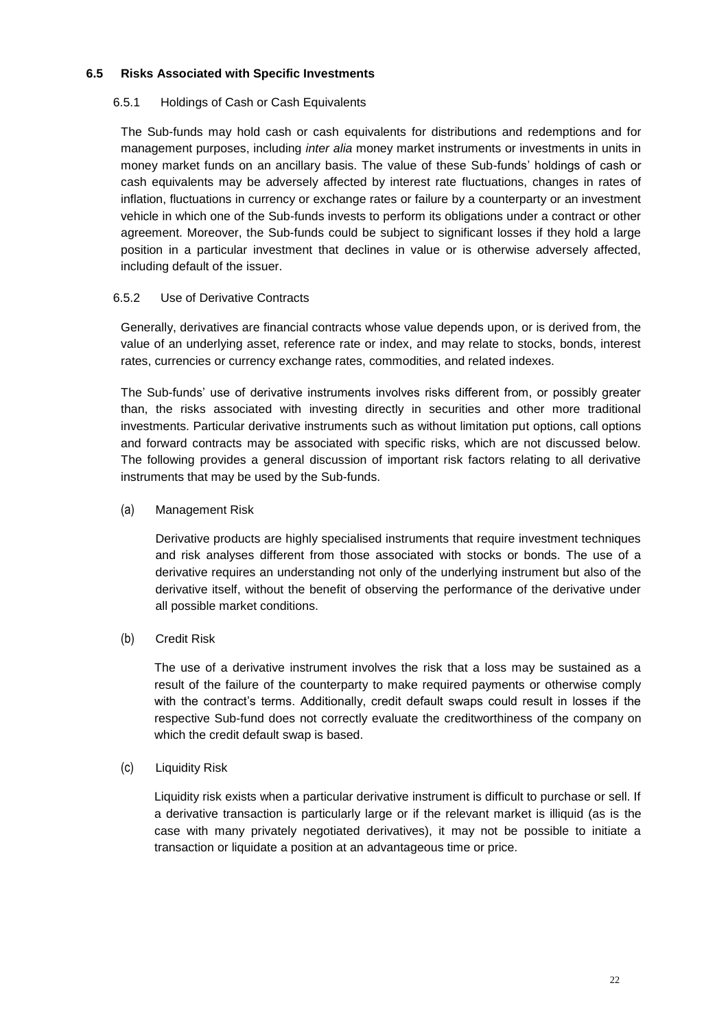# **6.5 Risks Associated with Specific Investments**

### 6.5.1 Holdings of Cash or Cash Equivalents

The Sub-funds may hold cash or cash equivalents for distributions and redemptions and for management purposes, including *inter alia* money market instruments or investments in units in money market funds on an ancillary basis. The value of these Sub-funds' holdings of cash or cash equivalents may be adversely affected by interest rate fluctuations, changes in rates of inflation, fluctuations in currency or exchange rates or failure by a counterparty or an investment vehicle in which one of the Sub-funds invests to perform its obligations under a contract or other agreement. Moreover, the Sub-funds could be subject to significant losses if they hold a large position in a particular investment that declines in value or is otherwise adversely affected, including default of the issuer.

# 6.5.2 Use of Derivative Contracts

Generally, derivatives are financial contracts whose value depends upon, or is derived from, the value of an underlying asset, reference rate or index, and may relate to stocks, bonds, interest rates, currencies or currency exchange rates, commodities, and related indexes.

The Sub-funds' use of derivative instruments involves risks different from, or possibly greater than, the risks associated with investing directly in securities and other more traditional investments. Particular derivative instruments such as without limitation put options, call options and forward contracts may be associated with specific risks, which are not discussed below. The following provides a general discussion of important risk factors relating to all derivative instruments that may be used by the Sub-funds.

# (a) Management Risk

Derivative products are highly specialised instruments that require investment techniques and risk analyses different from those associated with stocks or bonds. The use of a derivative requires an understanding not only of the underlying instrument but also of the derivative itself, without the benefit of observing the performance of the derivative under all possible market conditions.

# (b) Credit Risk

The use of a derivative instrument involves the risk that a loss may be sustained as a result of the failure of the counterparty to make required payments or otherwise comply with the contract's terms. Additionally, credit default swaps could result in losses if the respective Sub-fund does not correctly evaluate the creditworthiness of the company on which the credit default swap is based.

### (c) Liquidity Risk

Liquidity risk exists when a particular derivative instrument is difficult to purchase or sell. If a derivative transaction is particularly large or if the relevant market is illiquid (as is the case with many privately negotiated derivatives), it may not be possible to initiate a transaction or liquidate a position at an advantageous time or price.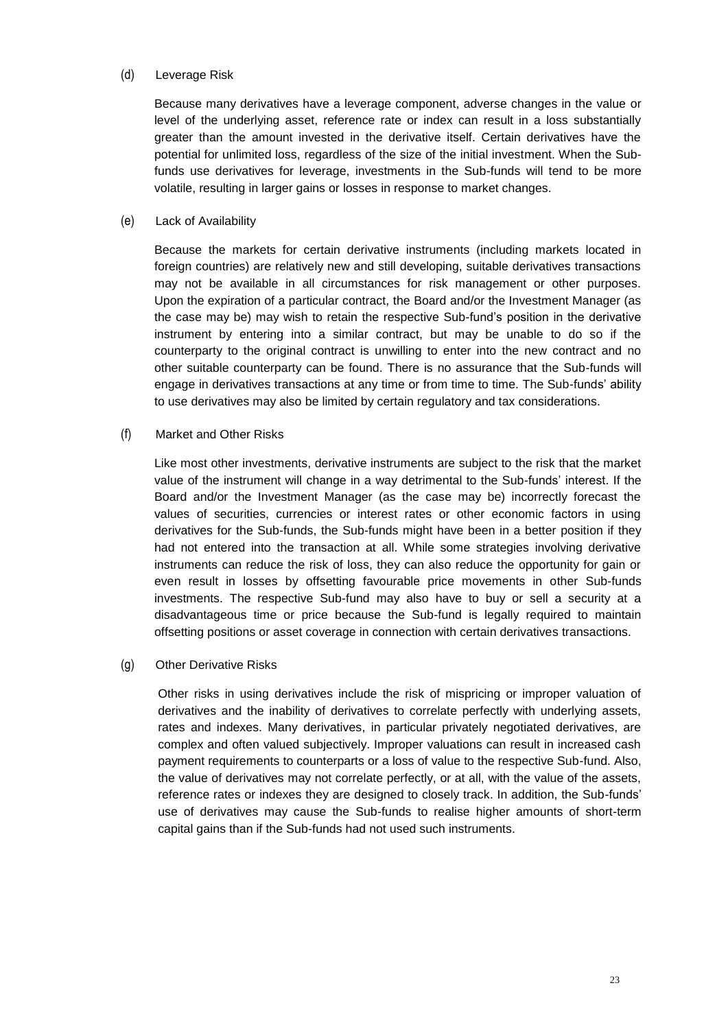#### (d) Leverage Risk

Because many derivatives have a leverage component, adverse changes in the value or level of the underlying asset, reference rate or index can result in a loss substantially greater than the amount invested in the derivative itself. Certain derivatives have the potential for unlimited loss, regardless of the size of the initial investment. When the Subfunds use derivatives for leverage, investments in the Sub-funds will tend to be more volatile, resulting in larger gains or losses in response to market changes.

#### (e) Lack of Availability

Because the markets for certain derivative instruments (including markets located in foreign countries) are relatively new and still developing, suitable derivatives transactions may not be available in all circumstances for risk management or other purposes. Upon the expiration of a particular contract, the Board and/or the Investment Manager (as the case may be) may wish to retain the respective Sub-fund's position in the derivative instrument by entering into a similar contract, but may be unable to do so if the counterparty to the original contract is unwilling to enter into the new contract and no other suitable counterparty can be found. There is no assurance that the Sub-funds will engage in derivatives transactions at any time or from time to time. The Sub-funds' ability to use derivatives may also be limited by certain regulatory and tax considerations.

#### (f) Market and Other Risks

Like most other investments, derivative instruments are subject to the risk that the market value of the instrument will change in a way detrimental to the Sub-funds' interest. If the Board and/or the Investment Manager (as the case may be) incorrectly forecast the values of securities, currencies or interest rates or other economic factors in using derivatives for the Sub-funds, the Sub-funds might have been in a better position if they had not entered into the transaction at all. While some strategies involving derivative instruments can reduce the risk of loss, they can also reduce the opportunity for gain or even result in losses by offsetting favourable price movements in other Sub-funds investments. The respective Sub-fund may also have to buy or sell a security at a disadvantageous time or price because the Sub-fund is legally required to maintain offsetting positions or asset coverage in connection with certain derivatives transactions.

#### (g) Other Derivative Risks

Other risks in using derivatives include the risk of mispricing or improper valuation of derivatives and the inability of derivatives to correlate perfectly with underlying assets, rates and indexes. Many derivatives, in particular privately negotiated derivatives, are complex and often valued subjectively. Improper valuations can result in increased cash payment requirements to counterparts or a loss of value to the respective Sub-fund. Also, the value of derivatives may not correlate perfectly, or at all, with the value of the assets, reference rates or indexes they are designed to closely track. In addition, the Sub-funds' use of derivatives may cause the Sub-funds to realise higher amounts of short-term capital gains than if the Sub-funds had not used such instruments.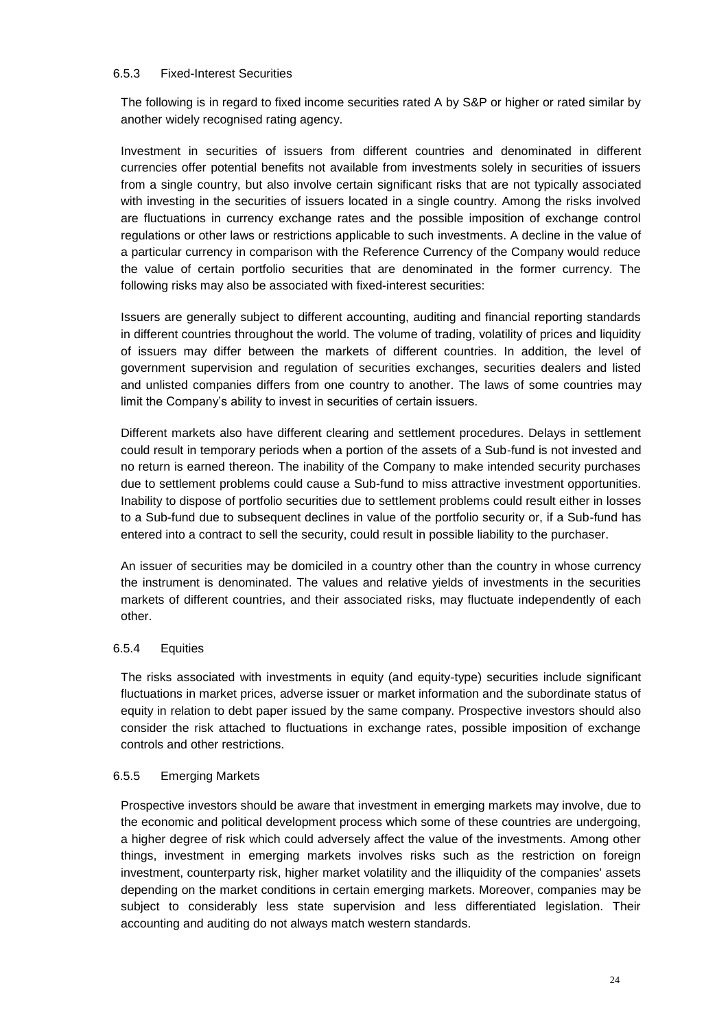#### 6.5.3 Fixed-Interest Securities

The following is in regard to fixed income securities rated A by S&P or higher or rated similar by another widely recognised rating agency.

Investment in securities of issuers from different countries and denominated in different currencies offer potential benefits not available from investments solely in securities of issuers from a single country, but also involve certain significant risks that are not typically associated with investing in the securities of issuers located in a single country. Among the risks involved are fluctuations in currency exchange rates and the possible imposition of exchange control regulations or other laws or restrictions applicable to such investments. A decline in the value of a particular currency in comparison with the Reference Currency of the Company would reduce the value of certain portfolio securities that are denominated in the former currency. The following risks may also be associated with fixed-interest securities:

Issuers are generally subject to different accounting, auditing and financial reporting standards in different countries throughout the world. The volume of trading, volatility of prices and liquidity of issuers may differ between the markets of different countries. In addition, the level of government supervision and regulation of securities exchanges, securities dealers and listed and unlisted companies differs from one country to another. The laws of some countries may limit the Company's ability to invest in securities of certain issuers.

Different markets also have different clearing and settlement procedures. Delays in settlement could result in temporary periods when a portion of the assets of a Sub-fund is not invested and no return is earned thereon. The inability of the Company to make intended security purchases due to settlement problems could cause a Sub-fund to miss attractive investment opportunities. Inability to dispose of portfolio securities due to settlement problems could result either in losses to a Sub-fund due to subsequent declines in value of the portfolio security or, if a Sub-fund has entered into a contract to sell the security, could result in possible liability to the purchaser.

An issuer of securities may be domiciled in a country other than the country in whose currency the instrument is denominated. The values and relative yields of investments in the securities markets of different countries, and their associated risks, may fluctuate independently of each other.

### 6.5.4 Equities

The risks associated with investments in equity (and equity-type) securities include significant fluctuations in market prices, adverse issuer or market information and the subordinate status of equity in relation to debt paper issued by the same company. Prospective investors should also consider the risk attached to fluctuations in exchange rates, possible imposition of exchange controls and other restrictions.

#### 6.5.5 Emerging Markets

Prospective investors should be aware that investment in emerging markets may involve, due to the economic and political development process which some of these countries are undergoing, a higher degree of risk which could adversely affect the value of the investments. Among other things, investment in emerging markets involves risks such as the restriction on foreign investment, counterparty risk, higher market volatility and the illiquidity of the companies' assets depending on the market conditions in certain emerging markets. Moreover, companies may be subject to considerably less state supervision and less differentiated legislation. Their accounting and auditing do not always match western standards.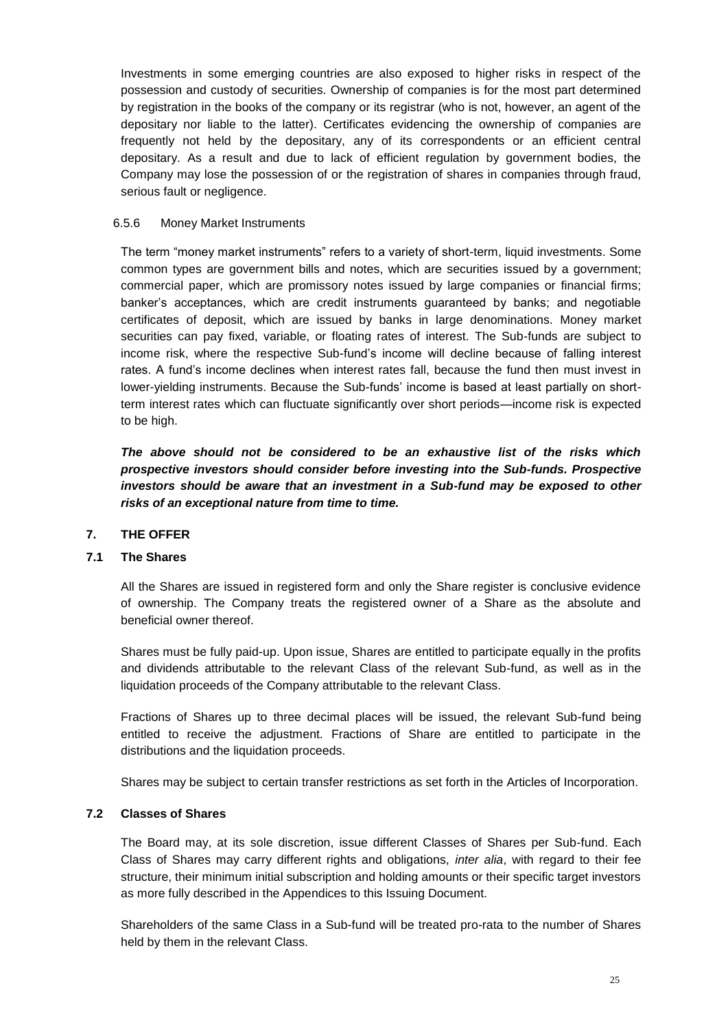Investments in some emerging countries are also exposed to higher risks in respect of the possession and custody of securities. Ownership of companies is for the most part determined by registration in the books of the company or its registrar (who is not, however, an agent of the depositary nor liable to the latter). Certificates evidencing the ownership of companies are frequently not held by the depositary, any of its correspondents or an efficient central depositary. As a result and due to lack of efficient regulation by government bodies, the Company may lose the possession of or the registration of shares in companies through fraud, serious fault or negligence.

# 6.5.6 Money Market Instruments

The term "money market instruments" refers to a variety of short-term, liquid investments. Some common types are government bills and notes, which are securities issued by a government; commercial paper, which are promissory notes issued by large companies or financial firms; banker's acceptances, which are credit instruments guaranteed by banks; and negotiable certificates of deposit, which are issued by banks in large denominations. Money market securities can pay fixed, variable, or floating rates of interest. The Sub-funds are subject to income risk, where the respective Sub-fund's income will decline because of falling interest rates. A fund's income declines when interest rates fall, because the fund then must invest in lower-yielding instruments. Because the Sub-funds' income is based at least partially on shortterm interest rates which can fluctuate significantly over short periods—income risk is expected to be high.

*The above should not be considered to be an exhaustive list of the risks which prospective investors should consider before investing into the Sub-funds. Prospective investors should be aware that an investment in a Sub-fund may be exposed to other risks of an exceptional nature from time to time.*

### <span id="page-24-0"></span>**7. THE OFFER**

# **7.1 The Shares**

All the Shares are issued in registered form and only the Share register is conclusive evidence of ownership. The Company treats the registered owner of a Share as the absolute and beneficial owner thereof.

Shares must be fully paid-up. Upon issue, Shares are entitled to participate equally in the profits and dividends attributable to the relevant Class of the relevant Sub-fund, as well as in the liquidation proceeds of the Company attributable to the relevant Class.

Fractions of Shares up to three decimal places will be issued, the relevant Sub-fund being entitled to receive the adjustment. Fractions of Share are entitled to participate in the distributions and the liquidation proceeds.

Shares may be subject to certain transfer restrictions as set forth in the Articles of Incorporation.

### **7.2 Classes of Shares**

The Board may, at its sole discretion, issue different Classes of Shares per Sub-fund. Each Class of Shares may carry different rights and obligations, *inter alia*, with regard to their fee structure, their minimum initial subscription and holding amounts or their specific target investors as more fully described in the Appendices to this Issuing Document.

Shareholders of the same Class in a Sub-fund will be treated pro-rata to the number of Shares held by them in the relevant Class.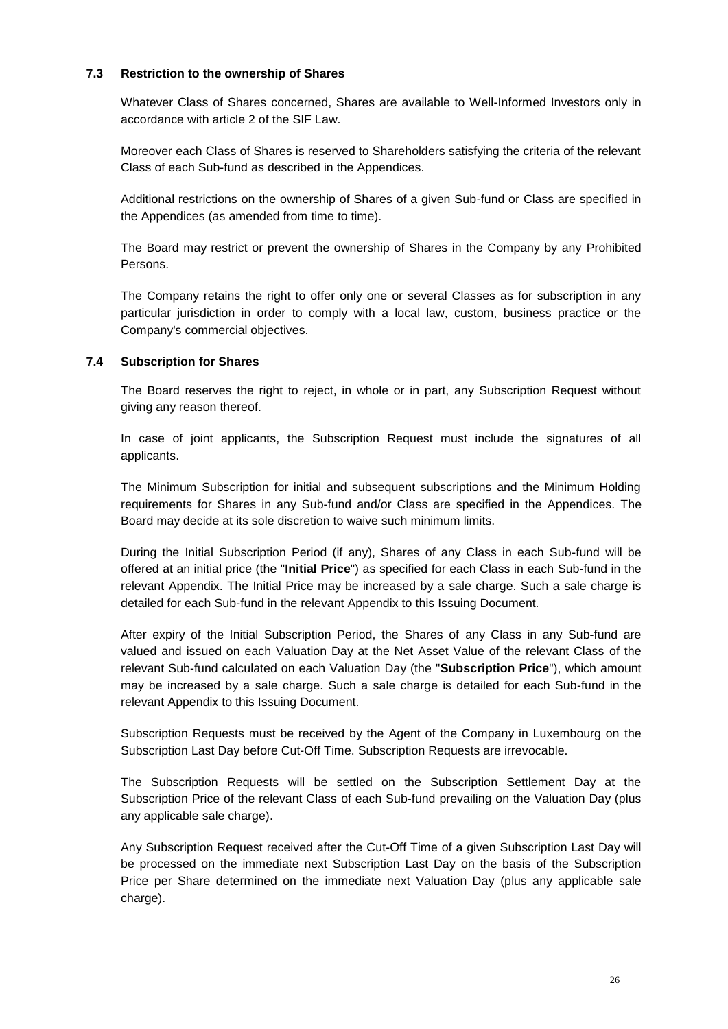# **7.3 Restriction to the ownership of Shares**

Whatever Class of Shares concerned, Shares are available to Well-Informed Investors only in accordance with article 2 of the SIF Law.

Moreover each Class of Shares is reserved to Shareholders satisfying the criteria of the relevant Class of each Sub-fund as described in the Appendices.

Additional restrictions on the ownership of Shares of a given Sub-fund or Class are specified in the Appendices (as amended from time to time).

The Board may restrict or prevent the ownership of Shares in the Company by any Prohibited Persons.

The Company retains the right to offer only one or several Classes as for subscription in any particular jurisdiction in order to comply with a local law, custom, business practice or the Company's commercial objectives.

### <span id="page-25-0"></span>**7.4 Subscription for Shares**

The Board reserves the right to reject, in whole or in part, any Subscription Request without giving any reason thereof.

In case of joint applicants, the Subscription Request must include the signatures of all applicants.

The Minimum Subscription for initial and subsequent subscriptions and the Minimum Holding requirements for Shares in any Sub-fund and/or Class are specified in the Appendices. The Board may decide at its sole discretion to waive such minimum limits.

During the Initial Subscription Period (if any), Shares of any Class in each Sub-fund will be offered at an initial price (the "**Initial Price**") as specified for each Class in each Sub-fund in the relevant Appendix. The Initial Price may be increased by a sale charge. Such a sale charge is detailed for each Sub-fund in the relevant Appendix to this Issuing Document.

After expiry of the Initial Subscription Period, the Shares of any Class in any Sub-fund are valued and issued on each Valuation Day at the Net Asset Value of the relevant Class of the relevant Sub-fund calculated on each Valuation Day (the "**Subscription Price**"), which amount may be increased by a sale charge. Such a sale charge is detailed for each Sub-fund in the relevant Appendix to this Issuing Document.

Subscription Requests must be received by the Agent of the Company in Luxembourg on the Subscription Last Day before Cut-Off Time. Subscription Requests are irrevocable.

The Subscription Requests will be settled on the Subscription Settlement Day at the Subscription Price of the relevant Class of each Sub-fund prevailing on the Valuation Day (plus any applicable sale charge).

Any Subscription Request received after the Cut-Off Time of a given Subscription Last Day will be processed on the immediate next Subscription Last Day on the basis of the Subscription Price per Share determined on the immediate next Valuation Day (plus any applicable sale charge).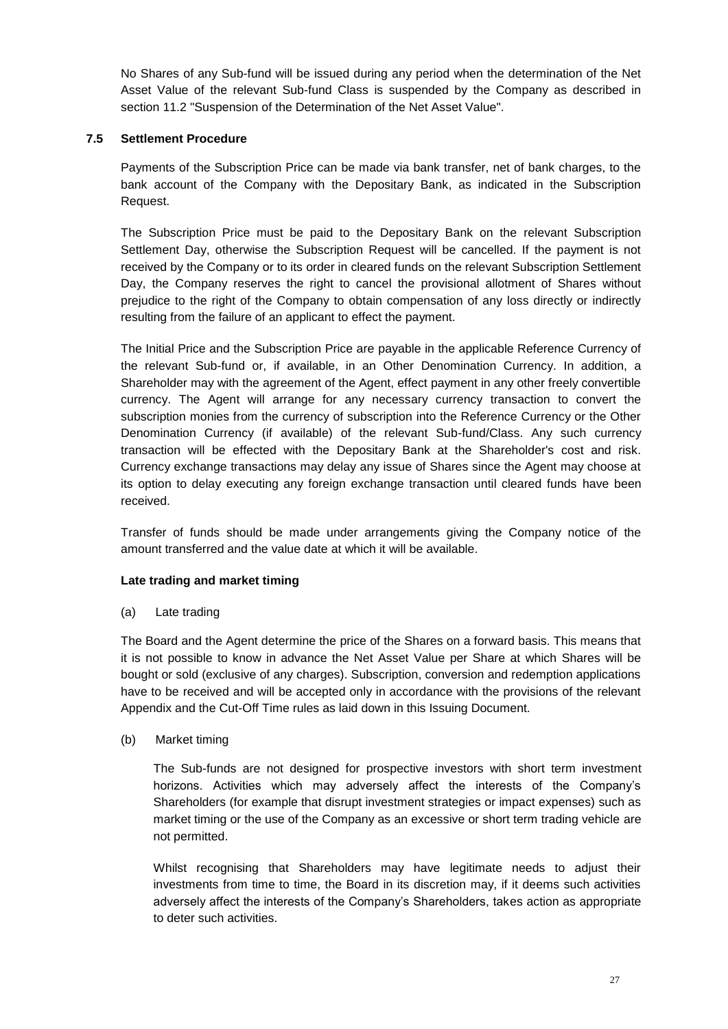No Shares of any Sub-fund will be issued during any period when the determination of the Net Asset Value of the relevant Sub-fund Class is suspended by the Company as described in section [11.2](#page-33-0) "Suspension of the Determination of the Net Asset Value".

# **7.5 Settlement Procedure**

Payments of the Subscription Price can be made via bank transfer, net of bank charges, to the bank account of the Company with the Depositary Bank, as indicated in the Subscription Request.

The Subscription Price must be paid to the Depositary Bank on the relevant Subscription Settlement Day, otherwise the Subscription Request will be cancelled. If the payment is not received by the Company or to its order in cleared funds on the relevant Subscription Settlement Day, the Company reserves the right to cancel the provisional allotment of Shares without prejudice to the right of the Company to obtain compensation of any loss directly or indirectly resulting from the failure of an applicant to effect the payment.

The Initial Price and the Subscription Price are payable in the applicable Reference Currency of the relevant Sub-fund or, if available, in an Other Denomination Currency. In addition, a Shareholder may with the agreement of the Agent, effect payment in any other freely convertible currency. The Agent will arrange for any necessary currency transaction to convert the subscription monies from the currency of subscription into the Reference Currency or the Other Denomination Currency (if available) of the relevant Sub-fund/Class. Any such currency transaction will be effected with the Depositary Bank at the Shareholder's cost and risk. Currency exchange transactions may delay any issue of Shares since the Agent may choose at its option to delay executing any foreign exchange transaction until cleared funds have been received.

Transfer of funds should be made under arrangements giving the Company notice of the amount transferred and the value date at which it will be available.

### **Late trading and market timing**

(a) Late trading

The Board and the Agent determine the price of the Shares on a forward basis. This means that it is not possible to know in advance the Net Asset Value per Share at which Shares will be bought or sold (exclusive of any charges). Subscription, conversion and redemption applications have to be received and will be accepted only in accordance with the provisions of the relevant Appendix and the Cut-Off Time rules as laid down in this Issuing Document.

(b) Market timing

The Sub-funds are not designed for prospective investors with short term investment horizons. Activities which may adversely affect the interests of the Company's Shareholders (for example that disrupt investment strategies or impact expenses) such as market timing or the use of the Company as an excessive or short term trading vehicle are not permitted.

Whilst recognising that Shareholders may have legitimate needs to adjust their investments from time to time, the Board in its discretion may, if it deems such activities adversely affect the interests of the Company's Shareholders, takes action as appropriate to deter such activities.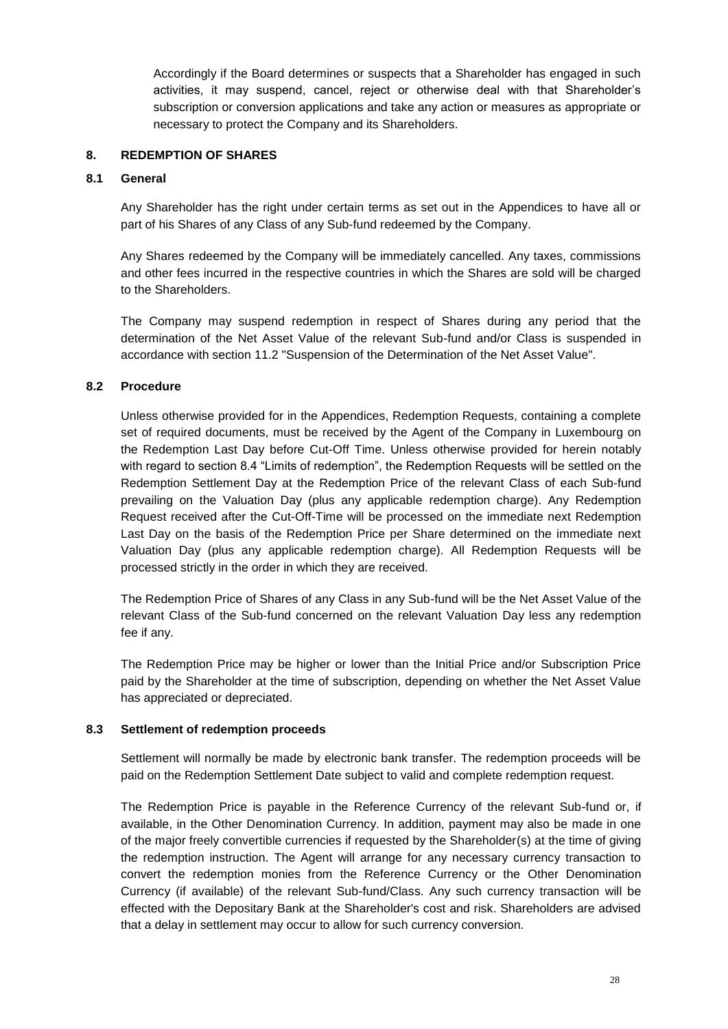Accordingly if the Board determines or suspects that a Shareholder has engaged in such activities, it may suspend, cancel, reject or otherwise deal with that Shareholder's subscription or conversion applications and take any action or measures as appropriate or necessary to protect the Company and its Shareholders.

### <span id="page-27-0"></span>**8. REDEMPTION OF SHARES**

# **8.1 General**

Any Shareholder has the right under certain terms as set out in the Appendices to have all or part of his Shares of any Class of any Sub-fund redeemed by the Company.

Any Shares redeemed by the Company will be immediately cancelled. Any taxes, commissions and other fees incurred in the respective countries in which the Shares are sold will be charged to the Shareholders.

The Company may suspend redemption in respect of Shares during any period that the determination of the Net Asset Value of the relevant Sub-fund and/or Class is suspended in accordance with section [11.2](#page-33-0) "Suspension of the Determination of the Net Asset Value".

# **8.2 Procedure**

Unless otherwise provided for in the Appendices, Redemption Requests, containing a complete set of required documents, must be received by the Agent of the Company in Luxembourg on the Redemption Last Day before Cut-Off Time. Unless otherwise provided for herein notably with regard to section 8.4 "Limits of redemption", the Redemption Requests will be settled on the Redemption Settlement Day at the Redemption Price of the relevant Class of each Sub-fund prevailing on the Valuation Day (plus any applicable redemption charge). Any Redemption Request received after the Cut-Off-Time will be processed on the immediate next Redemption Last Day on the basis of the Redemption Price per Share determined on the immediate next Valuation Day (plus any applicable redemption charge). All Redemption Requests will be processed strictly in the order in which they are received.

The Redemption Price of Shares of any Class in any Sub-fund will be the Net Asset Value of the relevant Class of the Sub-fund concerned on the relevant Valuation Day less any redemption fee if any.

The Redemption Price may be higher or lower than the Initial Price and/or Subscription Price paid by the Shareholder at the time of subscription, depending on whether the Net Asset Value has appreciated or depreciated.

### **8.3 Settlement of redemption proceeds**

Settlement will normally be made by electronic bank transfer. The redemption proceeds will be paid on the Redemption Settlement Date subject to valid and complete redemption request.

The Redemption Price is payable in the Reference Currency of the relevant Sub-fund or, if available, in the Other Denomination Currency. In addition, payment may also be made in one of the major freely convertible currencies if requested by the Shareholder(s) at the time of giving the redemption instruction. The Agent will arrange for any necessary currency transaction to convert the redemption monies from the Reference Currency or the Other Denomination Currency (if available) of the relevant Sub-fund/Class. Any such currency transaction will be effected with the Depositary Bank at the Shareholder's cost and risk. Shareholders are advised that a delay in settlement may occur to allow for such currency conversion.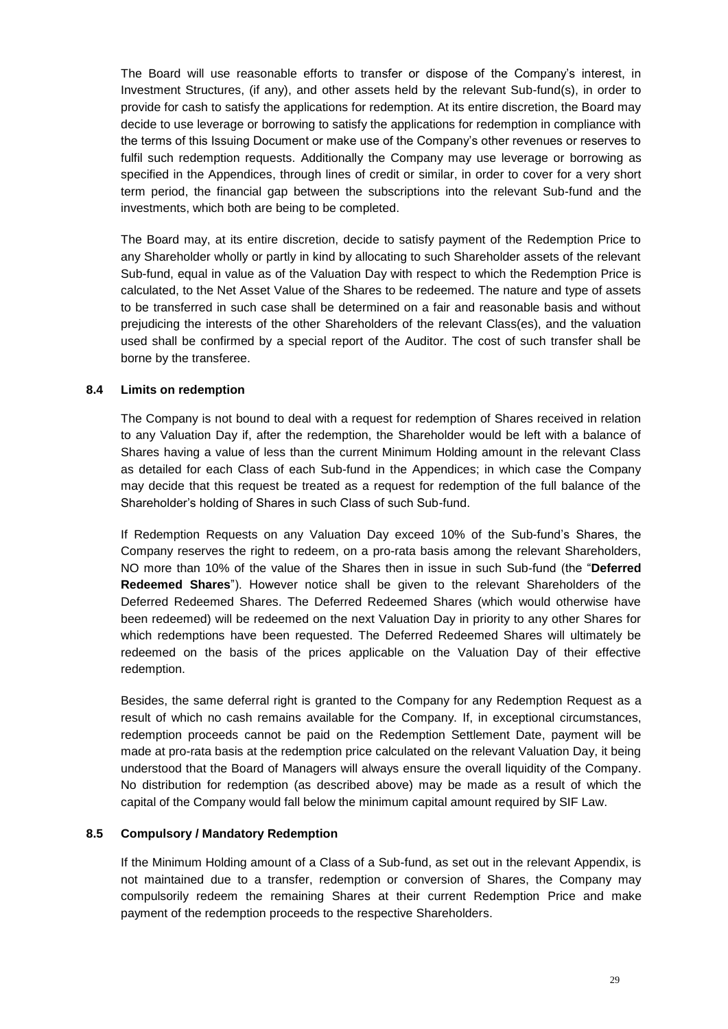The Board will use reasonable efforts to transfer or dispose of the Company's interest, in Investment Structures, (if any), and other assets held by the relevant Sub-fund(s), in order to provide for cash to satisfy the applications for redemption. At its entire discretion, the Board may decide to use leverage or borrowing to satisfy the applications for redemption in compliance with the terms of this Issuing Document or make use of the Company's other revenues or reserves to fulfil such redemption requests. Additionally the Company may use leverage or borrowing as specified in the Appendices, through lines of credit or similar, in order to cover for a very short term period, the financial gap between the subscriptions into the relevant Sub-fund and the investments, which both are being to be completed.

The Board may, at its entire discretion, decide to satisfy payment of the Redemption Price to any Shareholder wholly or partly in kind by allocating to such Shareholder assets of the relevant Sub-fund, equal in value as of the Valuation Day with respect to which the Redemption Price is calculated, to the Net Asset Value of the Shares to be redeemed. The nature and type of assets to be transferred in such case shall be determined on a fair and reasonable basis and without prejudicing the interests of the other Shareholders of the relevant Class(es), and the valuation used shall be confirmed by a special report of the Auditor. The cost of such transfer shall be borne by the transferee.

### **8.4 Limits on redemption**

The Company is not bound to deal with a request for redemption of Shares received in relation to any Valuation Day if, after the redemption, the Shareholder would be left with a balance of Shares having a value of less than the current Minimum Holding amount in the relevant Class as detailed for each Class of each Sub-fund in the Appendices; in which case the Company may decide that this request be treated as a request for redemption of the full balance of the Shareholder's holding of Shares in such Class of such Sub-fund.

If Redemption Requests on any Valuation Day exceed 10% of the Sub-fund's Shares, the Company reserves the right to redeem, on a pro-rata basis among the relevant Shareholders, NO more than 10% of the value of the Shares then in issue in such Sub-fund (the "**Deferred Redeemed Shares**"). However notice shall be given to the relevant Shareholders of the Deferred Redeemed Shares. The Deferred Redeemed Shares (which would otherwise have been redeemed) will be redeemed on the next Valuation Day in priority to any other Shares for which redemptions have been requested. The Deferred Redeemed Shares will ultimately be redeemed on the basis of the prices applicable on the Valuation Day of their effective redemption.

Besides, the same deferral right is granted to the Company for any Redemption Request as a result of which no cash remains available for the Company. If, in exceptional circumstances, redemption proceeds cannot be paid on the Redemption Settlement Date, payment will be made at pro-rata basis at the redemption price calculated on the relevant Valuation Day, it being understood that the Board of Managers will always ensure the overall liquidity of the Company. No distribution for redemption (as described above) may be made as a result of which the capital of the Company would fall below the minimum capital amount required by SIF Law.

### **8.5 Compulsory / Mandatory Redemption**

If the Minimum Holding amount of a Class of a Sub-fund, as set out in the relevant Appendix, is not maintained due to a transfer, redemption or conversion of Shares, the Company may compulsorily redeem the remaining Shares at their current Redemption Price and make payment of the redemption proceeds to the respective Shareholders.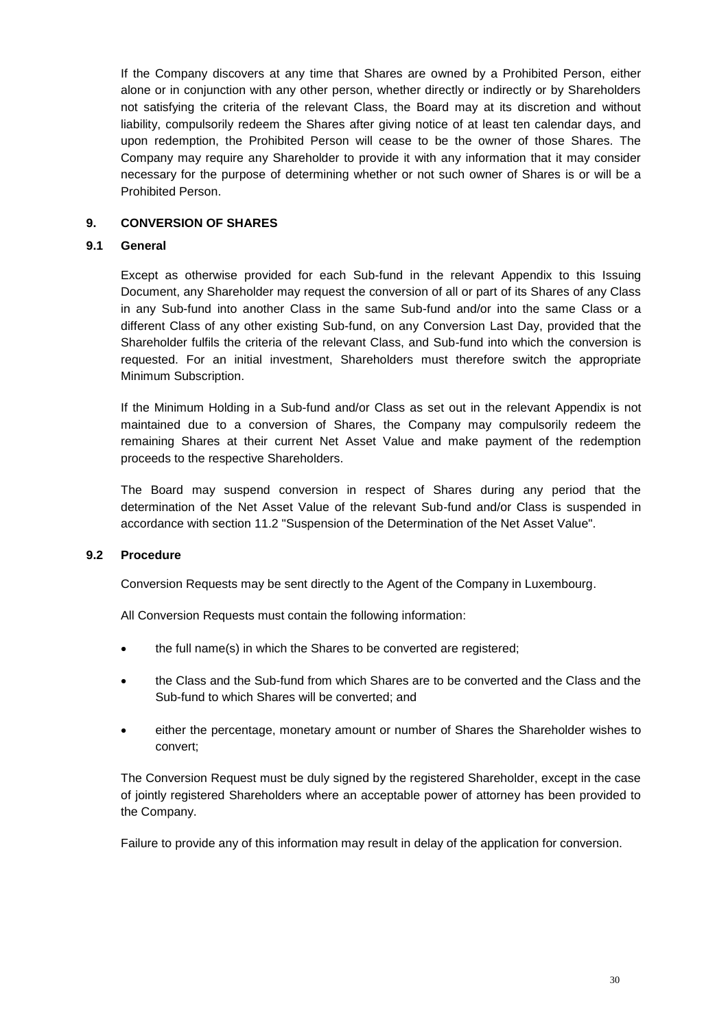If the Company discovers at any time that Shares are owned by a Prohibited Person, either alone or in conjunction with any other person, whether directly or indirectly or by Shareholders not satisfying the criteria of the relevant Class, the Board may at its discretion and without liability, compulsorily redeem the Shares after giving notice of at least ten calendar days, and upon redemption, the Prohibited Person will cease to be the owner of those Shares. The Company may require any Shareholder to provide it with any information that it may consider necessary for the purpose of determining whether or not such owner of Shares is or will be a Prohibited Person.

# <span id="page-29-0"></span>**9. CONVERSION OF SHARES**

### **9.1 General**

Except as otherwise provided for each Sub-fund in the relevant Appendix to this Issuing Document, any Shareholder may request the conversion of all or part of its Shares of any Class in any Sub-fund into another Class in the same Sub-fund and/or into the same Class or a different Class of any other existing Sub-fund, on any Conversion Last Day, provided that the Shareholder fulfils the criteria of the relevant Class, and Sub-fund into which the conversion is requested. For an initial investment, Shareholders must therefore switch the appropriate Minimum Subscription.

If the Minimum Holding in a Sub-fund and/or Class as set out in the relevant Appendix is not maintained due to a conversion of Shares, the Company may compulsorily redeem the remaining Shares at their current Net Asset Value and make payment of the redemption proceeds to the respective Shareholders.

The Board may suspend conversion in respect of Shares during any period that the determination of the Net Asset Value of the relevant Sub-fund and/or Class is suspended in accordance with section [11.2](#page-33-0) "Suspension of the Determination of the Net Asset Value".

### **9.2 Procedure**

Conversion Requests may be sent directly to the Agent of the Company in Luxembourg.

All Conversion Requests must contain the following information:

- the full name(s) in which the Shares to be converted are registered;
- the Class and the Sub-fund from which Shares are to be converted and the Class and the Sub-fund to which Shares will be converted; and
- either the percentage, monetary amount or number of Shares the Shareholder wishes to convert;

The Conversion Request must be duly signed by the registered Shareholder, except in the case of jointly registered Shareholders where an acceptable power of attorney has been provided to the Company.

Failure to provide any of this information may result in delay of the application for conversion.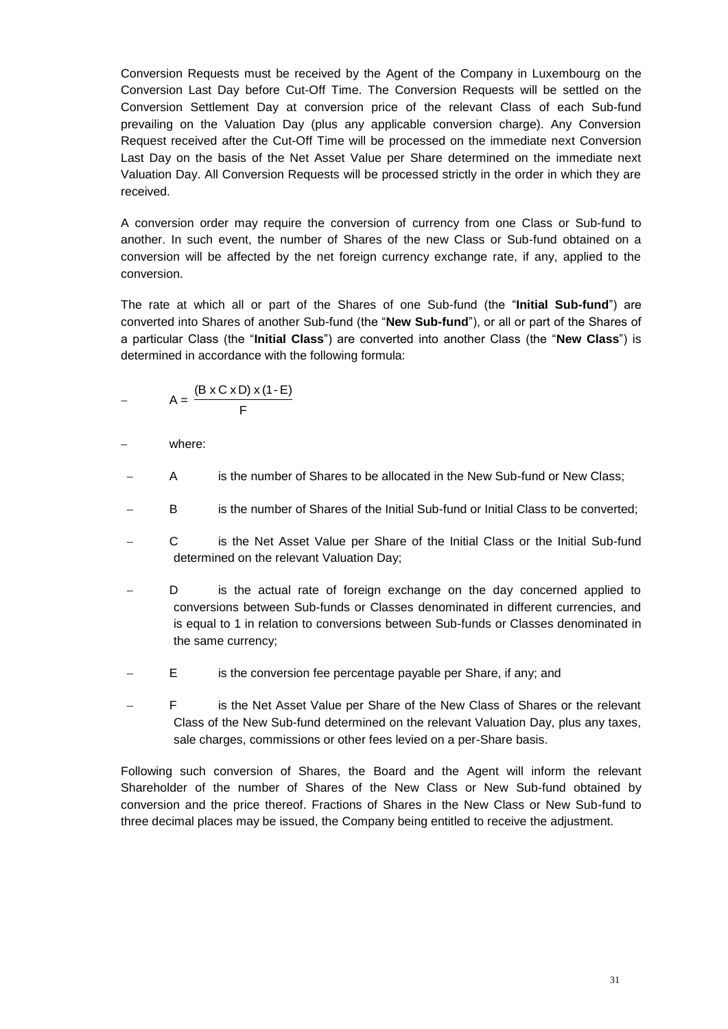Conversion Requests must be received by the Agent of the Company in Luxembourg on the Conversion Last Day before Cut-Off Time. The Conversion Requests will be settled on the Conversion Settlement Day at conversion price of the relevant Class of each Sub-fund prevailing on the Valuation Day (plus any applicable conversion charge). Any Conversion Request received after the Cut-Off Time will be processed on the immediate next Conversion Last Day on the basis of the Net Asset Value per Share determined on the immediate next Valuation Day. All Conversion Requests will be processed strictly in the order in which they are received.

A conversion order may require the conversion of currency from one Class or Sub-fund to another. In such event, the number of Shares of the new Class or Sub-fund obtained on a conversion will be affected by the net foreign currency exchange rate, if any, applied to the conversion.

The rate at which all or part of the Shares of one Sub-fund (the "**Initial Sub-fund**") are converted into Shares of another Sub-fund (the "**New Sub-fund**"), or all or part of the Shares of a particular Class (the "**Initial Class**") are converted into another Class (the "**New Class**") is determined in accordance with the following formula:

$$
- \qquad A = \frac{(B \times C \times D) \times (1 - E)}{F}
$$

where:

- A is the number of Shares to be allocated in the New Sub-fund or New Class;
- B is the number of Shares of the Initial Sub-fund or Initial Class to be converted;
- C is the Net Asset Value per Share of the Initial Class or the Initial Sub-fund determined on the relevant Valuation Day;
- D is the actual rate of foreign exchange on the day concerned applied to conversions between Sub-funds or Classes denominated in different currencies, and is equal to 1 in relation to conversions between Sub-funds or Classes denominated in the same currency;
- E is the conversion fee percentage payable per Share, if any; and
- F is the Net Asset Value per Share of the New Class of Shares or the relevant Class of the New Sub-fund determined on the relevant Valuation Day, plus any taxes, sale charges, commissions or other fees levied on a per-Share basis.

Following such conversion of Shares, the Board and the Agent will inform the relevant Shareholder of the number of Shares of the New Class or New Sub-fund obtained by conversion and the price thereof. Fractions of Shares in the New Class or New Sub-fund to three decimal places may be issued, the Company being entitled to receive the adjustment.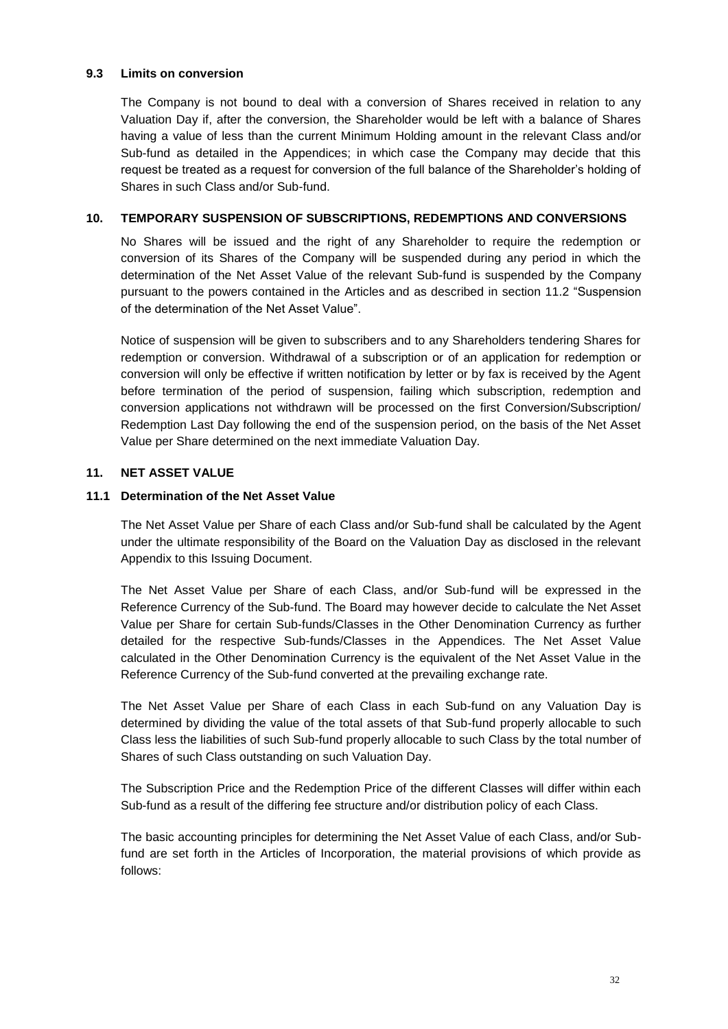#### **9.3 Limits on conversion**

The Company is not bound to deal with a conversion of Shares received in relation to any Valuation Day if, after the conversion, the Shareholder would be left with a balance of Shares having a value of less than the current Minimum Holding amount in the relevant Class and/or Sub-fund as detailed in the Appendices; in which case the Company may decide that this request be treated as a request for conversion of the full balance of the Shareholder's holding of Shares in such Class and/or Sub-fund.

### <span id="page-31-0"></span>**10. TEMPORARY SUSPENSION OF SUBSCRIPTIONS, REDEMPTIONS AND CONVERSIONS**

No Shares will be issued and the right of any Shareholder to require the redemption or conversion of its Shares of the Company will be suspended during any period in which the determination of the Net Asset Value of the relevant Sub-fund is suspended by the Company pursuant to the powers contained in the Articles and as described in section [11.2](#page-33-0) "Suspension of the determination of the Net Asset Value".

Notice of suspension will be given to subscribers and to any Shareholders tendering Shares for redemption or conversion. Withdrawal of a subscription or of an application for redemption or conversion will only be effective if written notification by letter or by fax is received by the Agent before termination of the period of suspension, failing which subscription, redemption and conversion applications not withdrawn will be processed on the first Conversion/Subscription/ Redemption Last Day following the end of the suspension period, on the basis of the Net Asset Value per Share determined on the next immediate Valuation Day.

### <span id="page-31-1"></span>**11. NET ASSET VALUE**

### **11.1 Determination of the Net Asset Value**

The Net Asset Value per Share of each Class and/or Sub-fund shall be calculated by the Agent under the ultimate responsibility of the Board on the Valuation Day as disclosed in the relevant Appendix to this Issuing Document.

The Net Asset Value per Share of each Class, and/or Sub-fund will be expressed in the Reference Currency of the Sub-fund. The Board may however decide to calculate the Net Asset Value per Share for certain Sub-funds/Classes in the Other Denomination Currency as further detailed for the respective Sub-funds/Classes in the Appendices. The Net Asset Value calculated in the Other Denomination Currency is the equivalent of the Net Asset Value in the Reference Currency of the Sub-fund converted at the prevailing exchange rate.

The Net Asset Value per Share of each Class in each Sub-fund on any Valuation Day is determined by dividing the value of the total assets of that Sub-fund properly allocable to such Class less the liabilities of such Sub-fund properly allocable to such Class by the total number of Shares of such Class outstanding on such Valuation Day.

The Subscription Price and the Redemption Price of the different Classes will differ within each Sub-fund as a result of the differing fee structure and/or distribution policy of each Class.

The basic accounting principles for determining the Net Asset Value of each Class, and/or Subfund are set forth in the Articles of Incorporation, the material provisions of which provide as follows: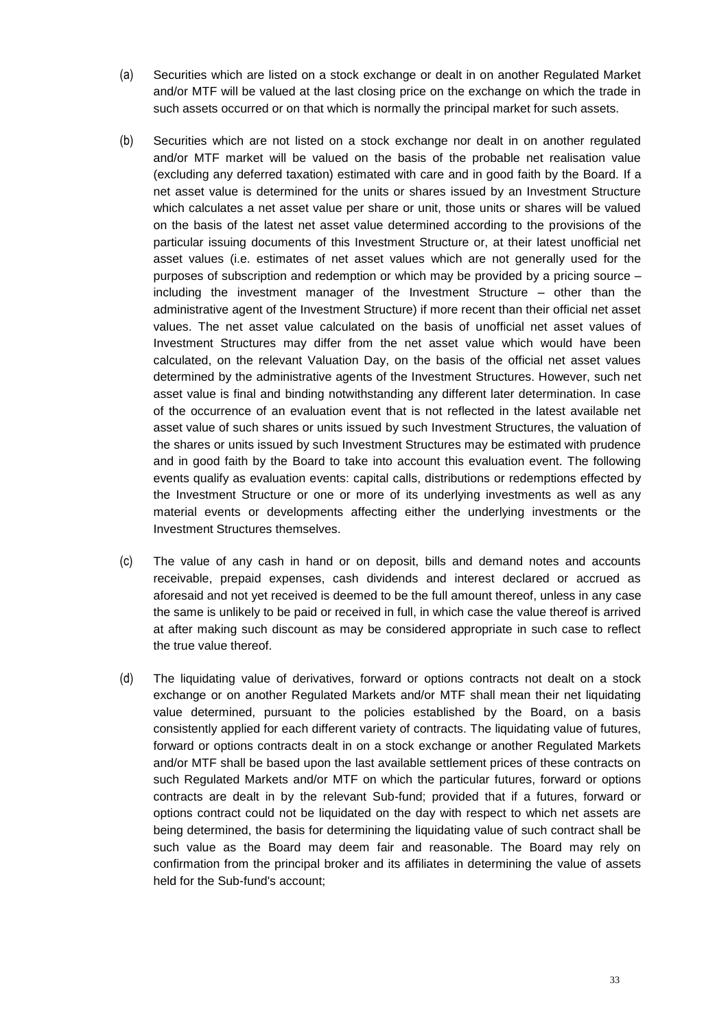- (a) Securities which are listed on a stock exchange or dealt in on another Regulated Market and/or MTF will be valued at the last closing price on the exchange on which the trade in such assets occurred or on that which is normally the principal market for such assets.
- (b) Securities which are not listed on a stock exchange nor dealt in on another regulated and/or MTF market will be valued on the basis of the probable net realisation value (excluding any deferred taxation) estimated with care and in good faith by the Board. If a net asset value is determined for the units or shares issued by an Investment Structure which calculates a net asset value per share or unit, those units or shares will be valued on the basis of the latest net asset value determined according to the provisions of the particular issuing documents of this Investment Structure or, at their latest unofficial net asset values (i.e. estimates of net asset values which are not generally used for the purposes of subscription and redemption or which may be provided by a pricing source – including the investment manager of the Investment Structure – other than the administrative agent of the Investment Structure) if more recent than their official net asset values. The net asset value calculated on the basis of unofficial net asset values of Investment Structures may differ from the net asset value which would have been calculated, on the relevant Valuation Day, on the basis of the official net asset values determined by the administrative agents of the Investment Structures. However, such net asset value is final and binding notwithstanding any different later determination. In case of the occurrence of an evaluation event that is not reflected in the latest available net asset value of such shares or units issued by such Investment Structures, the valuation of the shares or units issued by such Investment Structures may be estimated with prudence and in good faith by the Board to take into account this evaluation event. The following events qualify as evaluation events: capital calls, distributions or redemptions effected by the Investment Structure or one or more of its underlying investments as well as any material events or developments affecting either the underlying investments or the Investment Structures themselves.
- (c) The value of any cash in hand or on deposit, bills and demand notes and accounts receivable, prepaid expenses, cash dividends and interest declared or accrued as aforesaid and not yet received is deemed to be the full amount thereof, unless in any case the same is unlikely to be paid or received in full, in which case the value thereof is arrived at after making such discount as may be considered appropriate in such case to reflect the true value thereof.
- (d) The liquidating value of derivatives, forward or options contracts not dealt on a stock exchange or on another Regulated Markets and/or MTF shall mean their net liquidating value determined, pursuant to the policies established by the Board, on a basis consistently applied for each different variety of contracts. The liquidating value of futures, forward or options contracts dealt in on a stock exchange or another Regulated Markets and/or MTF shall be based upon the last available settlement prices of these contracts on such Regulated Markets and/or MTF on which the particular futures, forward or options contracts are dealt in by the relevant Sub-fund; provided that if a futures, forward or options contract could not be liquidated on the day with respect to which net assets are being determined, the basis for determining the liquidating value of such contract shall be such value as the Board may deem fair and reasonable. The Board may rely on confirmation from the principal broker and its affiliates in determining the value of assets held for the Sub-fund's account;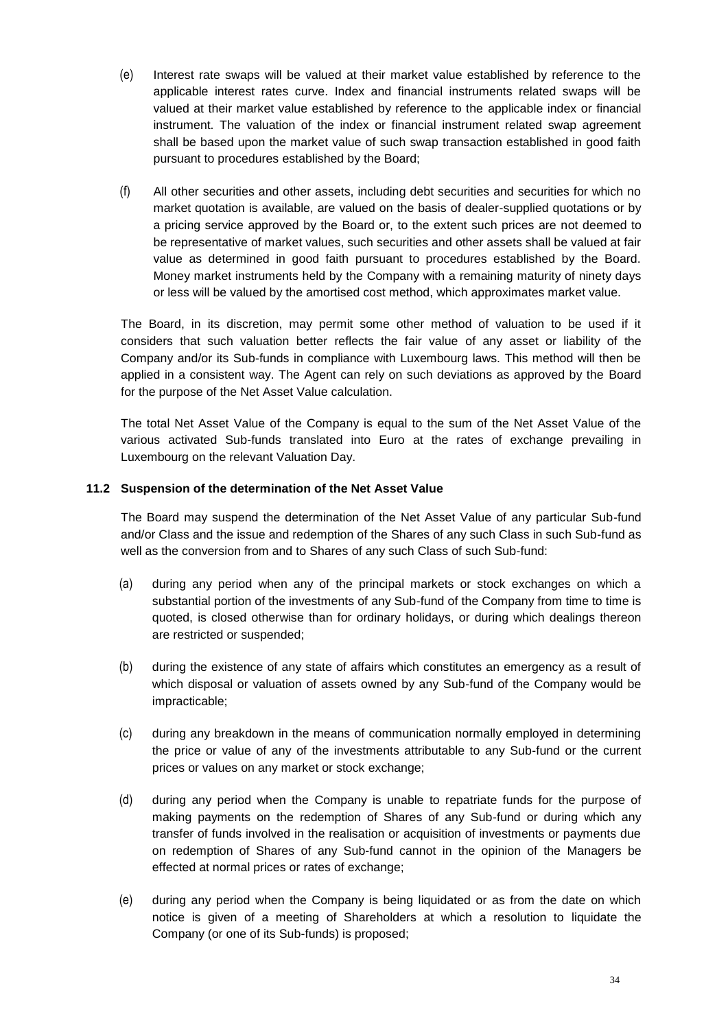- (e) Interest rate swaps will be valued at their market value established by reference to the applicable interest rates curve. Index and financial instruments related swaps will be valued at their market value established by reference to the applicable index or financial instrument. The valuation of the index or financial instrument related swap agreement shall be based upon the market value of such swap transaction established in good faith pursuant to procedures established by the Board;
- (f) All other securities and other assets, including debt securities and securities for which no market quotation is available, are valued on the basis of dealer-supplied quotations or by a pricing service approved by the Board or, to the extent such prices are not deemed to be representative of market values, such securities and other assets shall be valued at fair value as determined in good faith pursuant to procedures established by the Board. Money market instruments held by the Company with a remaining maturity of ninety days or less will be valued by the amortised cost method, which approximates market value.

The Board, in its discretion, may permit some other method of valuation to be used if it considers that such valuation better reflects the fair value of any asset or liability of the Company and/or its Sub-funds in compliance with Luxembourg laws. This method will then be applied in a consistent way. The Agent can rely on such deviations as approved by the Board for the purpose of the Net Asset Value calculation.

The total Net Asset Value of the Company is equal to the sum of the Net Asset Value of the various activated Sub-funds translated into Euro at the rates of exchange prevailing in Luxembourg on the relevant Valuation Day.

# <span id="page-33-0"></span>**11.2 Suspension of the determination of the Net Asset Value**

The Board may suspend the determination of the Net Asset Value of any particular Sub-fund and/or Class and the issue and redemption of the Shares of any such Class in such Sub-fund as well as the conversion from and to Shares of any such Class of such Sub-fund:

- (a) during any period when any of the principal markets or stock exchanges on which a substantial portion of the investments of any Sub-fund of the Company from time to time is quoted, is closed otherwise than for ordinary holidays, or during which dealings thereon are restricted or suspended;
- (b) during the existence of any state of affairs which constitutes an emergency as a result of which disposal or valuation of assets owned by any Sub-fund of the Company would be impracticable;
- (c) during any breakdown in the means of communication normally employed in determining the price or value of any of the investments attributable to any Sub-fund or the current prices or values on any market or stock exchange;
- (d) during any period when the Company is unable to repatriate funds for the purpose of making payments on the redemption of Shares of any Sub-fund or during which any transfer of funds involved in the realisation or acquisition of investments or payments due on redemption of Shares of any Sub-fund cannot in the opinion of the Managers be effected at normal prices or rates of exchange;
- (e) during any period when the Company is being liquidated or as from the date on which notice is given of a meeting of Shareholders at which a resolution to liquidate the Company (or one of its Sub-funds) is proposed;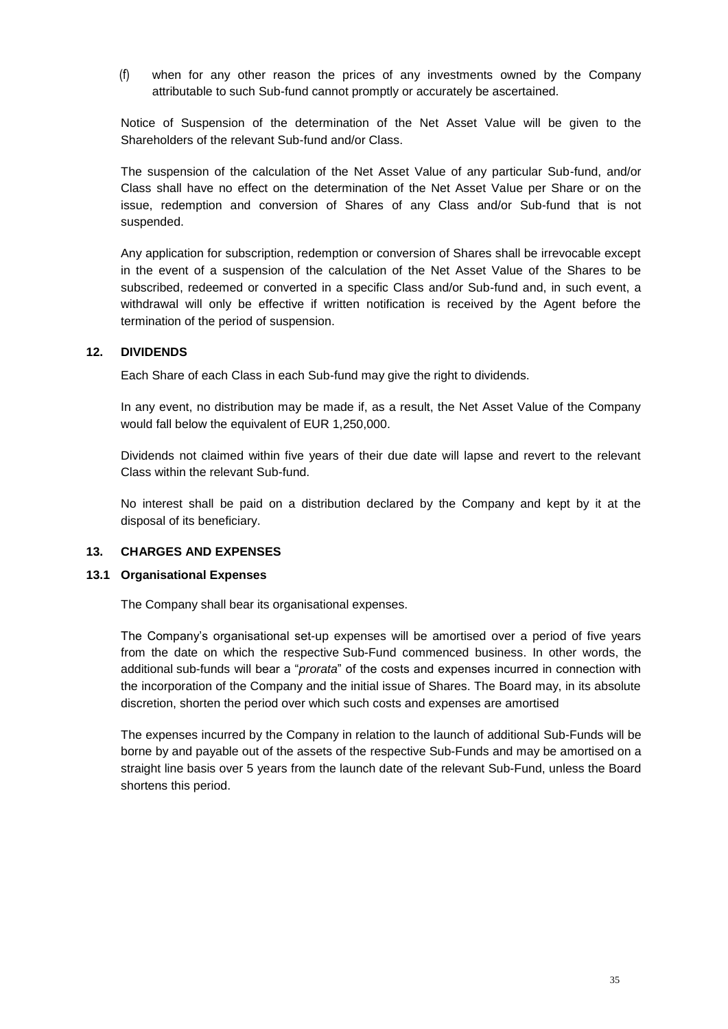(f) when for any other reason the prices of any investments owned by the Company attributable to such Sub-fund cannot promptly or accurately be ascertained.

Notice of Suspension of the determination of the Net Asset Value will be given to the Shareholders of the relevant Sub-fund and/or Class.

The suspension of the calculation of the Net Asset Value of any particular Sub-fund, and/or Class shall have no effect on the determination of the Net Asset Value per Share or on the issue, redemption and conversion of Shares of any Class and/or Sub-fund that is not suspended.

Any application for subscription, redemption or conversion of Shares shall be irrevocable except in the event of a suspension of the calculation of the Net Asset Value of the Shares to be subscribed, redeemed or converted in a specific Class and/or Sub-fund and, in such event, a withdrawal will only be effective if written notification is received by the Agent before the termination of the period of suspension.

#### <span id="page-34-0"></span>**12. DIVIDENDS**

Each Share of each Class in each Sub-fund may give the right to dividends.

In any event, no distribution may be made if, as a result, the Net Asset Value of the Company would fall below the equivalent of EUR 1,250,000.

Dividends not claimed within five years of their due date will lapse and revert to the relevant Class within the relevant Sub-fund.

No interest shall be paid on a distribution declared by the Company and kept by it at the disposal of its beneficiary.

#### <span id="page-34-1"></span>**13. CHARGES AND EXPENSES**

#### **13.1 Organisational Expenses**

The Company shall bear its organisational expenses.

The Company's organisational set-up expenses will be amortised over a period of five years from the date on which the respective Sub-Fund commenced business. In other words, the additional sub-funds will bear a "*prorata*" of the costs and expenses incurred in connection with the incorporation of the Company and the initial issue of Shares. The Board may, in its absolute discretion, shorten the period over which such costs and expenses are amortised

The expenses incurred by the Company in relation to the launch of additional Sub-Funds will be borne by and payable out of the assets of the respective Sub-Funds and may be amortised on a straight line basis over 5 years from the launch date of the relevant Sub-Fund, unless the Board shortens this period.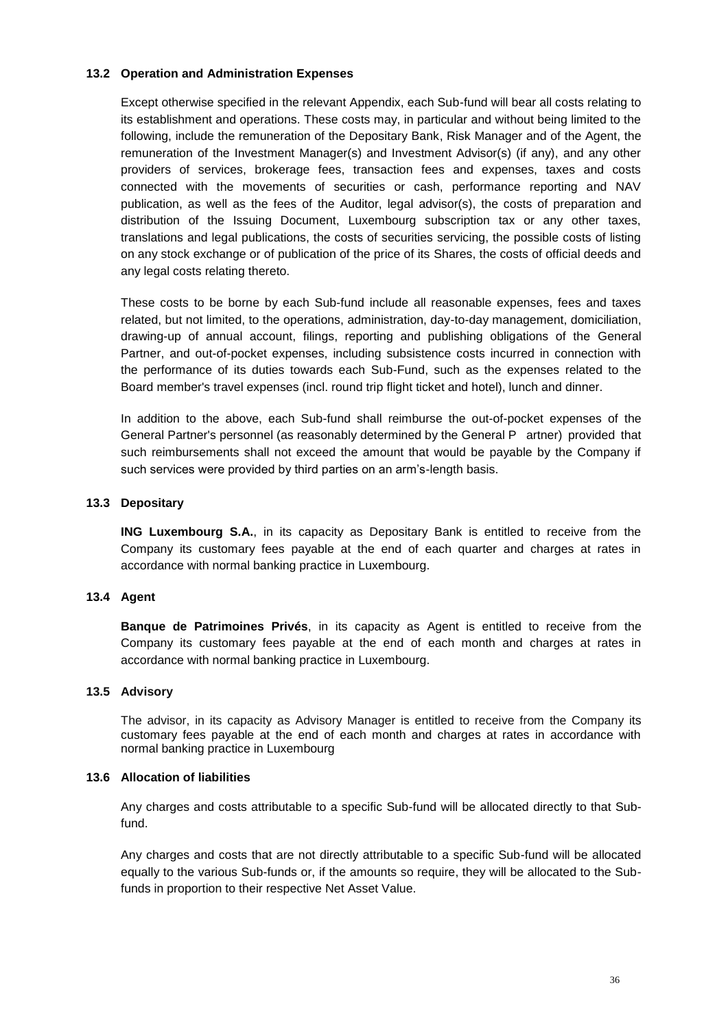#### **13.2 Operation and Administration Expenses**

Except otherwise specified in the relevant Appendix, each Sub-fund will bear all costs relating to its establishment and operations. These costs may, in particular and without being limited to the following, include the remuneration of the Depositary Bank, Risk Manager and of the Agent, the remuneration of the Investment Manager(s) and Investment Advisor(s) (if any), and any other providers of services, brokerage fees, transaction fees and expenses, taxes and costs connected with the movements of securities or cash, performance reporting and NAV publication, as well as the fees of the Auditor, legal advisor(s), the costs of preparation and distribution of the Issuing Document, Luxembourg subscription tax or any other taxes, translations and legal publications, the costs of securities servicing, the possible costs of listing on any stock exchange or of publication of the price of its Shares, the costs of official deeds and any legal costs relating thereto.

These costs to be borne by each Sub-fund include all reasonable expenses, fees and taxes related, but not limited, to the operations, administration, day-to-day management, domiciliation, drawing-up of annual account, filings, reporting and publishing obligations of the General Partner, and out-of-pocket expenses, including subsistence costs incurred in connection with the performance of its duties towards each Sub-Fund, such as the expenses related to the Board member's travel expenses (incl. round trip flight ticket and hotel), lunch and dinner.

In addition to the above, each Sub-fund shall reimburse the out-of-pocket expenses of the General Partner's personnel (as reasonably determined by the General P artner) provided that such reimbursements shall not exceed the amount that would be payable by the Company if such services were provided by third parties on an arm's-length basis.

#### **13.3 Depositary**

**ING Luxembourg S.A.**, in its capacity as Depositary Bank is entitled to receive from the Company its customary fees payable at the end of each quarter and charges at rates in accordance with normal banking practice in Luxembourg.

#### **13.4 Agent**

**Banque de Patrimoines Privés**, in its capacity as Agent is entitled to receive from the Company its customary fees payable at the end of each month and charges at rates in accordance with normal banking practice in Luxembourg.

#### **13.5 Advisory**

The advisor, in its capacity as Advisory Manager is entitled to receive from the Company its customary fees payable at the end of each month and charges at rates in accordance with normal banking practice in Luxembourg

#### **13.6 Allocation of liabilities**

Any charges and costs attributable to a specific Sub-fund will be allocated directly to that Subfund.

Any charges and costs that are not directly attributable to a specific Sub-fund will be allocated equally to the various Sub-funds or, if the amounts so require, they will be allocated to the Subfunds in proportion to their respective Net Asset Value.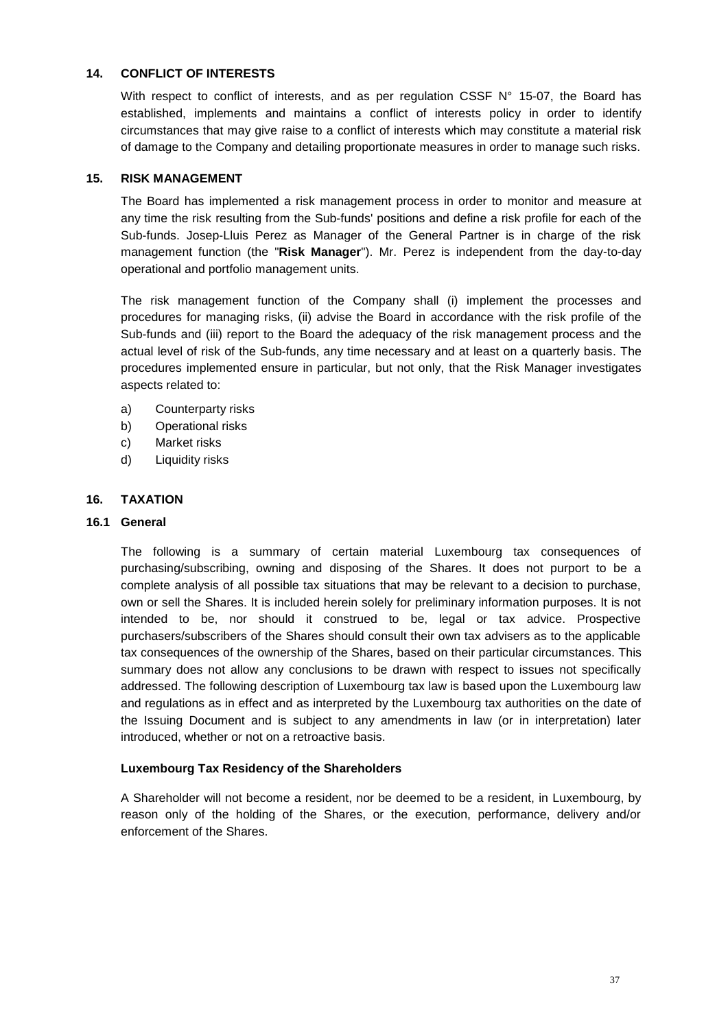# <span id="page-36-0"></span>**14. CONFLICT OF INTERESTS**

With respect to conflict of interests, and as per regulation CSSF N° 15-07, the Board has established, implements and maintains a conflict of interests policy in order to identify circumstances that may give raise to a conflict of interests which may constitute a material risk of damage to the Company and detailing proportionate measures in order to manage such risks.

# <span id="page-36-1"></span>**15. RISK MANAGEMENT**

The Board has implemented a risk management process in order to monitor and measure at any time the risk resulting from the Sub-funds' positions and define a risk profile for each of the Sub-funds. Josep-Lluis Perez as Manager of the General Partner is in charge of the risk management function (the "**Risk Manager**"). Mr. Perez is independent from the day-to-day operational and portfolio management units.

The risk management function of the Company shall (i) implement the processes and procedures for managing risks, (ii) advise the Board in accordance with the risk profile of the Sub-funds and (iii) report to the Board the adequacy of the risk management process and the actual level of risk of the Sub-funds, any time necessary and at least on a quarterly basis. The procedures implemented ensure in particular, but not only, that the Risk Manager investigates aspects related to:

- a) Counterparty risks
- b) Operational risks
- c) Market risks
- d) Liquidity risks

# <span id="page-36-2"></span>**16. TAXATION**

### **16.1 General**

The following is a summary of certain material Luxembourg tax consequences of purchasing/subscribing, owning and disposing of the Shares. It does not purport to be a complete analysis of all possible tax situations that may be relevant to a decision to purchase, own or sell the Shares. It is included herein solely for preliminary information purposes. It is not intended to be, nor should it construed to be, legal or tax advice. Prospective purchasers/subscribers of the Shares should consult their own tax advisers as to the applicable tax consequences of the ownership of the Shares, based on their particular circumstances. This summary does not allow any conclusions to be drawn with respect to issues not specifically addressed. The following description of Luxembourg tax law is based upon the Luxembourg law and regulations as in effect and as interpreted by the Luxembourg tax authorities on the date of the Issuing Document and is subject to any amendments in law (or in interpretation) later introduced, whether or not on a retroactive basis.

### **Luxembourg Tax Residency of the Shareholders**

A Shareholder will not become a resident, nor be deemed to be a resident, in Luxembourg, by reason only of the holding of the Shares, or the execution, performance, delivery and/or enforcement of the Shares.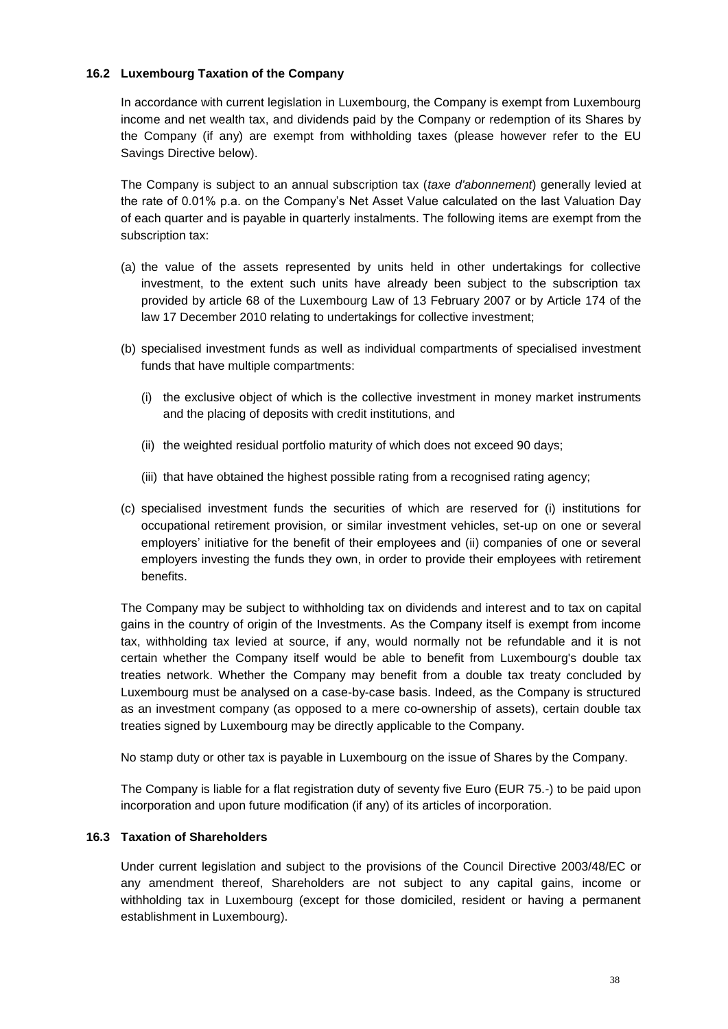# **16.2 Luxembourg Taxation of the Company**

In accordance with current legislation in Luxembourg, the Company is exempt from Luxembourg income and net wealth tax, and dividends paid by the Company or redemption of its Shares by the Company (if any) are exempt from withholding taxes (please however refer to the EU Savings Directive below).

The Company is subject to an annual subscription tax (*taxe d'abonnement*) generally levied at the rate of 0.01% p.a. on the Company's Net Asset Value calculated on the last Valuation Day of each quarter and is payable in quarterly instalments. The following items are exempt from the subscription tax:

- (a) the value of the assets represented by units held in other undertakings for collective investment, to the extent such units have already been subject to the subscription tax provided by article 68 of the Luxembourg Law of 13 February 2007 or by Article 174 of the law 17 December 2010 relating to undertakings for collective investment;
- (b) specialised investment funds as well as individual compartments of specialised investment funds that have multiple compartments:
	- (i) the exclusive object of which is the collective investment in money market instruments and the placing of deposits with credit institutions, and
	- (ii) the weighted residual portfolio maturity of which does not exceed 90 days;
	- (iii) that have obtained the highest possible rating from a recognised rating agency;
- (c) specialised investment funds the securities of which are reserved for (i) institutions for occupational retirement provision, or similar investment vehicles, set-up on one or several employers' initiative for the benefit of their employees and (ii) companies of one or several employers investing the funds they own, in order to provide their employees with retirement benefits.

The Company may be subject to withholding tax on dividends and interest and to tax on capital gains in the country of origin of the Investments. As the Company itself is exempt from income tax, withholding tax levied at source, if any, would normally not be refundable and it is not certain whether the Company itself would be able to benefit from Luxembourg's double tax treaties network. Whether the Company may benefit from a double tax treaty concluded by Luxembourg must be analysed on a case-by-case basis. Indeed, as the Company is structured as an investment company (as opposed to a mere co-ownership of assets), certain double tax treaties signed by Luxembourg may be directly applicable to the Company.

No stamp duty or other tax is payable in Luxembourg on the issue of Shares by the Company.

The Company is liable for a flat registration duty of seventy five Euro (EUR 75.-) to be paid upon incorporation and upon future modification (if any) of its articles of incorporation.

# **16.3 Taxation of Shareholders**

Under current legislation and subject to the provisions of the Council Directive 2003/48/EC or any amendment thereof, Shareholders are not subject to any capital gains, income or withholding tax in Luxembourg (except for those domiciled, resident or having a permanent establishment in Luxembourg).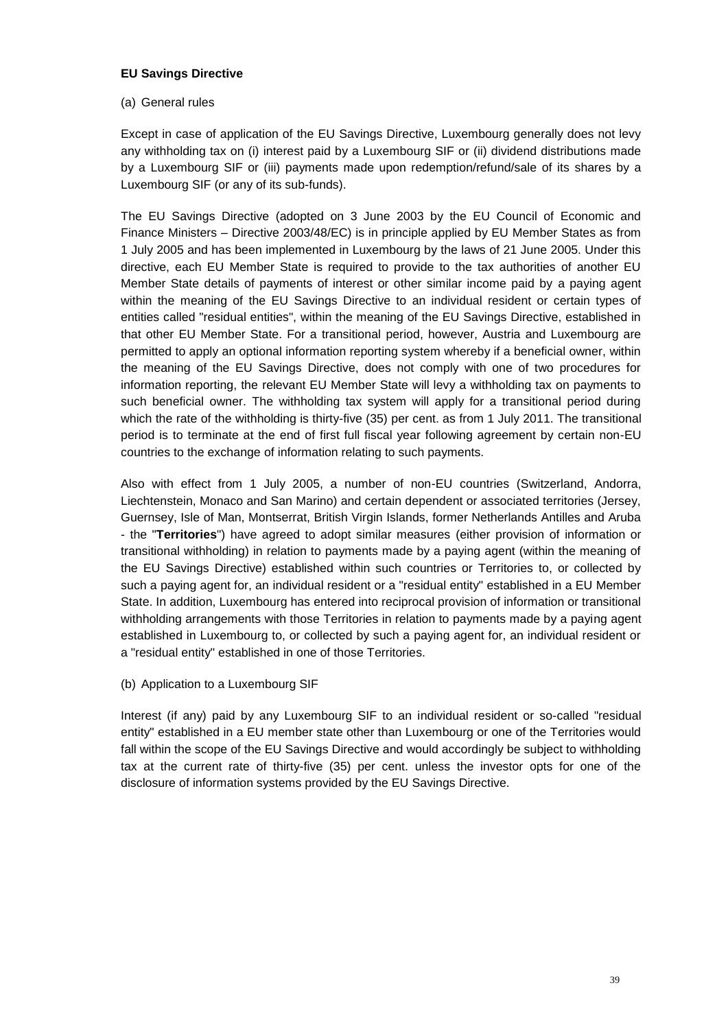# **EU Savings Directive**

# (a) General rules

Except in case of application of the EU Savings Directive, Luxembourg generally does not levy any withholding tax on (i) interest paid by a Luxembourg SIF or (ii) dividend distributions made by a Luxembourg SIF or (iii) payments made upon redemption/refund/sale of its shares by a Luxembourg SIF (or any of its sub-funds).

The EU Savings Directive (adopted on 3 June 2003 by the EU Council of Economic and Finance Ministers – Directive 2003/48/EC) is in principle applied by EU Member States as from 1 July 2005 and has been implemented in Luxembourg by the laws of 21 June 2005. Under this directive, each EU Member State is required to provide to the tax authorities of another EU Member State details of payments of interest or other similar income paid by a paying agent within the meaning of the EU Savings Directive to an individual resident or certain types of entities called "residual entities", within the meaning of the EU Savings Directive, established in that other EU Member State. For a transitional period, however, Austria and Luxembourg are permitted to apply an optional information reporting system whereby if a beneficial owner, within the meaning of the EU Savings Directive, does not comply with one of two procedures for information reporting, the relevant EU Member State will levy a withholding tax on payments to such beneficial owner. The withholding tax system will apply for a transitional period during which the rate of the withholding is thirty-five (35) per cent. as from 1 July 2011. The transitional period is to terminate at the end of first full fiscal year following agreement by certain non-EU countries to the exchange of information relating to such payments.

Also with effect from 1 July 2005, a number of non-EU countries (Switzerland, Andorra, Liechtenstein, Monaco and San Marino) and certain dependent or associated territories (Jersey, Guernsey, Isle of Man, Montserrat, British Virgin Islands, former Netherlands Antilles and Aruba - the "**Territories**") have agreed to adopt similar measures (either provision of information or transitional withholding) in relation to payments made by a paying agent (within the meaning of the EU Savings Directive) established within such countries or Territories to, or collected by such a paying agent for, an individual resident or a "residual entity" established in a EU Member State. In addition, Luxembourg has entered into reciprocal provision of information or transitional withholding arrangements with those Territories in relation to payments made by a paying agent established in Luxembourg to, or collected by such a paying agent for, an individual resident or a "residual entity" established in one of those Territories.

(b) Application to a Luxembourg SIF

Interest (if any) paid by any Luxembourg SIF to an individual resident or so-called "residual entity" established in a EU member state other than Luxembourg or one of the Territories would fall within the scope of the EU Savings Directive and would accordingly be subject to withholding tax at the current rate of thirty-five (35) per cent. unless the investor opts for one of the disclosure of information systems provided by the EU Savings Directive.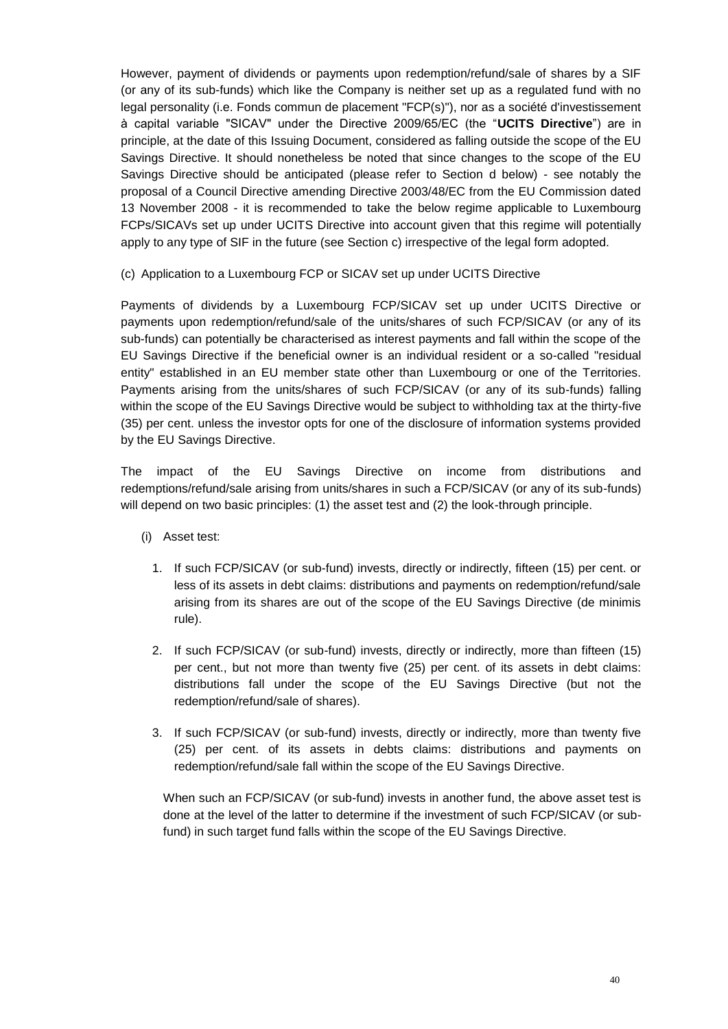However, payment of dividends or payments upon redemption/refund/sale of shares by a SIF (or any of its sub-funds) which like the Company is neither set up as a regulated fund with no legal personality (i.e. Fonds commun de placement "FCP(s)"), nor as a société d'investissement à capital variable "SICAV" under the Directive 2009/65/EC (the "**UCITS Directive**") are in principle, at the date of this Issuing Document, considered as falling outside the scope of the EU Savings Directive. It should nonetheless be noted that since changes to the scope of the EU Savings Directive should be anticipated (please refer to Section d below) - see notably the proposal of a Council Directive amending Directive 2003/48/EC from the EU Commission dated 13 November 2008 - it is recommended to take the below regime applicable to Luxembourg FCPs/SICAVs set up under UCITS Directive into account given that this regime will potentially apply to any type of SIF in the future (see Section c) irrespective of the legal form adopted.

(c) Application to a Luxembourg FCP or SICAV set up under UCITS Directive

Payments of dividends by a Luxembourg FCP/SICAV set up under UCITS Directive or payments upon redemption/refund/sale of the units/shares of such FCP/SICAV (or any of its sub-funds) can potentially be characterised as interest payments and fall within the scope of the EU Savings Directive if the beneficial owner is an individual resident or a so-called "residual entity" established in an EU member state other than Luxembourg or one of the Territories. Payments arising from the units/shares of such FCP/SICAV (or any of its sub-funds) falling within the scope of the EU Savings Directive would be subject to withholding tax at the thirty-five (35) per cent. unless the investor opts for one of the disclosure of information systems provided by the EU Savings Directive.

The impact of the EU Savings Directive on income from distributions and redemptions/refund/sale arising from units/shares in such a FCP/SICAV (or any of its sub-funds) will depend on two basic principles: (1) the asset test and (2) the look-through principle.

- (i) Asset test:
	- 1. If such FCP/SICAV (or sub-fund) invests, directly or indirectly, fifteen (15) per cent. or less of its assets in debt claims: distributions and payments on redemption/refund/sale arising from its shares are out of the scope of the EU Savings Directive (de minimis rule).
	- 2. If such FCP/SICAV (or sub-fund) invests, directly or indirectly, more than fifteen (15) per cent., but not more than twenty five (25) per cent. of its assets in debt claims: distributions fall under the scope of the EU Savings Directive (but not the redemption/refund/sale of shares).
	- 3. If such FCP/SICAV (or sub-fund) invests, directly or indirectly, more than twenty five (25) per cent. of its assets in debts claims: distributions and payments on redemption/refund/sale fall within the scope of the EU Savings Directive.

When such an FCP/SICAV (or sub-fund) invests in another fund, the above asset test is done at the level of the latter to determine if the investment of such FCP/SICAV (or subfund) in such target fund falls within the scope of the EU Savings Directive.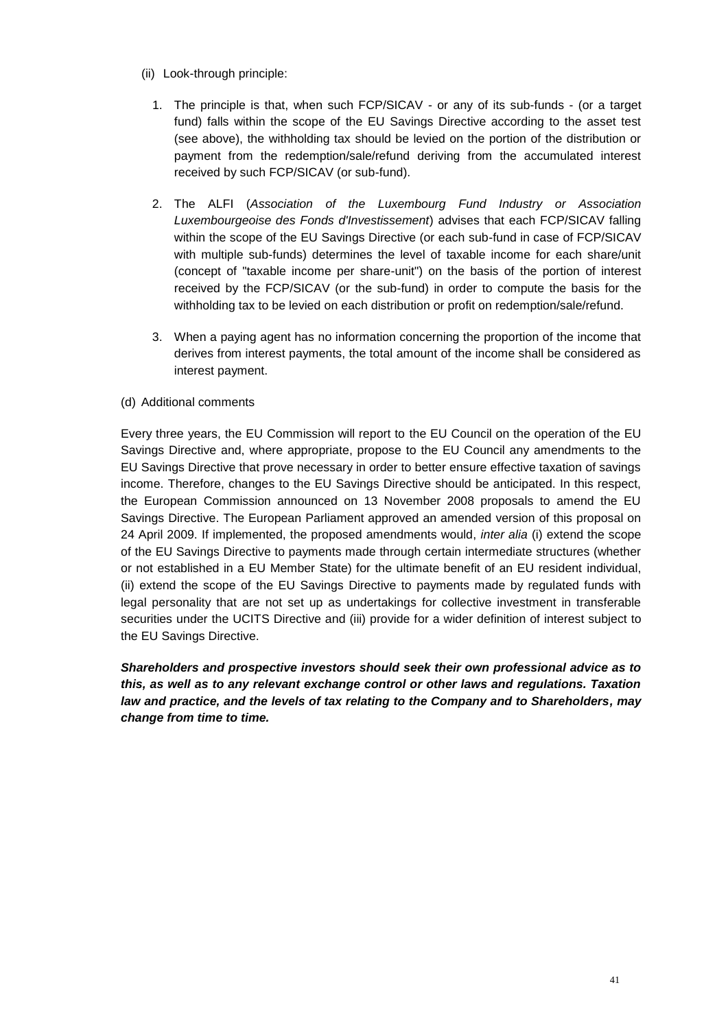- (ii) Look-through principle:
	- 1. The principle is that, when such FCP/SICAV or any of its sub-funds (or a target fund) falls within the scope of the EU Savings Directive according to the asset test (see above), the withholding tax should be levied on the portion of the distribution or payment from the redemption/sale/refund deriving from the accumulated interest received by such FCP/SICAV (or sub-fund).
	- 2. The ALFI (*Association of the Luxembourg Fund Industry or Association Luxembourgeoise des Fonds d'Investissement*) advises that each FCP/SICAV falling within the scope of the EU Savings Directive (or each sub-fund in case of FCP/SICAV with multiple sub-funds) determines the level of taxable income for each share/unit (concept of "taxable income per share-unit") on the basis of the portion of interest received by the FCP/SICAV (or the sub-fund) in order to compute the basis for the withholding tax to be levied on each distribution or profit on redemption/sale/refund.
	- 3. When a paying agent has no information concerning the proportion of the income that derives from interest payments, the total amount of the income shall be considered as interest payment.

### (d) Additional comments

Every three years, the EU Commission will report to the EU Council on the operation of the EU Savings Directive and, where appropriate, propose to the EU Council any amendments to the EU Savings Directive that prove necessary in order to better ensure effective taxation of savings income. Therefore, changes to the EU Savings Directive should be anticipated. In this respect, the European Commission announced on 13 November 2008 proposals to amend the EU Savings Directive. The European Parliament approved an amended version of this proposal on 24 April 2009. If implemented, the proposed amendments would, *inter alia* (i) extend the scope of the EU Savings Directive to payments made through certain intermediate structures (whether or not established in a EU Member State) for the ultimate benefit of an EU resident individual, (ii) extend the scope of the EU Savings Directive to payments made by regulated funds with legal personality that are not set up as undertakings for collective investment in transferable securities under the UCITS Directive and (iii) provide for a wider definition of interest subject to the EU Savings Directive.

*Shareholders and prospective investors should seek their own professional advice as to this, as well as to any relevant exchange control or other laws and regulations. Taxation law and practice, and the levels of tax relating to the Company and to Shareholders, may change from time to time.*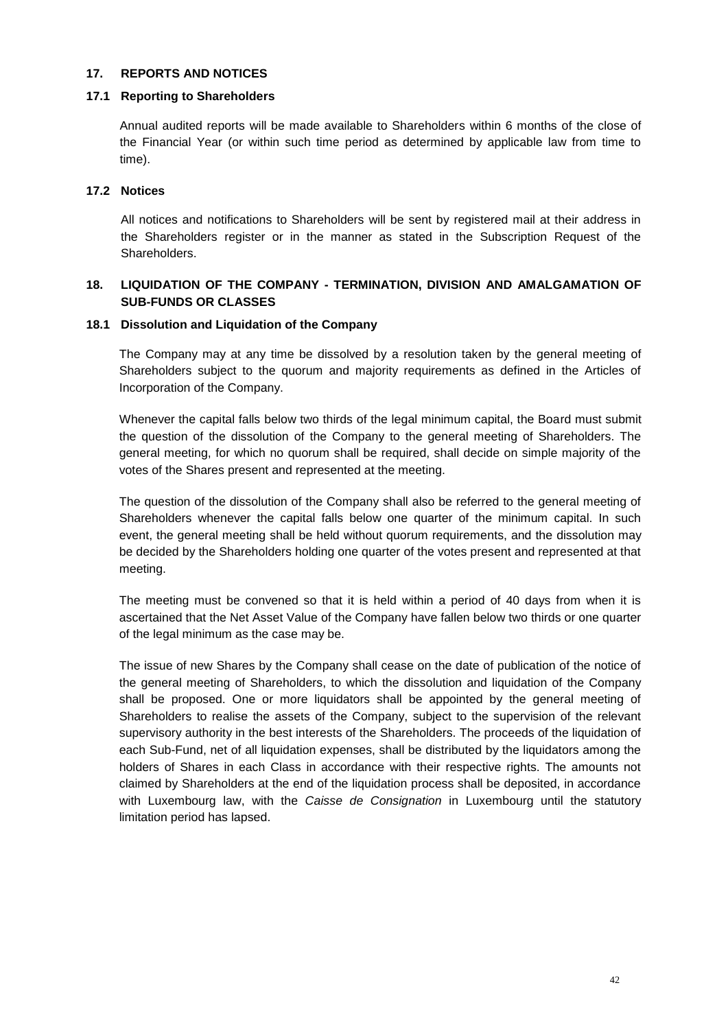#### <span id="page-41-0"></span>**17. REPORTS AND NOTICES**

#### **17.1 Reporting to Shareholders**

Annual audited reports will be made available to Shareholders within 6 months of the close of the Financial Year (or within such time period as determined by applicable law from time to time).

### **17.2 Notices**

All notices and notifications to Shareholders will be sent by registered mail at their address in the Shareholders register or in the manner as stated in the Subscription Request of the Shareholders.

# <span id="page-41-1"></span>**18. LIQUIDATION OF THE COMPANY - TERMINATION, DIVISION AND AMALGAMATION OF SUB-FUNDS OR CLASSES**

#### **18.1 Dissolution and Liquidation of the Company**

The Company may at any time be dissolved by a resolution taken by the general meeting of Shareholders subject to the quorum and majority requirements as defined in the Articles of Incorporation of the Company.

Whenever the capital falls below two thirds of the legal minimum capital, the Board must submit the question of the dissolution of the Company to the general meeting of Shareholders. The general meeting, for which no quorum shall be required, shall decide on simple majority of the votes of the Shares present and represented at the meeting.

The question of the dissolution of the Company shall also be referred to the general meeting of Shareholders whenever the capital falls below one quarter of the minimum capital. In such event, the general meeting shall be held without quorum requirements, and the dissolution may be decided by the Shareholders holding one quarter of the votes present and represented at that meeting.

The meeting must be convened so that it is held within a period of 40 days from when it is ascertained that the Net Asset Value of the Company have fallen below two thirds or one quarter of the legal minimum as the case may be.

The issue of new Shares by the Company shall cease on the date of publication of the notice of the general meeting of Shareholders, to which the dissolution and liquidation of the Company shall be proposed. One or more liquidators shall be appointed by the general meeting of Shareholders to realise the assets of the Company, subject to the supervision of the relevant supervisory authority in the best interests of the Shareholders. The proceeds of the liquidation of each Sub-Fund, net of all liquidation expenses, shall be distributed by the liquidators among the holders of Shares in each Class in accordance with their respective rights. The amounts not claimed by Shareholders at the end of the liquidation process shall be deposited, in accordance with Luxembourg law, with the *Caisse de Consignation* in Luxembourg until the statutory limitation period has lapsed.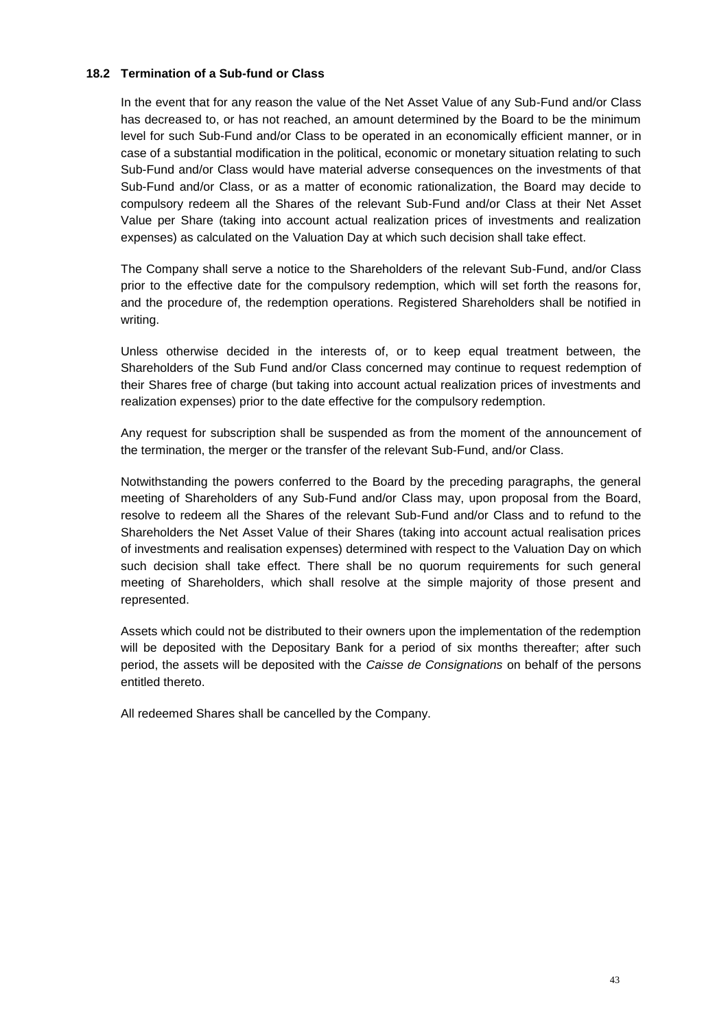### **18.2 Termination of a Sub-fund or Class**

In the event that for any reason the value of the Net Asset Value of any Sub-Fund and/or Class has decreased to, or has not reached, an amount determined by the Board to be the minimum level for such Sub-Fund and/or Class to be operated in an economically efficient manner, or in case of a substantial modification in the political, economic or monetary situation relating to such Sub-Fund and/or Class would have material adverse consequences on the investments of that Sub-Fund and/or Class, or as a matter of economic rationalization, the Board may decide to compulsory redeem all the Shares of the relevant Sub-Fund and/or Class at their Net Asset Value per Share (taking into account actual realization prices of investments and realization expenses) as calculated on the Valuation Day at which such decision shall take effect.

The Company shall serve a notice to the Shareholders of the relevant Sub-Fund, and/or Class prior to the effective date for the compulsory redemption, which will set forth the reasons for, and the procedure of, the redemption operations. Registered Shareholders shall be notified in writing.

Unless otherwise decided in the interests of, or to keep equal treatment between, the Shareholders of the Sub Fund and/or Class concerned may continue to request redemption of their Shares free of charge (but taking into account actual realization prices of investments and realization expenses) prior to the date effective for the compulsory redemption.

Any request for subscription shall be suspended as from the moment of the announcement of the termination, the merger or the transfer of the relevant Sub-Fund, and/or Class.

Notwithstanding the powers conferred to the Board by the preceding paragraphs, the general meeting of Shareholders of any Sub-Fund and/or Class may, upon proposal from the Board, resolve to redeem all the Shares of the relevant Sub-Fund and/or Class and to refund to the Shareholders the Net Asset Value of their Shares (taking into account actual realisation prices of investments and realisation expenses) determined with respect to the Valuation Day on which such decision shall take effect. There shall be no quorum requirements for such general meeting of Shareholders, which shall resolve at the simple majority of those present and represented.

Assets which could not be distributed to their owners upon the implementation of the redemption will be deposited with the Depositary Bank for a period of six months thereafter; after such period, the assets will be deposited with the *Caisse de Consignations* on behalf of the persons entitled thereto.

All redeemed Shares shall be cancelled by the Company.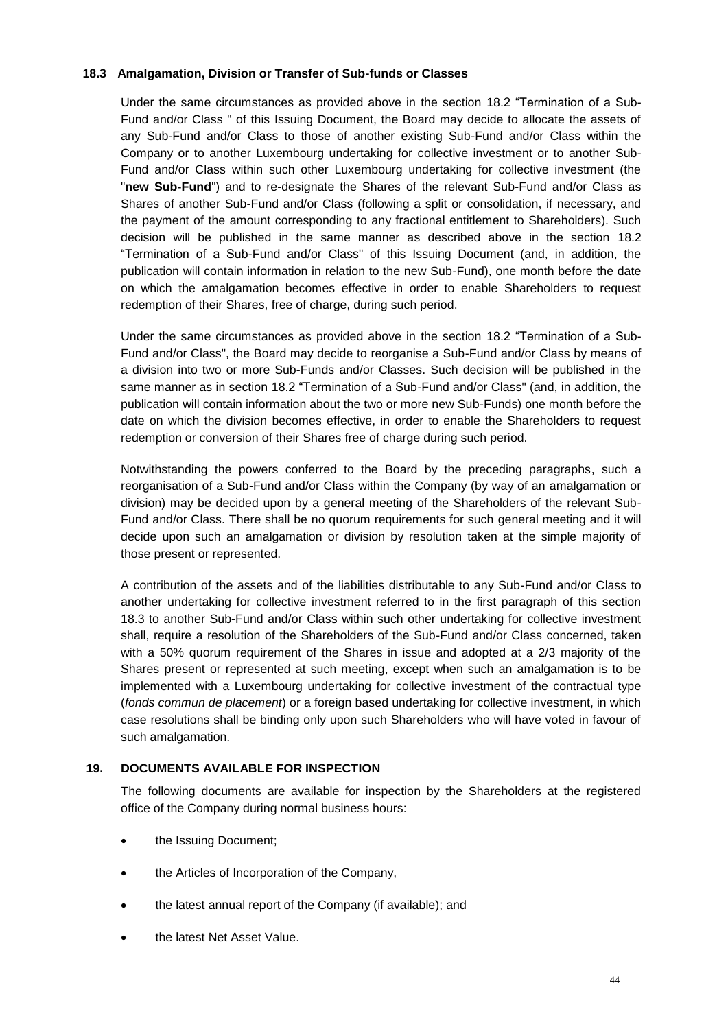# **18.3 Amalgamation, Division or Transfer of Sub-funds or Classes**

Under the same circumstances as provided above in the section 18.2 "Termination of a Sub-Fund and/or Class " of this Issuing Document, the Board may decide to allocate the assets of any Sub-Fund and/or Class to those of another existing Sub-Fund and/or Class within the Company or to another Luxembourg undertaking for collective investment or to another Sub-Fund and/or Class within such other Luxembourg undertaking for collective investment (the "**new Sub-Fund**") and to re-designate the Shares of the relevant Sub-Fund and/or Class as Shares of another Sub-Fund and/or Class (following a split or consolidation, if necessary, and the payment of the amount corresponding to any fractional entitlement to Shareholders). Such decision will be published in the same manner as described above in the section 18.2 "Termination of a Sub-Fund and/or Class" of this Issuing Document (and, in addition, the publication will contain information in relation to the new Sub-Fund), one month before the date on which the amalgamation becomes effective in order to enable Shareholders to request redemption of their Shares, free of charge, during such period.

Under the same circumstances as provided above in the section 18.2 "Termination of a Sub-Fund and/or Class", the Board may decide to reorganise a Sub-Fund and/or Class by means of a division into two or more Sub-Funds and/or Classes. Such decision will be published in the same manner as in section 18.2 "Termination of a Sub-Fund and/or Class" (and, in addition, the publication will contain information about the two or more new Sub-Funds) one month before the date on which the division becomes effective, in order to enable the Shareholders to request redemption or conversion of their Shares free of charge during such period.

Notwithstanding the powers conferred to the Board by the preceding paragraphs, such a reorganisation of a Sub-Fund and/or Class within the Company (by way of an amalgamation or division) may be decided upon by a general meeting of the Shareholders of the relevant Sub-Fund and/or Class. There shall be no quorum requirements for such general meeting and it will decide upon such an amalgamation or division by resolution taken at the simple majority of those present or represented.

A contribution of the assets and of the liabilities distributable to any Sub-Fund and/or Class to another undertaking for collective investment referred to in the first paragraph of this section 18.3 to another Sub-Fund and/or Class within such other undertaking for collective investment shall, require a resolution of the Shareholders of the Sub-Fund and/or Class concerned, taken with a 50% quorum requirement of the Shares in issue and adopted at a 2/3 majority of the Shares present or represented at such meeting, except when such an amalgamation is to be implemented with a Luxembourg undertaking for collective investment of the contractual type (*fonds commun de placement*) or a foreign based undertaking for collective investment, in which case resolutions shall be binding only upon such Shareholders who will have voted in favour of such amalgamation.

### <span id="page-43-0"></span>**19. DOCUMENTS AVAILABLE FOR INSPECTION**

The following documents are available for inspection by the Shareholders at the registered office of the Company during normal business hours:

- the Issuing Document;
- the Articles of Incorporation of the Company,
- the latest annual report of the Company (if available); and
- the latest Net Asset Value.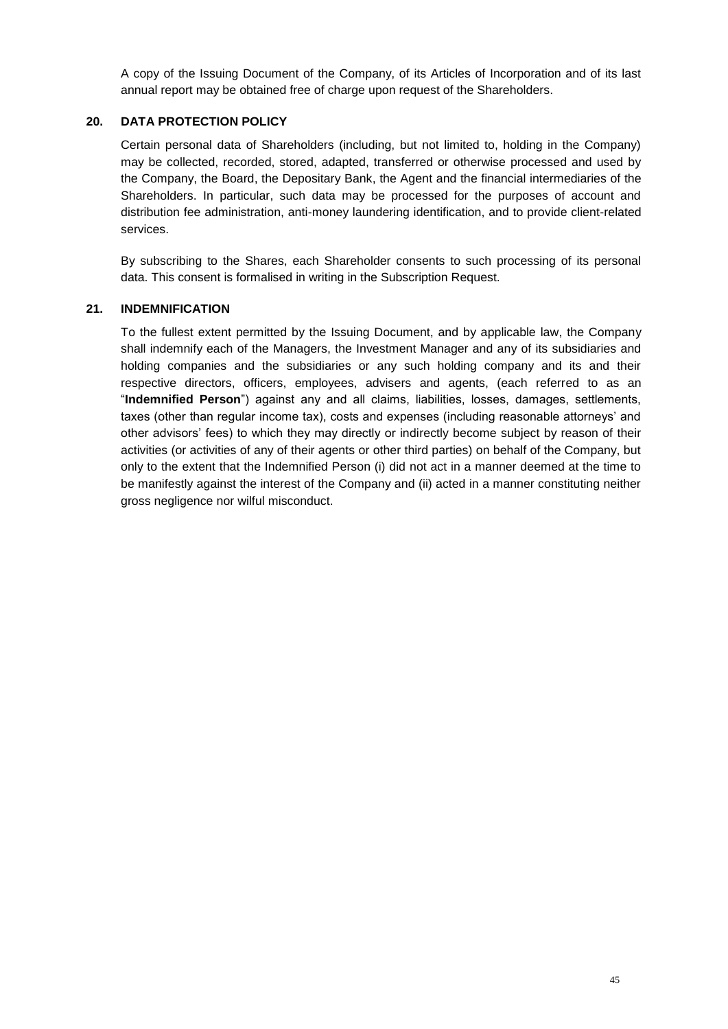A copy of the Issuing Document of the Company, of its Articles of Incorporation and of its last annual report may be obtained free of charge upon request of the Shareholders.

# <span id="page-44-0"></span>**20. DATA PROTECTION POLICY**

Certain personal data of Shareholders (including, but not limited to, holding in the Company) may be collected, recorded, stored, adapted, transferred or otherwise processed and used by the Company, the Board, the Depositary Bank, the Agent and the financial intermediaries of the Shareholders. In particular, such data may be processed for the purposes of account and distribution fee administration, anti-money laundering identification, and to provide client-related services.

By subscribing to the Shares, each Shareholder consents to such processing of its personal data. This consent is formalised in writing in the Subscription Request.

# <span id="page-44-1"></span>**21. INDEMNIFICATION**

To the fullest extent permitted by the Issuing Document, and by applicable law, the Company shall indemnify each of the Managers, the Investment Manager and any of its subsidiaries and holding companies and the subsidiaries or any such holding company and its and their respective directors, officers, employees, advisers and agents, (each referred to as an "**Indemnified Person**") against any and all claims, liabilities, losses, damages, settlements, taxes (other than regular income tax), costs and expenses (including reasonable attorneys' and other advisors' fees) to which they may directly or indirectly become subject by reason of their activities (or activities of any of their agents or other third parties) on behalf of the Company, but only to the extent that the Indemnified Person (i) did not act in a manner deemed at the time to be manifestly against the interest of the Company and (ii) acted in a manner constituting neither gross negligence nor wilful misconduct.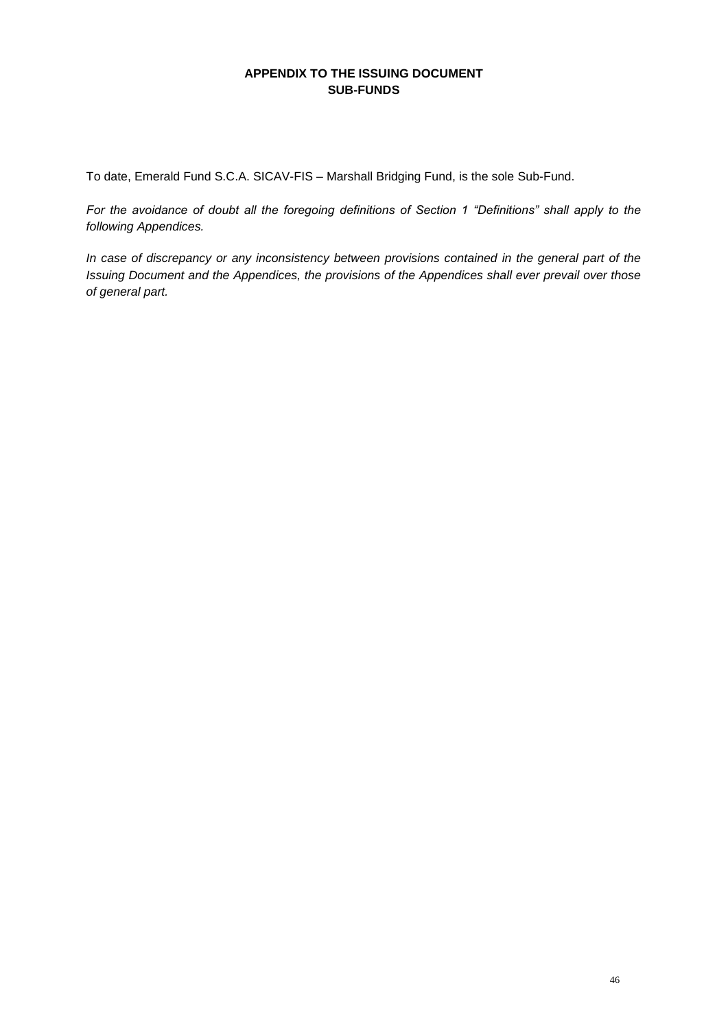# **APPENDIX TO THE ISSUING DOCUMENT SUB-FUNDS**

<span id="page-45-0"></span>To date, Emerald Fund S.C.A. SICAV-FIS – Marshall Bridging Fund, is the sole Sub-Fund.

*For the avoidance of doubt all the foregoing definitions of Section 1 "Definitions" shall apply to the following Appendices.* 

*In case of discrepancy or any inconsistency between provisions contained in the general part of the Issuing Document and the Appendices, the provisions of the Appendices shall ever prevail over those of general part.*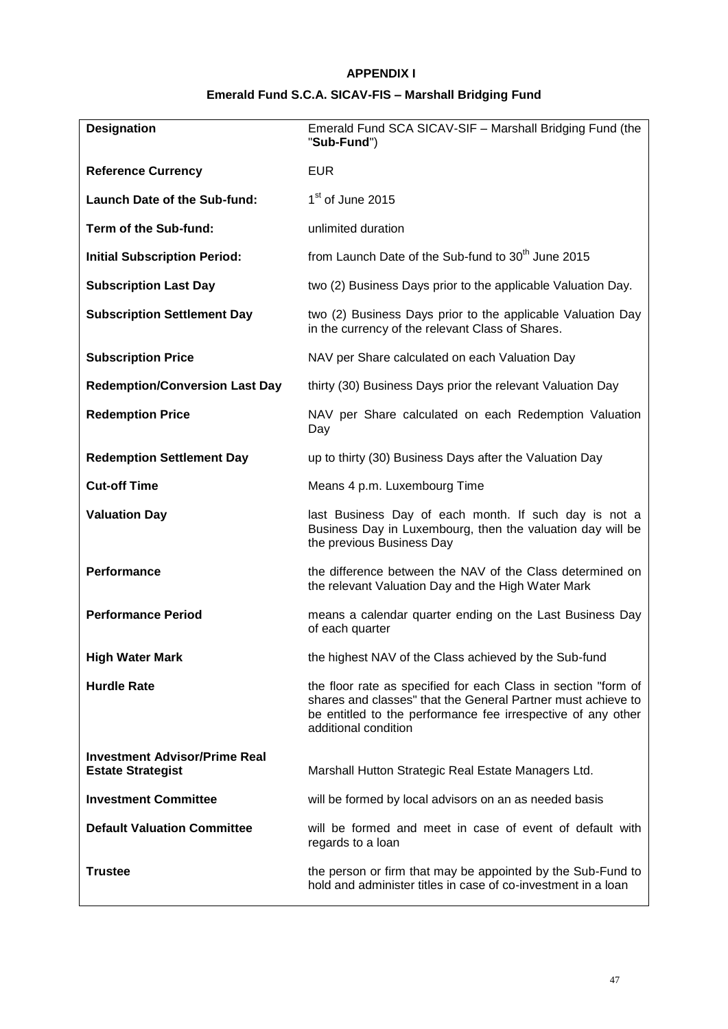# **APPENDIX I**

# **Emerald Fund S.C.A. SICAV-FIS – Marshall Bridging Fund**

<span id="page-46-0"></span>

| <b>Designation</b>                                               | Emerald Fund SCA SICAV-SIF - Marshall Bridging Fund (the<br>"Sub-Fund")                                                                                                                                                |  |  |  |  |  |
|------------------------------------------------------------------|------------------------------------------------------------------------------------------------------------------------------------------------------------------------------------------------------------------------|--|--|--|--|--|
| <b>Reference Currency</b>                                        | <b>EUR</b>                                                                                                                                                                                                             |  |  |  |  |  |
| <b>Launch Date of the Sub-fund:</b>                              | 1 <sup>st</sup> of June 2015                                                                                                                                                                                           |  |  |  |  |  |
| Term of the Sub-fund:                                            | unlimited duration                                                                                                                                                                                                     |  |  |  |  |  |
| <b>Initial Subscription Period:</b>                              | from Launch Date of the Sub-fund to 30 <sup>th</sup> June 2015                                                                                                                                                         |  |  |  |  |  |
| <b>Subscription Last Day</b>                                     | two (2) Business Days prior to the applicable Valuation Day.                                                                                                                                                           |  |  |  |  |  |
| <b>Subscription Settlement Day</b>                               | two (2) Business Days prior to the applicable Valuation Day<br>in the currency of the relevant Class of Shares.                                                                                                        |  |  |  |  |  |
| <b>Subscription Price</b>                                        | NAV per Share calculated on each Valuation Day                                                                                                                                                                         |  |  |  |  |  |
| <b>Redemption/Conversion Last Day</b>                            | thirty (30) Business Days prior the relevant Valuation Day                                                                                                                                                             |  |  |  |  |  |
| <b>Redemption Price</b>                                          | NAV per Share calculated on each Redemption Valuation<br>Day                                                                                                                                                           |  |  |  |  |  |
| <b>Redemption Settlement Day</b>                                 | up to thirty (30) Business Days after the Valuation Day                                                                                                                                                                |  |  |  |  |  |
| <b>Cut-off Time</b>                                              | Means 4 p.m. Luxembourg Time                                                                                                                                                                                           |  |  |  |  |  |
| <b>Valuation Day</b>                                             | last Business Day of each month. If such day is not a<br>Business Day in Luxembourg, then the valuation day will be<br>the previous Business Day                                                                       |  |  |  |  |  |
| Performance                                                      | the difference between the NAV of the Class determined on<br>the relevant Valuation Day and the High Water Mark                                                                                                        |  |  |  |  |  |
| <b>Performance Period</b>                                        | means a calendar quarter ending on the Last Business Day<br>of each quarter                                                                                                                                            |  |  |  |  |  |
| <b>High Water Mark</b>                                           | the highest NAV of the Class achieved by the Sub-fund                                                                                                                                                                  |  |  |  |  |  |
| <b>Hurdle Rate</b>                                               | the floor rate as specified for each Class in section "form of<br>shares and classes" that the General Partner must achieve to<br>be entitled to the performance fee irrespective of any other<br>additional condition |  |  |  |  |  |
| <b>Investment Advisor/Prime Real</b><br><b>Estate Strategist</b> | Marshall Hutton Strategic Real Estate Managers Ltd.                                                                                                                                                                    |  |  |  |  |  |
| <b>Investment Committee</b>                                      | will be formed by local advisors on an as needed basis                                                                                                                                                                 |  |  |  |  |  |
| <b>Default Valuation Committee</b>                               | will be formed and meet in case of event of default with<br>regards to a loan                                                                                                                                          |  |  |  |  |  |
| <b>Trustee</b>                                                   | the person or firm that may be appointed by the Sub-Fund to<br>hold and administer titles in case of co-investment in a loan                                                                                           |  |  |  |  |  |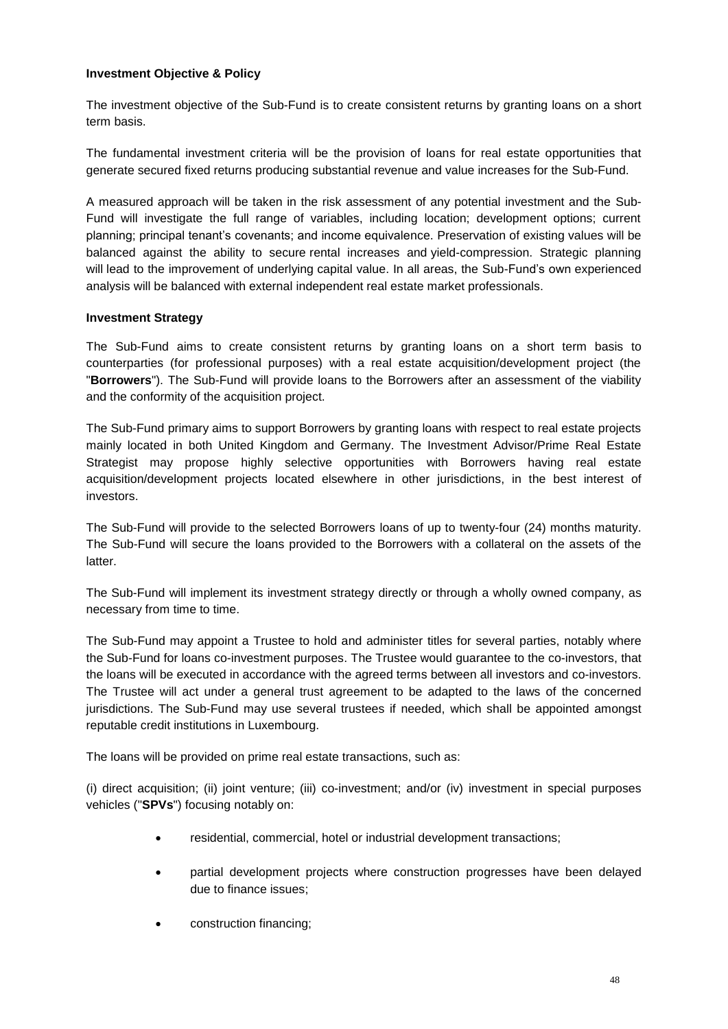#### **Investment Objective & Policy**

The investment objective of the Sub-Fund is to create consistent returns by granting loans on a short term basis.

The fundamental investment criteria will be the provision of loans for real estate opportunities that generate secured fixed returns producing substantial revenue and value increases for the Sub-Fund.

A measured approach will be taken in the risk assessment of any potential investment and the Sub-Fund will investigate the full range of variables, including location; development options; current planning; principal tenant's covenants; and income equivalence. Preservation of existing values will be balanced against the ability to secure rental increases and yield-compression. Strategic planning will lead to the improvement of underlying capital value. In all areas, the Sub-Fund's own experienced analysis will be balanced with external independent real estate market professionals.

#### **Investment Strategy**

The Sub-Fund aims to create consistent returns by granting loans on a short term basis to counterparties (for professional purposes) with a real estate acquisition/development project (the "**Borrowers**"). The Sub-Fund will provide loans to the Borrowers after an assessment of the viability and the conformity of the acquisition project.

The Sub-Fund primary aims to support Borrowers by granting loans with respect to real estate projects mainly located in both United Kingdom and Germany. The Investment Advisor/Prime Real Estate Strategist may propose highly selective opportunities with Borrowers having real estate acquisition/development projects located elsewhere in other jurisdictions, in the best interest of investors.

The Sub-Fund will provide to the selected Borrowers loans of up to twenty-four (24) months maturity. The Sub-Fund will secure the loans provided to the Borrowers with a collateral on the assets of the latter.

The Sub-Fund will implement its investment strategy directly or through a wholly owned company, as necessary from time to time.

The Sub-Fund may appoint a Trustee to hold and administer titles for several parties, notably where the Sub-Fund for loans co-investment purposes. The Trustee would guarantee to the co-investors, that the loans will be executed in accordance with the agreed terms between all investors and co-investors. The Trustee will act under a general trust agreement to be adapted to the laws of the concerned jurisdictions. The Sub-Fund may use several trustees if needed, which shall be appointed amongst reputable credit institutions in Luxembourg.

The loans will be provided on prime real estate transactions, such as:

(i) direct acquisition; (ii) joint venture; (iii) co-investment; and/or (iv) investment in special purposes vehicles ("**SPVs**") focusing notably on:

- residential, commercial, hotel or industrial development transactions;
- partial development projects where construction progresses have been delayed due to finance issues;
- construction financing;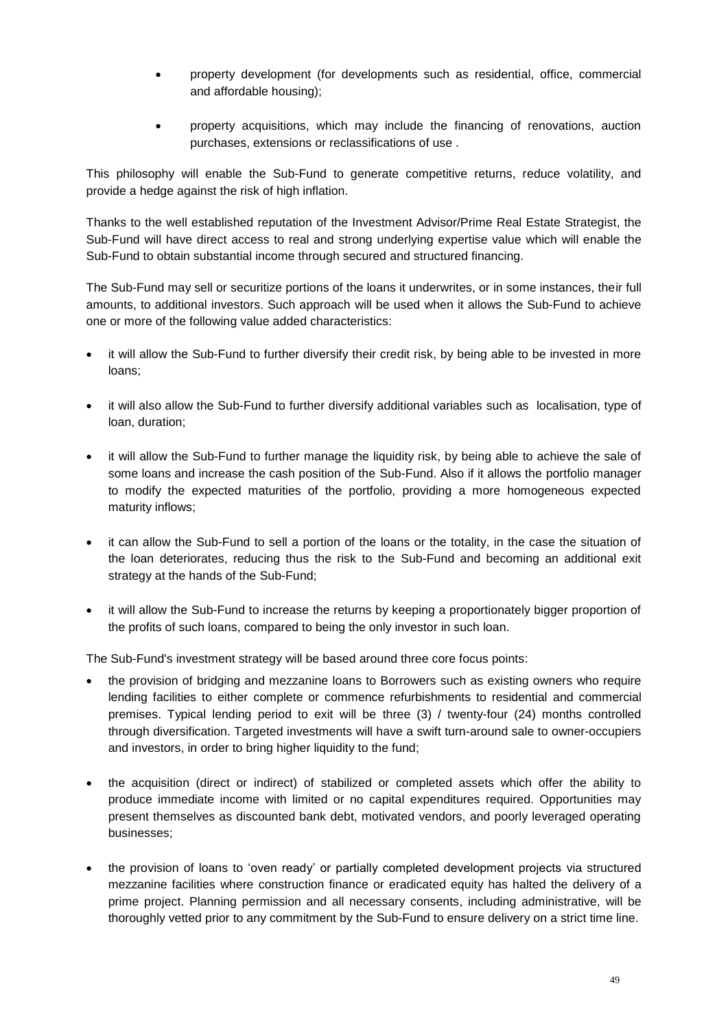- property development (for developments such as residential, office, commercial and affordable housing);
- property acquisitions, which may include the financing of renovations, auction purchases, extensions or reclassifications of use .

This philosophy will enable the Sub-Fund to generate competitive returns, reduce volatility, and provide a hedge against the risk of high inflation.

Thanks to the well established reputation of the Investment Advisor/Prime Real Estate Strategist, the Sub-Fund will have direct access to real and strong underlying expertise value which will enable the Sub-Fund to obtain substantial income through secured and structured financing.

The Sub-Fund may sell or securitize portions of the loans it underwrites, or in some instances, their full amounts, to additional investors. Such approach will be used when it allows the Sub-Fund to achieve one or more of the following value added characteristics:

- it will allow the Sub-Fund to further diversify their credit risk, by being able to be invested in more loans;
- it will also allow the Sub-Fund to further diversify additional variables such as localisation, type of loan, duration;
- it will allow the Sub-Fund to further manage the liquidity risk, by being able to achieve the sale of some loans and increase the cash position of the Sub-Fund. Also if it allows the portfolio manager to modify the expected maturities of the portfolio, providing a more homogeneous expected maturity inflows;
- it can allow the Sub-Fund to sell a portion of the loans or the totality, in the case the situation of the loan deteriorates, reducing thus the risk to the Sub-Fund and becoming an additional exit strategy at the hands of the Sub-Fund;
- it will allow the Sub-Fund to increase the returns by keeping a proportionately bigger proportion of the profits of such loans, compared to being the only investor in such loan.

The Sub-Fund's investment strategy will be based around three core focus points:

- the provision of bridging and mezzanine loans to Borrowers such as existing owners who require lending facilities to either complete or commence refurbishments to residential and commercial premises. Typical lending period to exit will be three (3) / twenty-four (24) months controlled through diversification. Targeted investments will have a swift turn-around sale to owner-occupiers and investors, in order to bring higher liquidity to the fund;
- the acquisition (direct or indirect) of stabilized or completed assets which offer the ability to produce immediate income with limited or no capital expenditures required. Opportunities may present themselves as discounted bank debt, motivated vendors, and poorly leveraged operating businesses;
- the provision of loans to 'oven ready' or partially completed development projects via structured mezzanine facilities where construction finance or eradicated equity has halted the delivery of a prime project. Planning permission and all necessary consents, including administrative, will be thoroughly vetted prior to any commitment by the Sub-Fund to ensure delivery on a strict time line.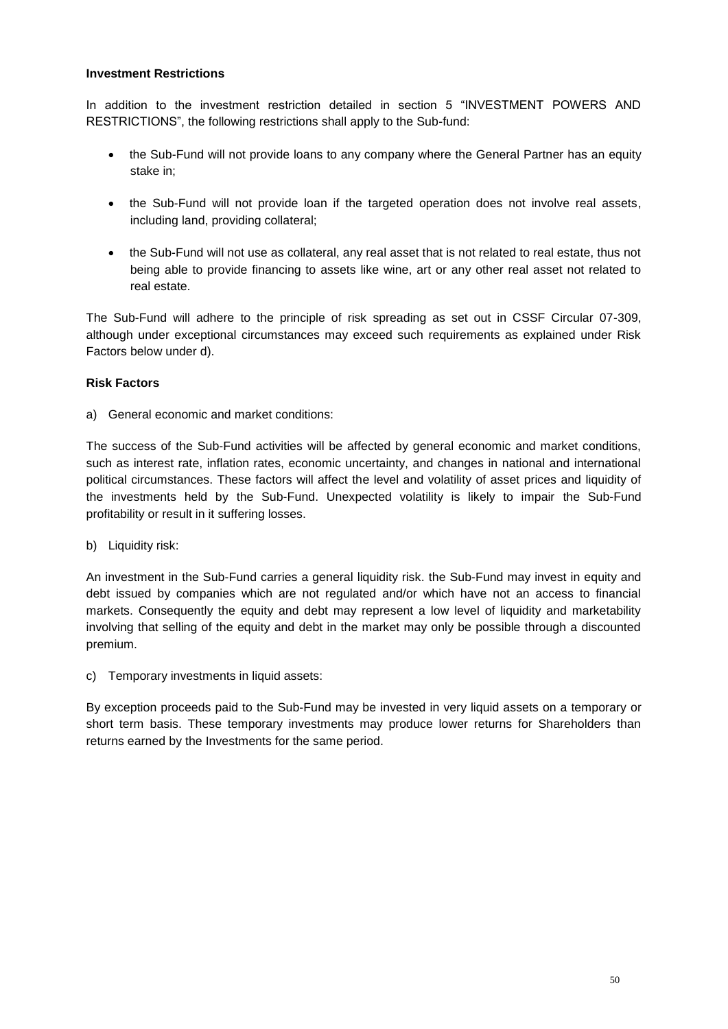#### **Investment Restrictions**

In addition to the investment restriction detailed in section 5 "INVESTMENT POWERS AND RESTRICTIONS", the following restrictions shall apply to the Sub-fund:

- the Sub-Fund will not provide loans to any company where the General Partner has an equity stake in;
- the Sub-Fund will not provide loan if the targeted operation does not involve real assets, including land, providing collateral;
- the Sub-Fund will not use as collateral, any real asset that is not related to real estate, thus not being able to provide financing to assets like wine, art or any other real asset not related to real estate.

The Sub-Fund will adhere to the principle of risk spreading as set out in CSSF Circular 07-309, although under exceptional circumstances may exceed such requirements as explained under Risk Factors below under d).

### **Risk Factors**

a) General economic and market conditions:

The success of the Sub-Fund activities will be affected by general economic and market conditions, such as interest rate, inflation rates, economic uncertainty, and changes in national and international political circumstances. These factors will affect the level and volatility of asset prices and liquidity of the investments held by the Sub-Fund. Unexpected volatility is likely to impair the Sub-Fund profitability or result in it suffering losses.

b) Liquidity risk:

An investment in the Sub-Fund carries a general liquidity risk. the Sub-Fund may invest in equity and debt issued by companies which are not regulated and/or which have not an access to financial markets. Consequently the equity and debt may represent a low level of liquidity and marketability involving that selling of the equity and debt in the market may only be possible through a discounted premium.

c) Temporary investments in liquid assets:

By exception proceeds paid to the Sub-Fund may be invested in very liquid assets on a temporary or short term basis. These temporary investments may produce lower returns for Shareholders than returns earned by the Investments for the same period.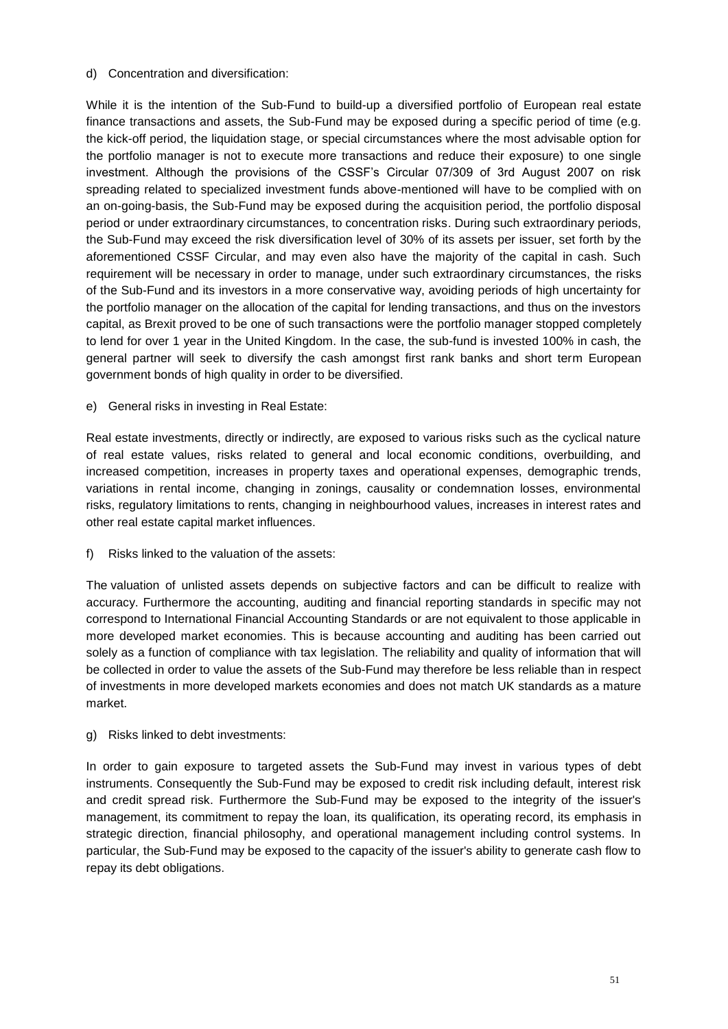#### d) Concentration and diversification:

While it is the intention of the Sub-Fund to build-up a diversified portfolio of European real estate finance transactions and assets, the Sub-Fund may be exposed during a specific period of time (e.g. the kick-off period, the liquidation stage, or special circumstances where the most advisable option for the portfolio manager is not to execute more transactions and reduce their exposure) to one single investment. Although the provisions of the CSSF's Circular 07/309 of 3rd August 2007 on risk spreading related to specialized investment funds above-mentioned will have to be complied with on an on-going-basis, the Sub-Fund may be exposed during the acquisition period, the portfolio disposal period or under extraordinary circumstances, to concentration risks. During such extraordinary periods, the Sub-Fund may exceed the risk diversification level of 30% of its assets per issuer, set forth by the aforementioned CSSF Circular, and may even also have the majority of the capital in cash. Such requirement will be necessary in order to manage, under such extraordinary circumstances, the risks of the Sub-Fund and its investors in a more conservative way, avoiding periods of high uncertainty for the portfolio manager on the allocation of the capital for lending transactions, and thus on the investors capital, as Brexit proved to be one of such transactions were the portfolio manager stopped completely to lend for over 1 year in the United Kingdom. In the case, the sub-fund is invested 100% in cash, the general partner will seek to diversify the cash amongst first rank banks and short term European government bonds of high quality in order to be diversified.

e) General risks in investing in Real Estate:

Real estate investments, directly or indirectly, are exposed to various risks such as the cyclical nature of real estate values, risks related to general and local economic conditions, overbuilding, and increased competition, increases in property taxes and operational expenses, demographic trends, variations in rental income, changing in zonings, causality or condemnation losses, environmental risks, regulatory limitations to rents, changing in neighbourhood values, increases in interest rates and other real estate capital market influences.

f) Risks linked to the valuation of the assets:

The valuation of unlisted assets depends on subjective factors and can be difficult to realize with accuracy. Furthermore the accounting, auditing and financial reporting standards in specific may not correspond to International Financial Accounting Standards or are not equivalent to those applicable in more developed market economies. This is because accounting and auditing has been carried out solely as a function of compliance with tax legislation. The reliability and quality of information that will be collected in order to value the assets of the Sub-Fund may therefore be less reliable than in respect of investments in more developed markets economies and does not match UK standards as a mature market.

g) Risks linked to debt investments:

In order to gain exposure to targeted assets the Sub-Fund may invest in various types of debt instruments. Consequently the Sub-Fund may be exposed to credit risk including default, interest risk and credit spread risk. Furthermore the Sub-Fund may be exposed to the integrity of the issuer's management, its commitment to repay the loan, its qualification, its operating record, its emphasis in strategic direction, financial philosophy, and operational management including control systems. In particular, the Sub-Fund may be exposed to the capacity of the issuer's ability to generate cash flow to repay its debt obligations.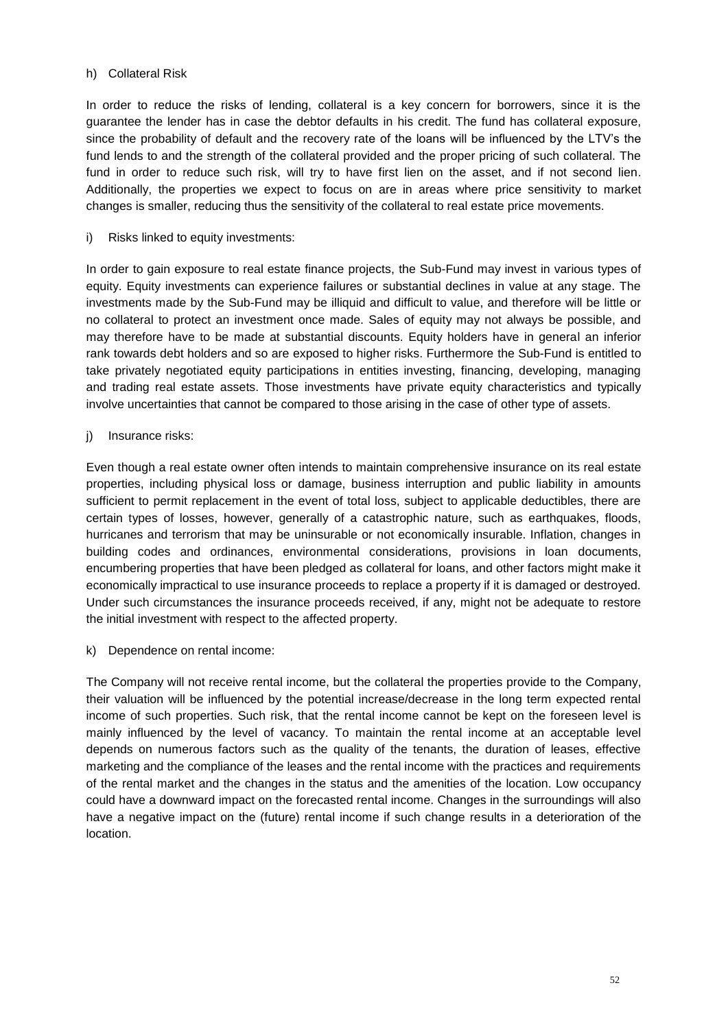# h) Collateral Risk

In order to reduce the risks of lending, collateral is a key concern for borrowers, since it is the guarantee the lender has in case the debtor defaults in his credit. The fund has collateral exposure, since the probability of default and the recovery rate of the loans will be influenced by the LTV's the fund lends to and the strength of the collateral provided and the proper pricing of such collateral. The fund in order to reduce such risk, will try to have first lien on the asset, and if not second lien. Additionally, the properties we expect to focus on are in areas where price sensitivity to market changes is smaller, reducing thus the sensitivity of the collateral to real estate price movements.

i) Risks linked to equity investments:

In order to gain exposure to real estate finance projects, the Sub-Fund may invest in various types of equity. Equity investments can experience failures or substantial declines in value at any stage. The investments made by the Sub-Fund may be illiquid and difficult to value, and therefore will be little or no collateral to protect an investment once made. Sales of equity may not always be possible, and may therefore have to be made at substantial discounts. Equity holders have in general an inferior rank towards debt holders and so are exposed to higher risks. Furthermore the Sub-Fund is entitled to take privately negotiated equity participations in entities investing, financing, developing, managing and trading real estate assets. Those investments have private equity characteristics and typically involve uncertainties that cannot be compared to those arising in the case of other type of assets.

j) Insurance risks:

Even though a real estate owner often intends to maintain comprehensive insurance on its real estate properties, including physical loss or damage, business interruption and public liability in amounts sufficient to permit replacement in the event of total loss, subject to applicable deductibles, there are certain types of losses, however, generally of a catastrophic nature, such as earthquakes, floods, hurricanes and terrorism that may be uninsurable or not economically insurable. Inflation, changes in building codes and ordinances, environmental considerations, provisions in loan documents, encumbering properties that have been pledged as collateral for loans, and other factors might make it economically impractical to use insurance proceeds to replace a property if it is damaged or destroyed. Under such circumstances the insurance proceeds received, if any, might not be adequate to restore the initial investment with respect to the affected property.

k) Dependence on rental income:

The Company will not receive rental income, but the collateral the properties provide to the Company, their valuation will be influenced by the potential increase/decrease in the long term expected rental income of such properties. Such risk, that the rental income cannot be kept on the foreseen level is mainly influenced by the level of vacancy. To maintain the rental income at an acceptable level depends on numerous factors such as the quality of the tenants, the duration of leases, effective marketing and the compliance of the leases and the rental income with the practices and requirements of the rental market and the changes in the status and the amenities of the location. Low occupancy could have a downward impact on the forecasted rental income. Changes in the surroundings will also have a negative impact on the (future) rental income if such change results in a deterioration of the location.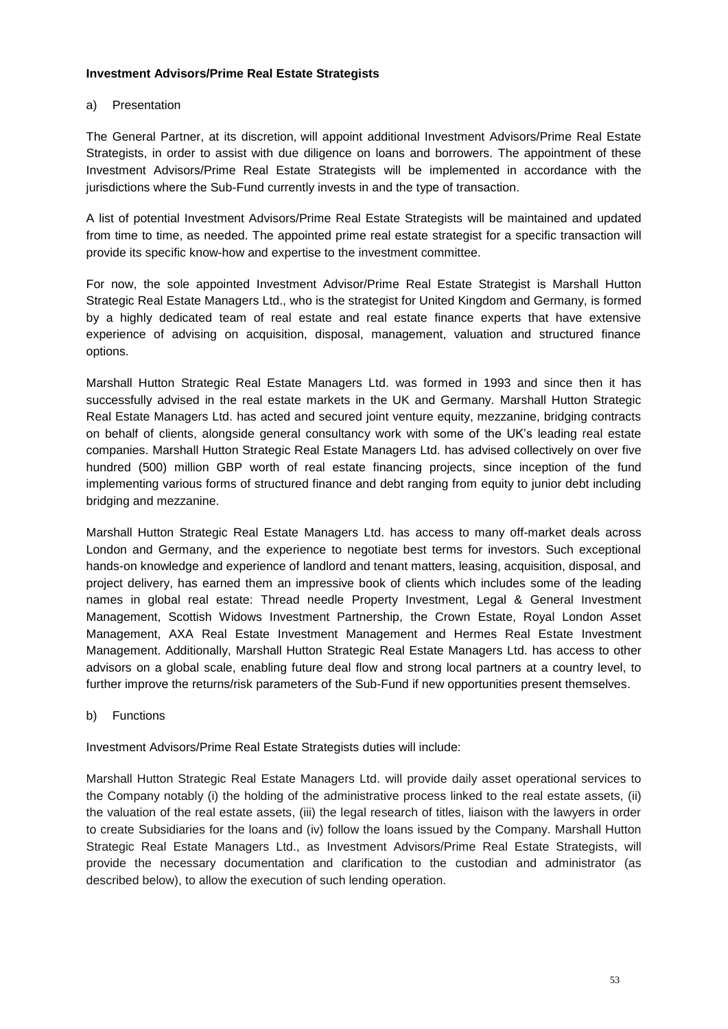#### **Investment Advisors/Prime Real Estate Strategists**

#### a) Presentation

The General Partner, at its discretion, will appoint additional Investment Advisors/Prime Real Estate Strategists, in order to assist with due diligence on loans and borrowers. The appointment of these Investment Advisors/Prime Real Estate Strategists will be implemented in accordance with the jurisdictions where the Sub-Fund currently invests in and the type of transaction.

A list of potential Investment Advisors/Prime Real Estate Strategists will be maintained and updated from time to time, as needed. The appointed prime real estate strategist for a specific transaction will provide its specific know-how and expertise to the investment committee.

For now, the sole appointed Investment Advisor/Prime Real Estate Strategist is Marshall Hutton Strategic Real Estate Managers Ltd., who is the strategist for United Kingdom and Germany, is formed by a highly dedicated team of real estate and real estate finance experts that have extensive experience of advising on acquisition, disposal, management, valuation and structured finance options.

Marshall Hutton Strategic Real Estate Managers Ltd. was formed in 1993 and since then it has successfully advised in the real estate markets in the UK and Germany. Marshall Hutton Strategic Real Estate Managers Ltd. has acted and secured joint venture equity, mezzanine, bridging contracts on behalf of clients, alongside general consultancy work with some of the UK's leading real estate companies. Marshall Hutton Strategic Real Estate Managers Ltd. has advised collectively on over five hundred (500) million GBP worth of real estate financing projects, since inception of the fund implementing various forms of structured finance and debt ranging from equity to junior debt including bridging and mezzanine.

Marshall Hutton Strategic Real Estate Managers Ltd. has access to many off-market deals across London and Germany, and the experience to negotiate best terms for investors. Such exceptional hands-on knowledge and experience of landlord and tenant matters, leasing, acquisition, disposal, and project delivery, has earned them an impressive book of clients which includes some of the leading names in global real estate: Thread needle Property Investment, Legal & General Investment Management, Scottish Widows Investment Partnership, the Crown Estate, Royal London Asset Management, AXA Real Estate Investment Management and Hermes Real Estate Investment Management. Additionally, Marshall Hutton Strategic Real Estate Managers Ltd. has access to other advisors on a global scale, enabling future deal flow and strong local partners at a country level, to further improve the returns/risk parameters of the Sub-Fund if new opportunities present themselves.

b) Functions

Investment Advisors/Prime Real Estate Strategists duties will include:

Marshall Hutton Strategic Real Estate Managers Ltd. will provide daily asset operational services to the Company notably (i) the holding of the administrative process linked to the real estate assets, (ii) the valuation of the real estate assets, (iii) the legal research of titles, liaison with the lawyers in order to create Subsidiaries for the loans and (iv) follow the loans issued by the Company. Marshall Hutton Strategic Real Estate Managers Ltd., as Investment Advisors/Prime Real Estate Strategists, will provide the necessary documentation and clarification to the custodian and administrator (as described below), to allow the execution of such lending operation.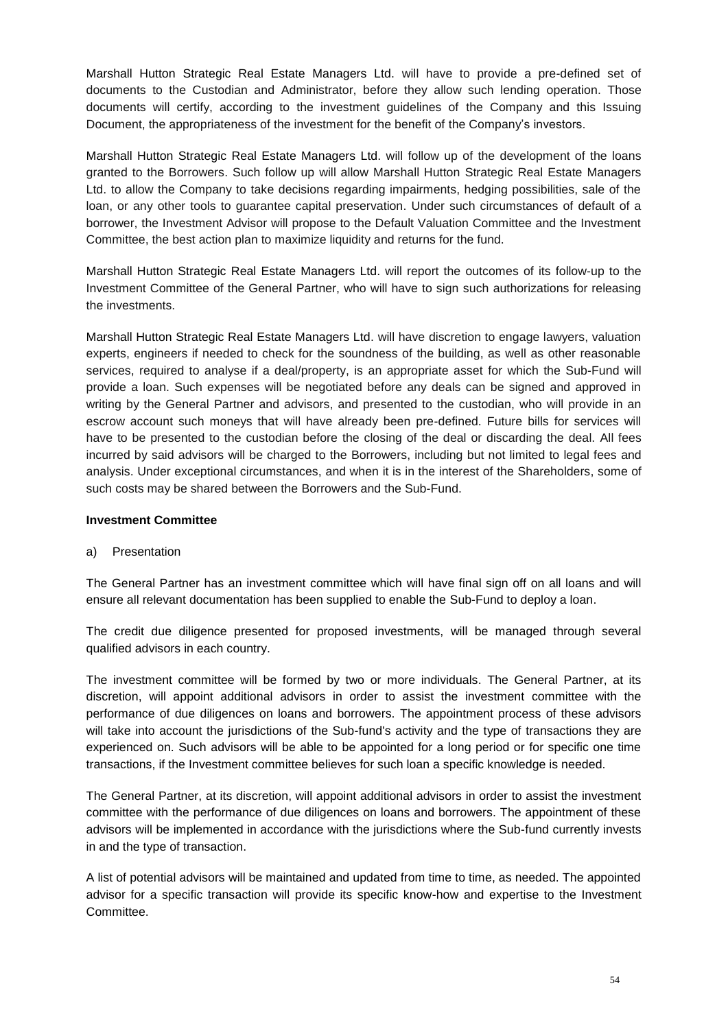Marshall Hutton Strategic Real Estate Managers Ltd. will have to provide a pre-defined set of documents to the Custodian and Administrator, before they allow such lending operation. Those documents will certify, according to the investment guidelines of the Company and this Issuing Document, the appropriateness of the investment for the benefit of the Company's investors.

Marshall Hutton Strategic Real Estate Managers Ltd. will follow up of the development of the loans granted to the Borrowers. Such follow up will allow Marshall Hutton Strategic Real Estate Managers Ltd. to allow the Company to take decisions regarding impairments, hedging possibilities, sale of the loan, or any other tools to guarantee capital preservation. Under such circumstances of default of a borrower, the Investment Advisor will propose to the Default Valuation Committee and the Investment Committee, the best action plan to maximize liquidity and returns for the fund.

Marshall Hutton Strategic Real Estate Managers Ltd. will report the outcomes of its follow-up to the Investment Committee of the General Partner, who will have to sign such authorizations for releasing the investments.

Marshall Hutton Strategic Real Estate Managers Ltd. will have discretion to engage lawyers, valuation experts, engineers if needed to check for the soundness of the building, as well as other reasonable services, required to analyse if a deal/property, is an appropriate asset for which the Sub-Fund will provide a loan. Such expenses will be negotiated before any deals can be signed and approved in writing by the General Partner and advisors, and presented to the custodian, who will provide in an escrow account such moneys that will have already been pre-defined. Future bills for services will have to be presented to the custodian before the closing of the deal or discarding the deal. All fees incurred by said advisors will be charged to the Borrowers, including but not limited to legal fees and analysis. Under exceptional circumstances, and when it is in the interest of the Shareholders, some of such costs may be shared between the Borrowers and the Sub-Fund.

# **Investment Committee**

### a) Presentation

The General Partner has an investment committee which will have final sign off on all loans and will ensure all relevant documentation has been supplied to enable the Sub-Fund to deploy a loan.

The credit due diligence presented for proposed investments, will be managed through several qualified advisors in each country.

The investment committee will be formed by two or more individuals. The General Partner, at its discretion, will appoint additional advisors in order to assist the investment committee with the performance of due diligences on loans and borrowers. The appointment process of these advisors will take into account the jurisdictions of the Sub-fund's activity and the type of transactions they are experienced on. Such advisors will be able to be appointed for a long period or for specific one time transactions, if the Investment committee believes for such loan a specific knowledge is needed.

The General Partner, at its discretion, will appoint additional advisors in order to assist the investment committee with the performance of due diligences on loans and borrowers. The appointment of these advisors will be implemented in accordance with the jurisdictions where the Sub-fund currently invests in and the type of transaction.

A list of potential advisors will be maintained and updated from time to time, as needed. The appointed advisor for a specific transaction will provide its specific know-how and expertise to the Investment Committee.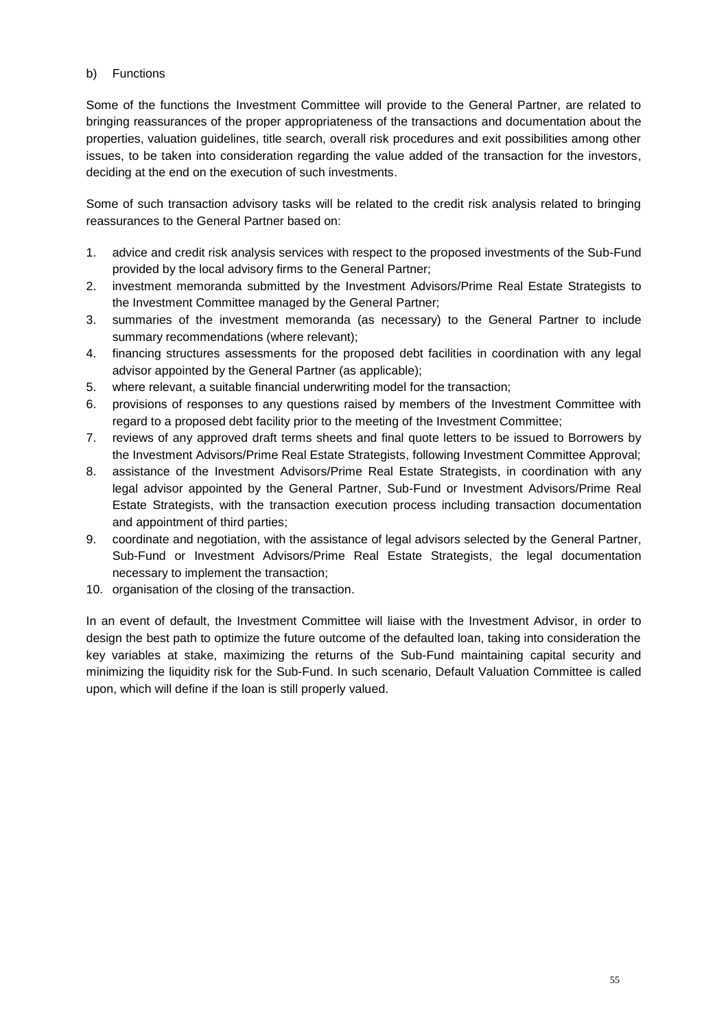# b) Functions

Some of the functions the Investment Committee will provide to the General Partner, are related to bringing reassurances of the proper appropriateness of the transactions and documentation about the properties, valuation guidelines, title search, overall risk procedures and exit possibilities among other issues, to be taken into consideration regarding the value added of the transaction for the investors, deciding at the end on the execution of such investments.

Some of such transaction advisory tasks will be related to the credit risk analysis related to bringing reassurances to the General Partner based on:

- 1. advice and credit risk analysis services with respect to the proposed investments of the Sub-Fund provided by the local advisory firms to the General Partner;
- 2. investment memoranda submitted by the Investment Advisors/Prime Real Estate Strategists to the Investment Committee managed by the General Partner;
- 3. summaries of the investment memoranda (as necessary) to the General Partner to include summary recommendations (where relevant);
- 4. financing structures assessments for the proposed debt facilities in coordination with any legal advisor appointed by the General Partner (as applicable);
- 5. where relevant, a suitable financial underwriting model for the transaction;
- 6. provisions of responses to any questions raised by members of the Investment Committee with regard to a proposed debt facility prior to the meeting of the Investment Committee;
- 7. reviews of any approved draft terms sheets and final quote letters to be issued to Borrowers by the Investment Advisors/Prime Real Estate Strategists, following Investment Committee Approval;
- 8. assistance of the Investment Advisors/Prime Real Estate Strategists, in coordination with any legal advisor appointed by the General Partner, Sub-Fund or Investment Advisors/Prime Real Estate Strategists, with the transaction execution process including transaction documentation and appointment of third parties;
- 9. coordinate and negotiation, with the assistance of legal advisors selected by the General Partner, Sub-Fund or Investment Advisors/Prime Real Estate Strategists, the legal documentation necessary to implement the transaction;
- 10. organisation of the closing of the transaction.

In an event of default, the Investment Committee will liaise with the Investment Advisor, in order to design the best path to optimize the future outcome of the defaulted loan, taking into consideration the key variables at stake, maximizing the returns of the Sub-Fund maintaining capital security and minimizing the liquidity risk for the Sub-Fund. In such scenario, Default Valuation Committee is called upon, which will define if the loan is still properly valued.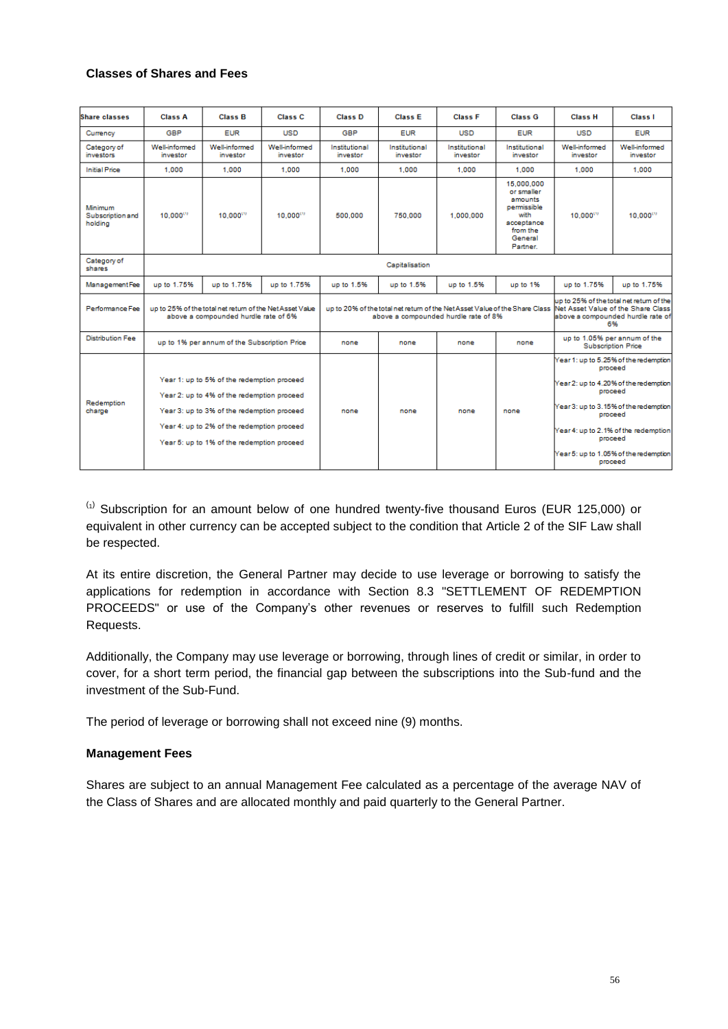### **Classes of Shares and Fees**

| <b>Share classes</b>                   | <b>Class A</b>                                                                                                                                                                                                                     | <b>Class B</b>                   | <b>Class C</b>                                                                                                                                         | <b>Class D</b>            | <b>Class E</b>            | <b>Class F</b>            | <b>Class G</b>                                                                                                     | <b>Class H</b>                                                                                                                                                                                                                            | <b>Class I</b>                   |
|----------------------------------------|------------------------------------------------------------------------------------------------------------------------------------------------------------------------------------------------------------------------------------|----------------------------------|--------------------------------------------------------------------------------------------------------------------------------------------------------|---------------------------|---------------------------|---------------------------|--------------------------------------------------------------------------------------------------------------------|-------------------------------------------------------------------------------------------------------------------------------------------------------------------------------------------------------------------------------------------|----------------------------------|
| Currency                               | <b>GBP</b>                                                                                                                                                                                                                         | <b>EUR</b>                       | <b>USD</b>                                                                                                                                             | <b>GBP</b>                | <b>EUR</b>                | <b>USD</b>                | <b>EUR</b>                                                                                                         | <b>USD</b>                                                                                                                                                                                                                                | <b>EUR</b>                       |
| Category of<br>investors               | Well-informed<br>investor                                                                                                                                                                                                          | <b>Well-informed</b><br>investor | Well-informed<br>investor                                                                                                                              | Institutional<br>investor | Institutional<br>investor | Institutional<br>investor | Institutional<br>investor                                                                                          | Well-informed<br>investor                                                                                                                                                                                                                 | <b>Well-informed</b><br>investor |
| <b>Initial Price</b>                   | 1.000                                                                                                                                                                                                                              | 1.000                            | 1.000                                                                                                                                                  | 1.000                     | 1.000                     | 1.000                     | 1.000                                                                                                              | 1.000                                                                                                                                                                                                                                     | 1.000                            |
| Minimum<br>Subscription and<br>holding | 10.000                                                                                                                                                                                                                             | 10.000                           | 10,000 <sup>(1)</sup>                                                                                                                                  | 500,000                   | 750,000                   | 1.000.000                 | 15.000.000<br>or smaller.<br>amounts<br>permissible<br>with<br>acceptance<br>from the<br>General<br><b>Partner</b> | 10,000                                                                                                                                                                                                                                    | 10,000                           |
| Category of<br>shares                  |                                                                                                                                                                                                                                    |                                  |                                                                                                                                                        | Capitalisation            |                           |                           |                                                                                                                    |                                                                                                                                                                                                                                           |                                  |
| <b>ManagementFee</b>                   | up to 1.75%                                                                                                                                                                                                                        | up to 1.75%                      | up to 1.75%                                                                                                                                            | up to 1.5%                | up to 1.5%                | up to 1.5%                | up to 1%                                                                                                           | up to 1.75%                                                                                                                                                                                                                               | up to 1.75%                      |
| Performance Fee                        | up to 25% of the total net return of the Net Asset Vabe<br>above a compounded hurdle rate of 6%                                                                                                                                    |                                  | up to 20% of the total net return of the Net Asset Value of the Share Class Net Asset Value of the Share Class<br>above a compounded hurdle rate of 8% |                           |                           |                           | up to 25% of the total net return of the<br>above a compounded hurdle rate of<br>6%                                |                                                                                                                                                                                                                                           |                                  |
| <b>Distribution Fee</b>                | up to 1% per annum of the Subscription Price                                                                                                                                                                                       |                                  | none                                                                                                                                                   | none                      | none                      | none                      | up to 1.05% per annum of the<br><b>Subscription Price</b>                                                          |                                                                                                                                                                                                                                           |                                  |
| Redemption<br>charge                   | Year 1: up to 5% of the redemption proceed<br>Year 2: up to 4% of the redemption proceed<br>Year 3: up to 3% of the redemption proceed<br>Year 4: up to 2% of the redemption proceed<br>Year 5: up to 1% of the redemption proceed |                                  | none                                                                                                                                                   | none                      | none                      | none                      | proceed<br>proceed                                                                                                 | Year 1: up to 5.25% of the redemption<br>Year 2: up to 4.20% of the redemption<br>proceed<br>Year 3: up to 3.15% of the redemption<br>proceed<br>Year 4: up to 2.1% of the redemption<br>Year 5: up to 1.05% of the redemption<br>proceed |                                  |

 $\frac{1}{10}$  Subscription for an amount below of one hundred twenty-five thousand Euros (EUR 125,000) or equivalent in other currency can be accepted subject to the condition that Article 2 of the SIF Law shall be respected.

At its entire discretion, the General Partner may decide to use leverage or borrowing to satisfy the applications for redemption in accordance with Section 8.3 "SETTLEMENT OF REDEMPTION PROCEEDS" or use of the Company's other revenues or reserves to fulfill such Redemption Requests.

Additionally, the Company may use leverage or borrowing, through lines of credit or similar, in order to cover, for a short term period, the financial gap between the subscriptions into the Sub-fund and the investment of the Sub-Fund.

The period of leverage or borrowing shall not exceed nine (9) months.

### **Management Fees**

Shares are subject to an annual Management Fee calculated as a percentage of the average NAV of the Class of Shares and are allocated monthly and paid quarterly to the General Partner.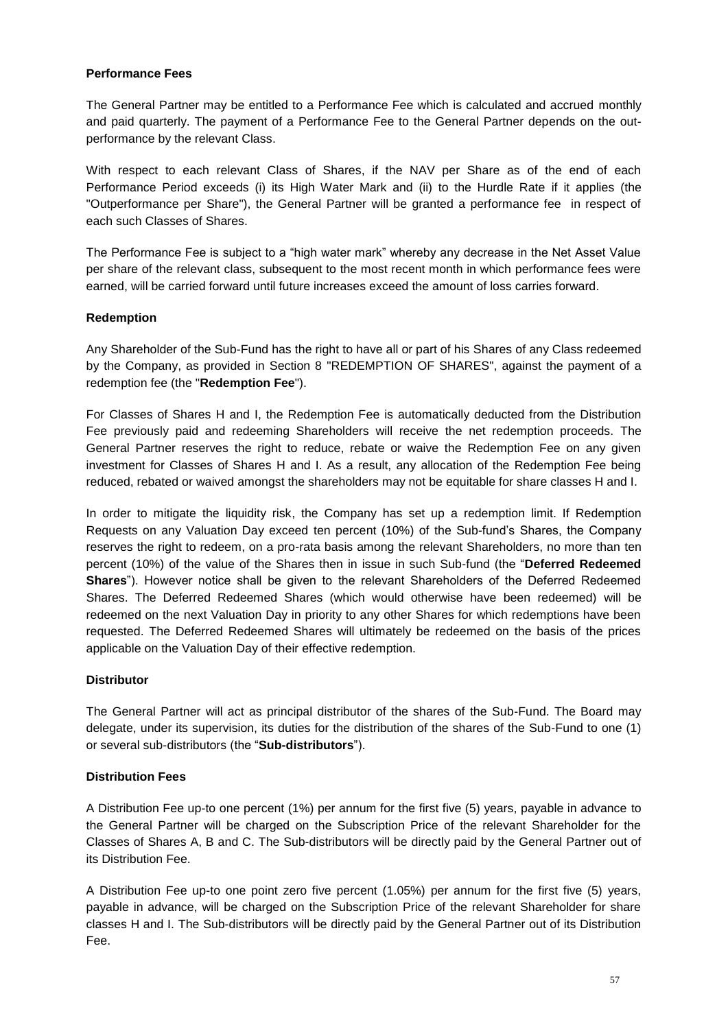### **Performance Fees**

The General Partner may be entitled to a Performance Fee which is calculated and accrued monthly and paid quarterly. The payment of a Performance Fee to the General Partner depends on the outperformance by the relevant Class.

With respect to each relevant Class of Shares, if the NAV per Share as of the end of each Performance Period exceeds (i) its High Water Mark and (ii) to the Hurdle Rate if it applies (the "Outperformance per Share"), the General Partner will be granted a performance fee in respect of each such Classes of Shares.

The Performance Fee is subject to a "high water mark" whereby any decrease in the Net Asset Value per share of the relevant class, subsequent to the most recent month in which performance fees were earned, will be carried forward until future increases exceed the amount of loss carries forward.

### **Redemption**

Any Shareholder of the Sub-Fund has the right to have all or part of his Shares of any Class redeemed by the Company, as provided in Section 8 "REDEMPTION OF SHARES", against the payment of a redemption fee (the "**Redemption Fee**").

For Classes of Shares H and I, the Redemption Fee is automatically deducted from the Distribution Fee previously paid and redeeming Shareholders will receive the net redemption proceeds. The General Partner reserves the right to reduce, rebate or waive the Redemption Fee on any given investment for Classes of Shares H and I. As a result, any allocation of the Redemption Fee being reduced, rebated or waived amongst the shareholders may not be equitable for share classes H and I.

In order to mitigate the liquidity risk, the Company has set up a redemption limit. If Redemption Requests on any Valuation Day exceed ten percent (10%) of the Sub-fund's Shares, the Company reserves the right to redeem, on a pro-rata basis among the relevant Shareholders, no more than ten percent (10%) of the value of the Shares then in issue in such Sub-fund (the "**Deferred Redeemed Shares**"). However notice shall be given to the relevant Shareholders of the Deferred Redeemed Shares. The Deferred Redeemed Shares (which would otherwise have been redeemed) will be redeemed on the next Valuation Day in priority to any other Shares for which redemptions have been requested. The Deferred Redeemed Shares will ultimately be redeemed on the basis of the prices applicable on the Valuation Day of their effective redemption.

### **Distributor**

The General Partner will act as principal distributor of the shares of the Sub-Fund. The Board may delegate, under its supervision, its duties for the distribution of the shares of the Sub-Fund to one (1) or several sub-distributors (the "**Sub-distributors**").

### **Distribution Fees**

A Distribution Fee up-to one percent (1%) per annum for the first five (5) years, payable in advance to the General Partner will be charged on the Subscription Price of the relevant Shareholder for the Classes of Shares A, B and C. The Sub-distributors will be directly paid by the General Partner out of its Distribution Fee.

A Distribution Fee up-to one point zero five percent (1.05%) per annum for the first five (5) years, payable in advance, will be charged on the Subscription Price of the relevant Shareholder for share classes H and I. The Sub-distributors will be directly paid by the General Partner out of its Distribution Fee.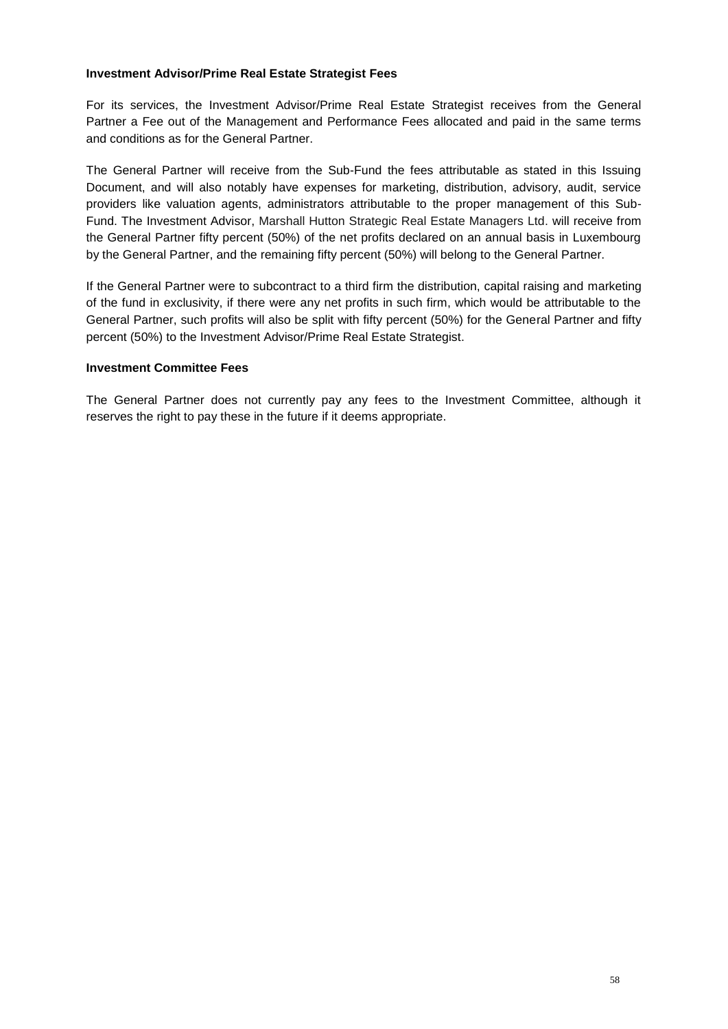#### **Investment Advisor/Prime Real Estate Strategist Fees**

For its services, the Investment Advisor/Prime Real Estate Strategist receives from the General Partner a Fee out of the Management and Performance Fees allocated and paid in the same terms and conditions as for the General Partner.

The General Partner will receive from the Sub-Fund the fees attributable as stated in this Issuing Document, and will also notably have expenses for marketing, distribution, advisory, audit, service providers like valuation agents, administrators attributable to the proper management of this Sub-Fund. The Investment Advisor, Marshall Hutton Strategic Real Estate Managers Ltd. will receive from the General Partner fifty percent (50%) of the net profits declared on an annual basis in Luxembourg by the General Partner, and the remaining fifty percent (50%) will belong to the General Partner.

If the General Partner were to subcontract to a third firm the distribution, capital raising and marketing of the fund in exclusivity, if there were any net profits in such firm, which would be attributable to the General Partner, such profits will also be split with fifty percent (50%) for the General Partner and fifty percent (50%) to the Investment Advisor/Prime Real Estate Strategist.

#### **Investment Committee Fees**

The General Partner does not currently pay any fees to the Investment Committee, although it reserves the right to pay these in the future if it deems appropriate.